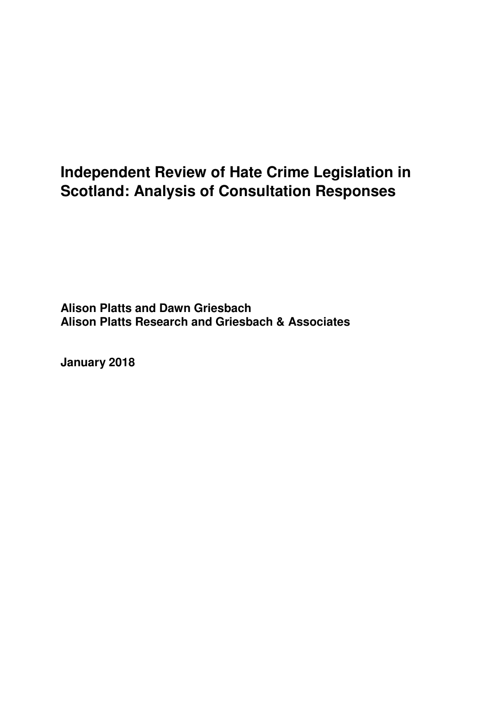# **Independent Review of Hate Crime Legislation in Scotland: Analysis of Consultation Responses**

**Alison Platts and Dawn Griesbach Alison Platts Research and Griesbach & Associates** 

**January 2018**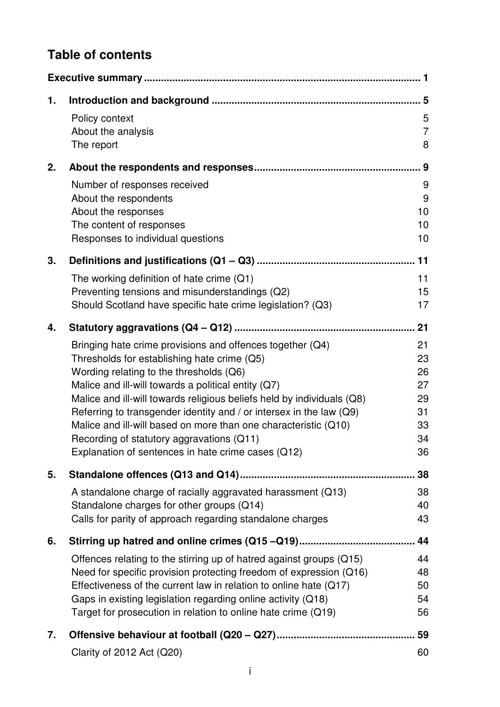# **Table of contents**

| 1. |                                                                                                                                        |                |
|----|----------------------------------------------------------------------------------------------------------------------------------------|----------------|
|    | Policy context                                                                                                                         | 5              |
|    | About the analysis                                                                                                                     | $\overline{7}$ |
|    | The report                                                                                                                             | 8              |
| 2. |                                                                                                                                        | . 9            |
|    | Number of responses received                                                                                                           | 9              |
|    | About the respondents                                                                                                                  | 9              |
|    | About the responses                                                                                                                    | 10             |
|    | The content of responses                                                                                                               | 10             |
|    | Responses to individual questions                                                                                                      | 10             |
| 3. |                                                                                                                                        |                |
|    | The working definition of hate crime $(Q1)$                                                                                            | 11             |
|    | Preventing tensions and misunderstandings (Q2)                                                                                         | 15             |
|    | Should Scotland have specific hate crime legislation? (Q3)                                                                             | 17             |
| 4. |                                                                                                                                        | 21             |
|    | Bringing hate crime provisions and offences together (Q4)                                                                              | 21             |
|    | Thresholds for establishing hate crime (Q5)                                                                                            | 23             |
|    | Wording relating to the thresholds (Q6)                                                                                                | 26             |
|    | Malice and ill-will towards a political entity (Q7)                                                                                    | 27             |
|    | Malice and ill-will towards religious beliefs held by individuals (Q8)                                                                 | 29             |
|    | Referring to transgender identity and / or intersex in the law (Q9)<br>Malice and ill-will based on more than one characteristic (Q10) | 31<br>33       |
|    | Recording of statutory aggravations (Q11)                                                                                              | 34             |
|    | Explanation of sentences in hate crime cases (Q12)                                                                                     | 36             |
| 5. |                                                                                                                                        | 38             |
|    |                                                                                                                                        |                |
|    | A standalone charge of racially aggravated harassment (Q13)<br>Standalone charges for other groups (Q14)                               | 38<br>40       |
|    | Calls for parity of approach regarding standalone charges                                                                              | 43             |
|    |                                                                                                                                        |                |
| 6. |                                                                                                                                        | 44             |
|    | Offences relating to the stirring up of hatred against groups (Q15)                                                                    | 44             |
|    | Need for specific provision protecting freedom of expression (Q16)                                                                     | 48             |
|    | Effectiveness of the current law in relation to online hate (Q17)                                                                      | 50             |
|    | Gaps in existing legislation regarding online activity (Q18)                                                                           | 54             |
|    | Target for prosecution in relation to online hate crime (Q19)                                                                          | 56             |
| 7. |                                                                                                                                        | 59             |
|    | Clarity of 2012 Act (Q20)                                                                                                              | 60             |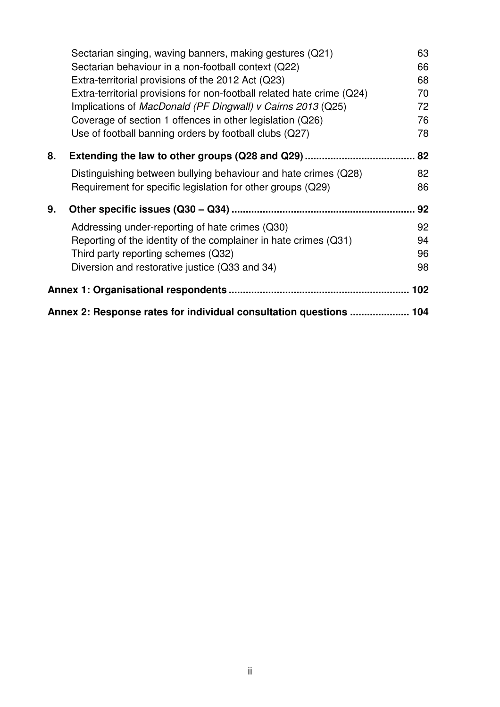|    | Sectarian singing, waving banners, making gestures (Q21)               | 63 |  |  |  |
|----|------------------------------------------------------------------------|----|--|--|--|
|    | Sectarian behaviour in a non-football context (Q22)                    | 66 |  |  |  |
|    | Extra-territorial provisions of the 2012 Act (Q23)                     | 68 |  |  |  |
|    | Extra-territorial provisions for non-football related hate crime (Q24) | 70 |  |  |  |
|    | Implications of MacDonald (PF Dingwall) v Cairns 2013 (Q25)            | 72 |  |  |  |
|    | Coverage of section 1 offences in other legislation (Q26)              | 76 |  |  |  |
|    | Use of football banning orders by football clubs (Q27)                 | 78 |  |  |  |
| 8. | Extending the law to other groups (Q28 and Q29)                        | 82 |  |  |  |
|    | Distinguishing between bullying behaviour and hate crimes (Q28)        | 82 |  |  |  |
|    | Requirement for specific legislation for other groups (Q29)            | 86 |  |  |  |
| 9. |                                                                        | 92 |  |  |  |
|    | Addressing under-reporting of hate crimes (Q30)                        | 92 |  |  |  |
|    | Reporting of the identity of the complainer in hate crimes (Q31)       | 94 |  |  |  |
|    | Third party reporting schemes (Q32)                                    | 96 |  |  |  |
|    | Diversion and restorative justice (Q33 and 34)                         | 98 |  |  |  |
|    |                                                                        |    |  |  |  |
|    | Annex 2: Response rates for individual consultation questions  104     |    |  |  |  |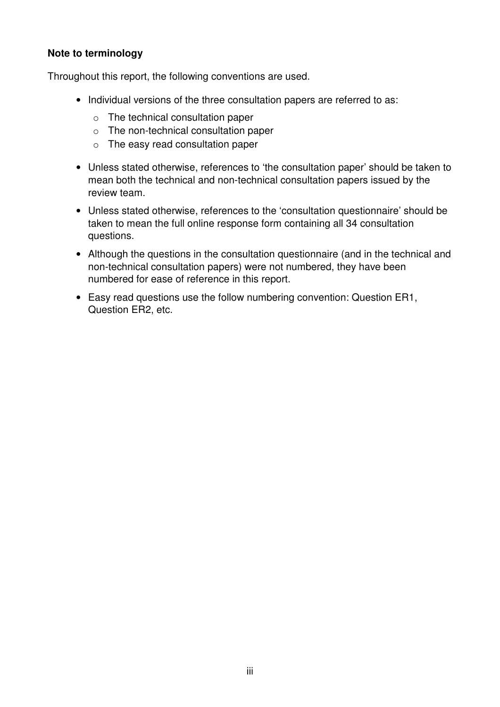#### **Note to terminology**

Throughout this report, the following conventions are used.

- Individual versions of the three consultation papers are referred to as:
	- o The technical consultation paper
	- o The non-technical consultation paper
	- o The easy read consultation paper
- Unless stated otherwise, references to 'the consultation paper' should be taken to mean both the technical and non-technical consultation papers issued by the review team.
- Unless stated otherwise, references to the 'consultation questionnaire' should be taken to mean the full online response form containing all 34 consultation questions.
- Although the questions in the consultation questionnaire (and in the technical and non-technical consultation papers) were not numbered, they have been numbered for ease of reference in this report.
- Easy read questions use the follow numbering convention: Question ER1, Question ER2, etc.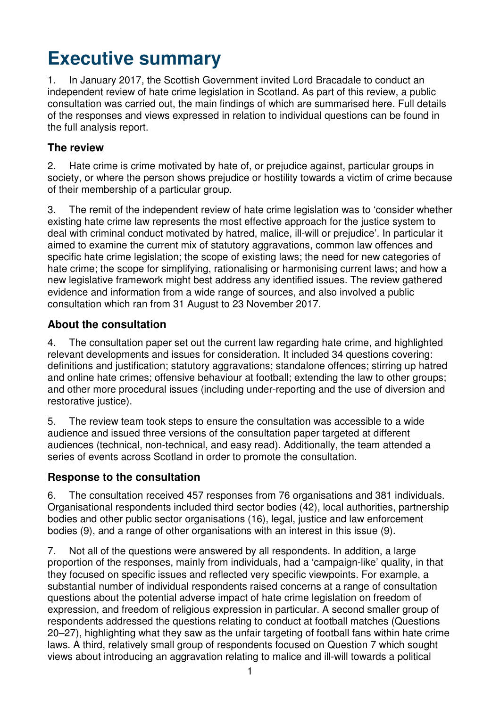# **Executive summary**

1. In January 2017, the Scottish Government invited Lord Bracadale to conduct an independent review of hate crime legislation in Scotland. As part of this review, a public consultation was carried out, the main findings of which are summarised here. Full details of the responses and views expressed in relation to individual questions can be found in the full analysis report.

## **The review**

2. Hate crime is crime motivated by hate of, or prejudice against, particular groups in society, or where the person shows prejudice or hostility towards a victim of crime because of their membership of a particular group.

3. The remit of the independent review of hate crime legislation was to 'consider whether existing hate crime law represents the most effective approach for the justice system to deal with criminal conduct motivated by hatred, malice, ill-will or prejudice'. In particular it aimed to examine the current mix of statutory aggravations, common law offences and specific hate crime legislation; the scope of existing laws; the need for new categories of hate crime; the scope for simplifying, rationalising or harmonising current laws; and how a new legislative framework might best address any identified issues. The review gathered evidence and information from a wide range of sources, and also involved a public consultation which ran from 31 August to 23 November 2017.

## **About the consultation**

4. The consultation paper set out the current law regarding hate crime, and highlighted relevant developments and issues for consideration. It included 34 questions covering: definitions and justification; statutory aggravations; standalone offences; stirring up hatred and online hate crimes; offensive behaviour at football; extending the law to other groups; and other more procedural issues (including under-reporting and the use of diversion and restorative justice).

5. The review team took steps to ensure the consultation was accessible to a wide audience and issued three versions of the consultation paper targeted at different audiences (technical, non-technical, and easy read). Additionally, the team attended a series of events across Scotland in order to promote the consultation.

## **Response to the consultation**

6. The consultation received 457 responses from 76 organisations and 381 individuals. Organisational respondents included third sector bodies (42), local authorities, partnership bodies and other public sector organisations (16), legal, justice and law enforcement bodies (9), and a range of other organisations with an interest in this issue (9).

7. Not all of the questions were answered by all respondents. In addition, a large proportion of the responses, mainly from individuals, had a 'campaign-like' quality, in that they focused on specific issues and reflected very specific viewpoints. For example, a substantial number of individual respondents raised concerns at a range of consultation questions about the potential adverse impact of hate crime legislation on freedom of expression, and freedom of religious expression in particular. A second smaller group of respondents addressed the questions relating to conduct at football matches (Questions 20–27), highlighting what they saw as the unfair targeting of football fans within hate crime laws. A third, relatively small group of respondents focused on Question 7 which sought views about introducing an aggravation relating to malice and ill-will towards a political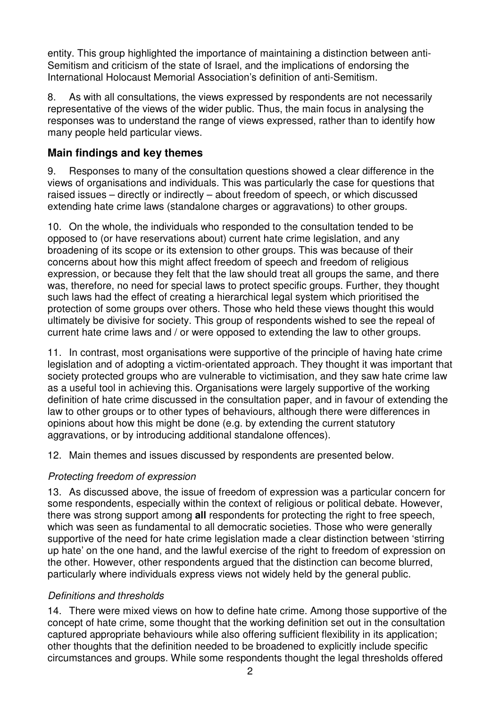entity. This group highlighted the importance of maintaining a distinction between anti-Semitism and criticism of the state of Israel, and the implications of endorsing the International Holocaust Memorial Association's definition of anti-Semitism.

8. As with all consultations, the views expressed by respondents are not necessarily representative of the views of the wider public. Thus, the main focus in analysing the responses was to understand the range of views expressed, rather than to identify how many people held particular views.

## **Main findings and key themes**

9. Responses to many of the consultation questions showed a clear difference in the views of organisations and individuals. This was particularly the case for questions that raised issues – directly or indirectly – about freedom of speech, or which discussed extending hate crime laws (standalone charges or aggravations) to other groups.

10. On the whole, the individuals who responded to the consultation tended to be opposed to (or have reservations about) current hate crime legislation, and any broadening of its scope or its extension to other groups. This was because of their concerns about how this might affect freedom of speech and freedom of religious expression, or because they felt that the law should treat all groups the same, and there was, therefore, no need for special laws to protect specific groups. Further, they thought such laws had the effect of creating a hierarchical legal system which prioritised the protection of some groups over others. Those who held these views thought this would ultimately be divisive for society. This group of respondents wished to see the repeal of current hate crime laws and / or were opposed to extending the law to other groups.

11. In contrast, most organisations were supportive of the principle of having hate crime legislation and of adopting a victim-orientated approach. They thought it was important that society protected groups who are vulnerable to victimisation, and they saw hate crime law as a useful tool in achieving this. Organisations were largely supportive of the working definition of hate crime discussed in the consultation paper, and in favour of extending the law to other groups or to other types of behaviours, although there were differences in opinions about how this might be done (e.g. by extending the current statutory aggravations, or by introducing additional standalone offences).

12. Main themes and issues discussed by respondents are presented below.

## Protecting freedom of expression

13. As discussed above, the issue of freedom of expression was a particular concern for some respondents, especially within the context of religious or political debate. However, there was strong support among **all** respondents for protecting the right to free speech, which was seen as fundamental to all democratic societies. Those who were generally supportive of the need for hate crime legislation made a clear distinction between 'stirring up hate' on the one hand, and the lawful exercise of the right to freedom of expression on the other. However, other respondents argued that the distinction can become blurred, particularly where individuals express views not widely held by the general public.

## Definitions and thresholds

14. There were mixed views on how to define hate crime. Among those supportive of the concept of hate crime, some thought that the working definition set out in the consultation captured appropriate behaviours while also offering sufficient flexibility in its application; other thoughts that the definition needed to be broadened to explicitly include specific circumstances and groups. While some respondents thought the legal thresholds offered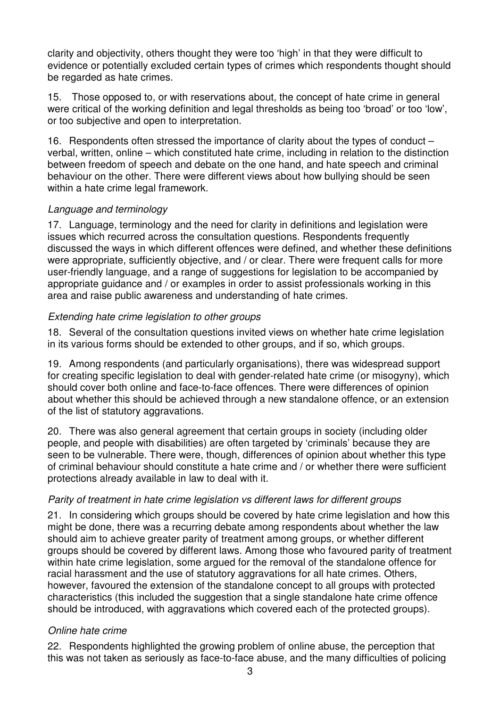clarity and objectivity, others thought they were too 'high' in that they were difficult to evidence or potentially excluded certain types of crimes which respondents thought should be regarded as hate crimes.

15. Those opposed to, or with reservations about, the concept of hate crime in general were critical of the working definition and legal thresholds as being too 'broad' or too 'low', or too subjective and open to interpretation.

16. Respondents often stressed the importance of clarity about the types of conduct – verbal, written, online – which constituted hate crime, including in relation to the distinction between freedom of speech and debate on the one hand, and hate speech and criminal behaviour on the other. There were different views about how bullying should be seen within a hate crime legal framework.

#### Language and terminology

17. Language, terminology and the need for clarity in definitions and legislation were issues which recurred across the consultation questions. Respondents frequently discussed the ways in which different offences were defined, and whether these definitions were appropriate, sufficiently objective, and / or clear. There were frequent calls for more user-friendly language, and a range of suggestions for legislation to be accompanied by appropriate guidance and / or examples in order to assist professionals working in this area and raise public awareness and understanding of hate crimes.

#### Extending hate crime legislation to other groups

18. Several of the consultation questions invited views on whether hate crime legislation in its various forms should be extended to other groups, and if so, which groups.

19. Among respondents (and particularly organisations), there was widespread support for creating specific legislation to deal with gender-related hate crime (or misogyny), which should cover both online and face-to-face offences. There were differences of opinion about whether this should be achieved through a new standalone offence, or an extension of the list of statutory aggravations.

20. There was also general agreement that certain groups in society (including older people, and people with disabilities) are often targeted by 'criminals' because they are seen to be vulnerable. There were, though, differences of opinion about whether this type of criminal behaviour should constitute a hate crime and / or whether there were sufficient protections already available in law to deal with it.

## Parity of treatment in hate crime legislation vs different laws for different groups

21. In considering which groups should be covered by hate crime legislation and how this might be done, there was a recurring debate among respondents about whether the law should aim to achieve greater parity of treatment among groups, or whether different groups should be covered by different laws. Among those who favoured parity of treatment within hate crime legislation, some argued for the removal of the standalone offence for racial harassment and the use of statutory aggravations for all hate crimes. Others, however, favoured the extension of the standalone concept to all groups with protected characteristics (this included the suggestion that a single standalone hate crime offence should be introduced, with aggravations which covered each of the protected groups).

#### Online hate crime

22. Respondents highlighted the growing problem of online abuse, the perception that this was not taken as seriously as face-to-face abuse, and the many difficulties of policing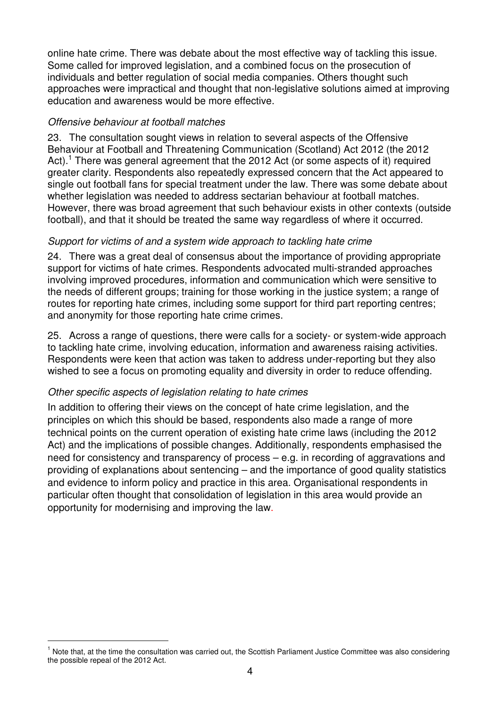online hate crime. There was debate about the most effective way of tackling this issue. Some called for improved legislation, and a combined focus on the prosecution of individuals and better regulation of social media companies. Others thought such approaches were impractical and thought that non-legislative solutions aimed at improving education and awareness would be more effective.

#### Offensive behaviour at football matches

23. The consultation sought views in relation to several aspects of the Offensive Behaviour at Football and Threatening Communication (Scotland) Act 2012 (the 2012 Act).<sup>1</sup> There was general agreement that the 2012 Act (or some aspects of it) required greater clarity. Respondents also repeatedly expressed concern that the Act appeared to single out football fans for special treatment under the law. There was some debate about whether legislation was needed to address sectarian behaviour at football matches. However, there was broad agreement that such behaviour exists in other contexts (outside football), and that it should be treated the same way regardless of where it occurred.

#### Support for victims of and a system wide approach to tackling hate crime

24. There was a great deal of consensus about the importance of providing appropriate support for victims of hate crimes. Respondents advocated multi-stranded approaches involving improved procedures, information and communication which were sensitive to the needs of different groups; training for those working in the justice system; a range of routes for reporting hate crimes, including some support for third part reporting centres; and anonymity for those reporting hate crime crimes.

25. Across a range of questions, there were calls for a society- or system-wide approach to tackling hate crime, involving education, information and awareness raising activities. Respondents were keen that action was taken to address under-reporting but they also wished to see a focus on promoting equality and diversity in order to reduce offending.

## Other specific aspects of legislation relating to hate crimes

 $\overline{a}$ 

In addition to offering their views on the concept of hate crime legislation, and the principles on which this should be based, respondents also made a range of more technical points on the current operation of existing hate crime laws (including the 2012 Act) and the implications of possible changes. Additionally, respondents emphasised the need for consistency and transparency of process – e.g. in recording of aggravations and providing of explanations about sentencing – and the importance of good quality statistics and evidence to inform policy and practice in this area. Organisational respondents in particular often thought that consolidation of legislation in this area would provide an opportunity for modernising and improving the law.

<sup>&</sup>lt;sup>1</sup> Note that, at the time the consultation was carried out, the Scottish Parliament Justice Committee was also considering the possible repeal of the 2012 Act.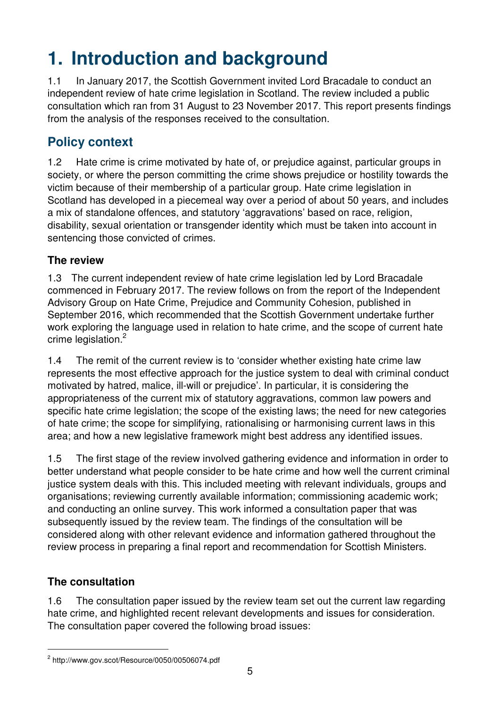# **1. Introduction and background**

1.1 In January 2017, the Scottish Government invited Lord Bracadale to conduct an independent review of hate crime legislation in Scotland. The review included a public consultation which ran from 31 August to 23 November 2017. This report presents findings from the analysis of the responses received to the consultation.

# **Policy context**

1.2 Hate crime is crime motivated by hate of, or prejudice against, particular groups in society, or where the person committing the crime shows prejudice or hostility towards the victim because of their membership of a particular group. Hate crime legislation in Scotland has developed in a piecemeal way over a period of about 50 years, and includes a mix of standalone offences, and statutory 'aggravations' based on race, religion, disability, sexual orientation or transgender identity which must be taken into account in sentencing those convicted of crimes.

## **The review**

1.3 The current independent review of hate crime legislation led by Lord Bracadale commenced in February 2017. The review follows on from the report of the Independent Advisory Group on Hate Crime, Prejudice and Community Cohesion, published in September 2016, which recommended that the Scottish Government undertake further work exploring the language used in relation to hate crime, and the scope of current hate crime legislation.<sup>2</sup>

1.4 The remit of the current review is to 'consider whether existing hate crime law represents the most effective approach for the justice system to deal with criminal conduct motivated by hatred, malice, ill-will or prejudice'. In particular, it is considering the appropriateness of the current mix of statutory aggravations, common law powers and specific hate crime legislation; the scope of the existing laws; the need for new categories of hate crime; the scope for simplifying, rationalising or harmonising current laws in this area; and how a new legislative framework might best address any identified issues.

1.5 The first stage of the review involved gathering evidence and information in order to better understand what people consider to be hate crime and how well the current criminal justice system deals with this. This included meeting with relevant individuals, groups and organisations; reviewing currently available information; commissioning academic work; and conducting an online survey. This work informed a consultation paper that was subsequently issued by the review team. The findings of the consultation will be considered along with other relevant evidence and information gathered throughout the review process in preparing a final report and recommendation for Scottish Ministers.

## **The consultation**

 $\overline{a}$ 

1.6 The consultation paper issued by the review team set out the current law regarding hate crime, and highlighted recent relevant developments and issues for consideration. The consultation paper covered the following broad issues:

<sup>&</sup>lt;sup>2</sup> http://www.gov.scot/Resource/0050/00506074.pdf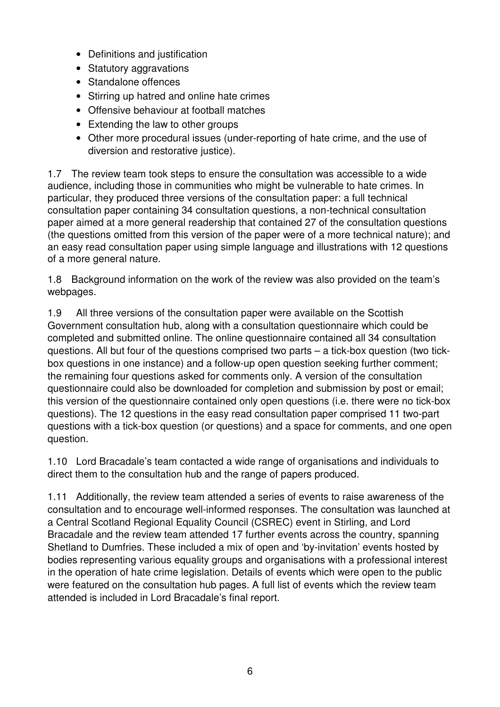- Definitions and justification
- Statutory aggravations
- Standalone offences
- Stirring up hatred and online hate crimes
- Offensive behaviour at football matches
- Extending the law to other groups
- Other more procedural issues (under-reporting of hate crime, and the use of diversion and restorative justice).

1.7 The review team took steps to ensure the consultation was accessible to a wide audience, including those in communities who might be vulnerable to hate crimes. In particular, they produced three versions of the consultation paper: a full technical consultation paper containing 34 consultation questions, a non-technical consultation paper aimed at a more general readership that contained 27 of the consultation questions (the questions omitted from this version of the paper were of a more technical nature); and an easy read consultation paper using simple language and illustrations with 12 questions of a more general nature.

1.8 Background information on the work of the review was also provided on the team's webpages.

1.9 All three versions of the consultation paper were available on the Scottish Government consultation hub, along with a consultation questionnaire which could be completed and submitted online. The online questionnaire contained all 34 consultation questions. All but four of the questions comprised two parts – a tick-box question (two tickbox questions in one instance) and a follow-up open question seeking further comment; the remaining four questions asked for comments only. A version of the consultation questionnaire could also be downloaded for completion and submission by post or email; this version of the questionnaire contained only open questions (i.e. there were no tick-box questions). The 12 questions in the easy read consultation paper comprised 11 two-part questions with a tick-box question (or questions) and a space for comments, and one open question.

1.10 Lord Bracadale's team contacted a wide range of organisations and individuals to direct them to the consultation hub and the range of papers produced.

1.11 Additionally, the review team attended a series of events to raise awareness of the consultation and to encourage well-informed responses. The consultation was launched at a Central Scotland Regional Equality Council (CSREC) event in Stirling, and Lord Bracadale and the review team attended 17 further events across the country, spanning Shetland to Dumfries. These included a mix of open and 'by-invitation' events hosted by bodies representing various equality groups and organisations with a professional interest in the operation of hate crime legislation. Details of events which were open to the public were featured on the consultation hub pages. A full list of events which the review team attended is included in Lord Bracadale's final report.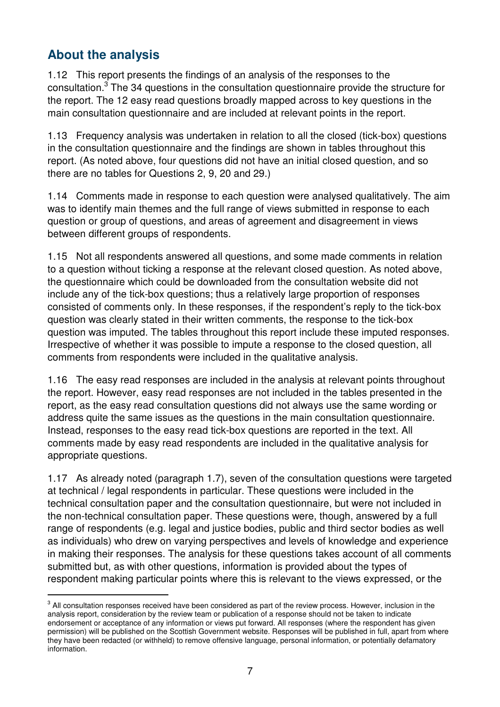## **About the analysis**

 $\overline{a}$ 

1.12 This report presents the findings of an analysis of the responses to the consultation.<sup>3</sup> The 34 questions in the consultation questionnaire provide the structure for the report. The 12 easy read questions broadly mapped across to key questions in the main consultation questionnaire and are included at relevant points in the report.

1.13 Frequency analysis was undertaken in relation to all the closed (tick-box) questions in the consultation questionnaire and the findings are shown in tables throughout this report. (As noted above, four questions did not have an initial closed question, and so there are no tables for Questions 2, 9, 20 and 29.)

1.14 Comments made in response to each question were analysed qualitatively. The aim was to identify main themes and the full range of views submitted in response to each question or group of questions, and areas of agreement and disagreement in views between different groups of respondents.

1.15 Not all respondents answered all questions, and some made comments in relation to a question without ticking a response at the relevant closed question. As noted above, the questionnaire which could be downloaded from the consultation website did not include any of the tick-box questions; thus a relatively large proportion of responses consisted of comments only. In these responses, if the respondent's reply to the tick-box question was clearly stated in their written comments, the response to the tick-box question was imputed. The tables throughout this report include these imputed responses. Irrespective of whether it was possible to impute a response to the closed question, all comments from respondents were included in the qualitative analysis.

1.16 The easy read responses are included in the analysis at relevant points throughout the report. However, easy read responses are not included in the tables presented in the report, as the easy read consultation questions did not always use the same wording or address quite the same issues as the questions in the main consultation questionnaire. Instead, responses to the easy read tick-box questions are reported in the text. All comments made by easy read respondents are included in the qualitative analysis for appropriate questions.

1.17 As already noted (paragraph 1.7), seven of the consultation questions were targeted at technical / legal respondents in particular. These questions were included in the technical consultation paper and the consultation questionnaire, but were not included in the non-technical consultation paper. These questions were, though, answered by a full range of respondents (e.g. legal and justice bodies, public and third sector bodies as well as individuals) who drew on varying perspectives and levels of knowledge and experience in making their responses. The analysis for these questions takes account of all comments submitted but, as with other questions, information is provided about the types of respondent making particular points where this is relevant to the views expressed, or the

 $^3$  All consultation responses received have been considered as part of the review process. However, inclusion in the analysis report, consideration by the review team or publication of a response should not be taken to indicate endorsement or acceptance of any information or views put forward. All responses (where the respondent has given permission) will be published on the Scottish Government website. Responses will be published in full, apart from where they have been redacted (or withheld) to remove offensive language, personal information, or potentially defamatory information.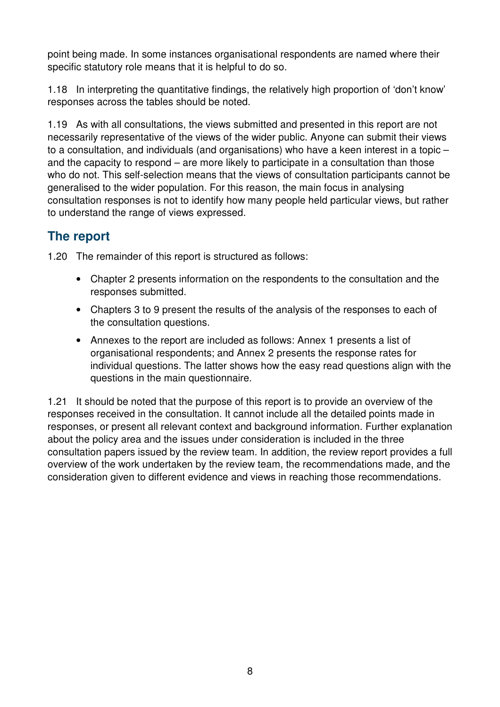point being made. In some instances organisational respondents are named where their specific statutory role means that it is helpful to do so.

1.18 In interpreting the quantitative findings, the relatively high proportion of 'don't know' responses across the tables should be noted.

1.19 As with all consultations, the views submitted and presented in this report are not necessarily representative of the views of the wider public. Anyone can submit their views to a consultation, and individuals (and organisations) who have a keen interest in a topic – and the capacity to respond – are more likely to participate in a consultation than those who do not. This self-selection means that the views of consultation participants cannot be generalised to the wider population. For this reason, the main focus in analysing consultation responses is not to identify how many people held particular views, but rather to understand the range of views expressed.

## **The report**

1.20 The remainder of this report is structured as follows:

- Chapter 2 presents information on the respondents to the consultation and the responses submitted.
- Chapters 3 to 9 present the results of the analysis of the responses to each of the consultation questions.
- Annexes to the report are included as follows: Annex 1 presents a list of organisational respondents; and Annex 2 presents the response rates for individual questions. The latter shows how the easy read questions align with the questions in the main questionnaire.

1.21 It should be noted that the purpose of this report is to provide an overview of the responses received in the consultation. It cannot include all the detailed points made in responses, or present all relevant context and background information. Further explanation about the policy area and the issues under consideration is included in the three consultation papers issued by the review team. In addition, the review report provides a full overview of the work undertaken by the review team, the recommendations made, and the consideration given to different evidence and views in reaching those recommendations.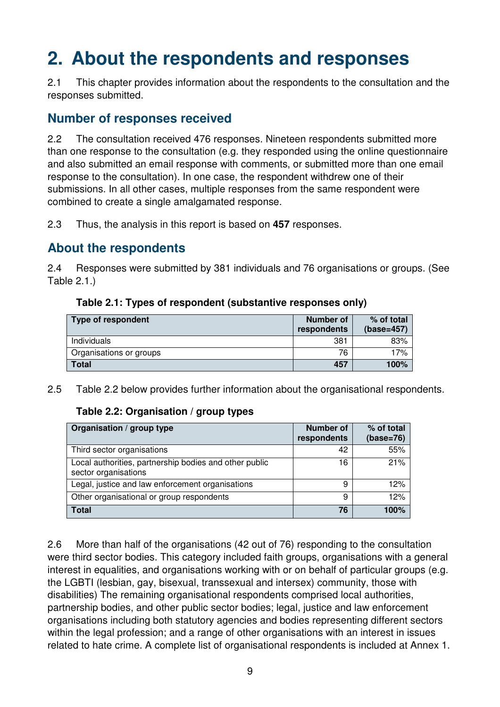# **2. About the respondents and responses**

2.1 This chapter provides information about the respondents to the consultation and the responses submitted.

## **Number of responses received**

2.2 The consultation received 476 responses. Nineteen respondents submitted more than one response to the consultation (e.g. they responded using the online questionnaire and also submitted an email response with comments, or submitted more than one email response to the consultation). In one case, the respondent withdrew one of their submissions. In all other cases, multiple responses from the same respondent were combined to create a single amalgamated response.

2.3 Thus, the analysis in this report is based on **457** responses.

## **About the respondents**

2.4 Responses were submitted by 381 individuals and 76 organisations or groups. (See Table 2.1.)

| Type of respondent      | Number of<br>respondents | % of total<br>$(base=457)$ |
|-------------------------|--------------------------|----------------------------|
| Individuals             | 381                      | 83%                        |
| Organisations or groups | 76                       | 17%                        |
| Total                   | 457                      | 100%                       |

#### **Table 2.1: Types of respondent (substantive responses only)**

2.5 Table 2.2 below provides further information about the organisational respondents.

#### **Table 2.2: Organisation / group types**

| Organisation / group type                                                      | <b>Number of</b><br>respondents | % of total<br>$(base=76)$ |
|--------------------------------------------------------------------------------|---------------------------------|---------------------------|
| Third sector organisations                                                     | 42                              | 55%                       |
| Local authorities, partnership bodies and other public<br>sector organisations | 16                              | 21%                       |
| Legal, justice and law enforcement organisations                               | 9                               | 12%                       |
| Other organisational or group respondents                                      | 9                               | 12%                       |
| <b>Total</b>                                                                   | 76                              | 100%                      |

2.6 More than half of the organisations (42 out of 76) responding to the consultation were third sector bodies. This category included faith groups, organisations with a general interest in equalities, and organisations working with or on behalf of particular groups (e.g. the LGBTI (lesbian, gay, bisexual, transsexual and intersex) community, those with disabilities) The remaining organisational respondents comprised local authorities, partnership bodies, and other public sector bodies; legal, justice and law enforcement organisations including both statutory agencies and bodies representing different sectors within the legal profession; and a range of other organisations with an interest in issues related to hate crime. A complete list of organisational respondents is included at Annex 1.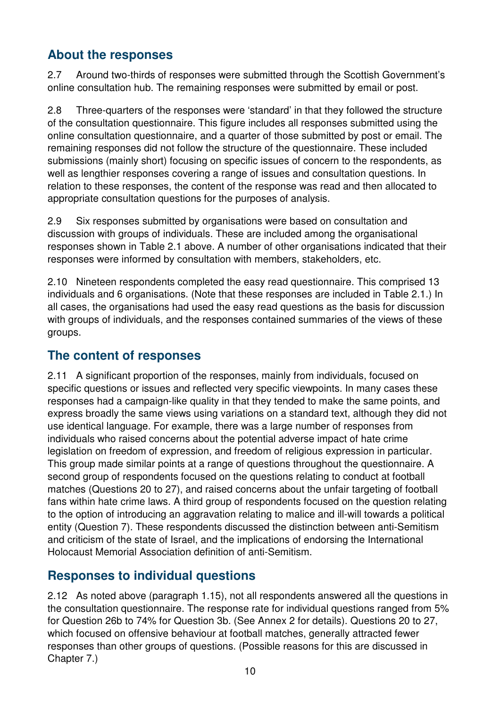## **About the responses**

2.7 Around two-thirds of responses were submitted through the Scottish Government's online consultation hub. The remaining responses were submitted by email or post.

2.8 Three-quarters of the responses were 'standard' in that they followed the structure of the consultation questionnaire. This figure includes all responses submitted using the online consultation questionnaire, and a quarter of those submitted by post or email. The remaining responses did not follow the structure of the questionnaire. These included submissions (mainly short) focusing on specific issues of concern to the respondents, as well as lengthier responses covering a range of issues and consultation questions. In relation to these responses, the content of the response was read and then allocated to appropriate consultation questions for the purposes of analysis.

2.9 Six responses submitted by organisations were based on consultation and discussion with groups of individuals. These are included among the organisational responses shown in Table 2.1 above. A number of other organisations indicated that their responses were informed by consultation with members, stakeholders, etc.

2.10 Nineteen respondents completed the easy read questionnaire. This comprised 13 individuals and 6 organisations. (Note that these responses are included in Table 2.1.) In all cases, the organisations had used the easy read questions as the basis for discussion with groups of individuals, and the responses contained summaries of the views of these groups.

## **The content of responses**

2.11 A significant proportion of the responses, mainly from individuals, focused on specific questions or issues and reflected very specific viewpoints. In many cases these responses had a campaign-like quality in that they tended to make the same points, and express broadly the same views using variations on a standard text, although they did not use identical language. For example, there was a large number of responses from individuals who raised concerns about the potential adverse impact of hate crime legislation on freedom of expression, and freedom of religious expression in particular. This group made similar points at a range of questions throughout the questionnaire. A second group of respondents focused on the questions relating to conduct at football matches (Questions 20 to 27), and raised concerns about the unfair targeting of football fans within hate crime laws. A third group of respondents focused on the question relating to the option of introducing an aggravation relating to malice and ill-will towards a political entity (Question 7). These respondents discussed the distinction between anti-Semitism and criticism of the state of Israel, and the implications of endorsing the International Holocaust Memorial Association definition of anti-Semitism.

## **Responses to individual questions**

2.12 As noted above (paragraph 1.15), not all respondents answered all the questions in the consultation questionnaire. The response rate for individual questions ranged from 5% for Question 26b to 74% for Question 3b. (See Annex 2 for details). Questions 20 to 27, which focused on offensive behaviour at football matches, generally attracted fewer responses than other groups of questions. (Possible reasons for this are discussed in Chapter 7.)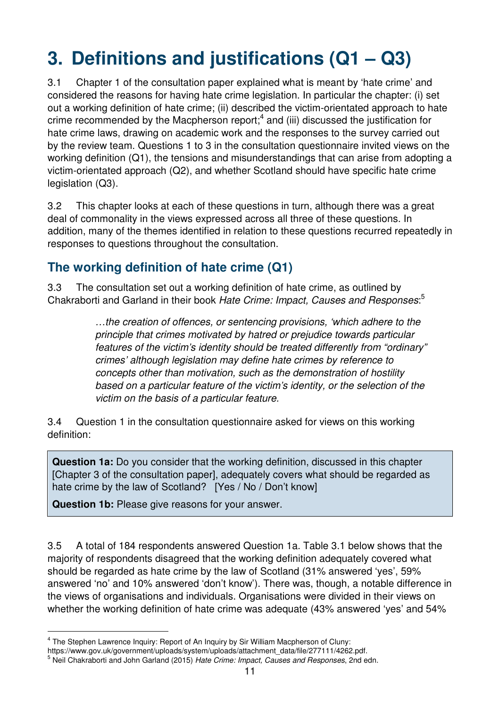# **3. Definitions and justifications (Q1 – Q3)**

3.1 Chapter 1 of the consultation paper explained what is meant by 'hate crime' and considered the reasons for having hate crime legislation. In particular the chapter: (i) set out a working definition of hate crime; (ii) described the victim-orientated approach to hate crime recommended by the Macpherson report;<sup>4</sup> and (iii) discussed the justification for hate crime laws, drawing on academic work and the responses to the survey carried out by the review team. Questions 1 to 3 in the consultation questionnaire invited views on the working definition (Q1), the tensions and misunderstandings that can arise from adopting a victim-orientated approach (Q2), and whether Scotland should have specific hate crime legislation (Q3).

3.2 This chapter looks at each of these questions in turn, although there was a great deal of commonality in the views expressed across all three of these questions. In addition, many of the themes identified in relation to these questions recurred repeatedly in responses to questions throughout the consultation.

## **The working definition of hate crime (Q1)**

3.3 The consultation set out a working definition of hate crime, as outlined by Chakraborti and Garland in their book Hate Crime: Impact, Causes and Responses:<sup>5</sup>

> …the creation of offences, or sentencing provisions, 'which adhere to the principle that crimes motivated by hatred or prejudice towards particular features of the victim's identity should be treated differently from "ordinary" crimes' although legislation may define hate crimes by reference to concepts other than motivation, such as the demonstration of hostility based on a particular feature of the victim's identity, or the selection of the victim on the basis of a particular feature.

3.4 Question 1 in the consultation questionnaire asked for views on this working definition:

**Question 1a:** Do you consider that the working definition, discussed in this chapter [Chapter 3 of the consultation paper], adequately covers what should be regarded as hate crime by the law of Scotland? [Yes / No / Don't know]

**Question 1b:** Please give reasons for your answer.

 $\overline{a}$ 

3.5 A total of 184 respondents answered Question 1a. Table 3.1 below shows that the majority of respondents disagreed that the working definition adequately covered what should be regarded as hate crime by the law of Scotland (31% answered 'yes', 59% answered 'no' and 10% answered 'don't know'). There was, though, a notable difference in the views of organisations and individuals. Organisations were divided in their views on whether the working definition of hate crime was adequate (43% answered 'yes' and 54%

<sup>&</sup>lt;sup>4</sup> The Stephen Lawrence Inquiry: Report of An Inquiry by Sir William Macpherson of Cluny:

https://www.gov.uk/government/uploads/system/uploads/attachment\_data/file/277111/4262.pdf.

<sup>&</sup>lt;sup>5</sup> Neil Chakraborti and John Garland (2015) Hate Crime: Impact, Causes and Responses, 2nd edn.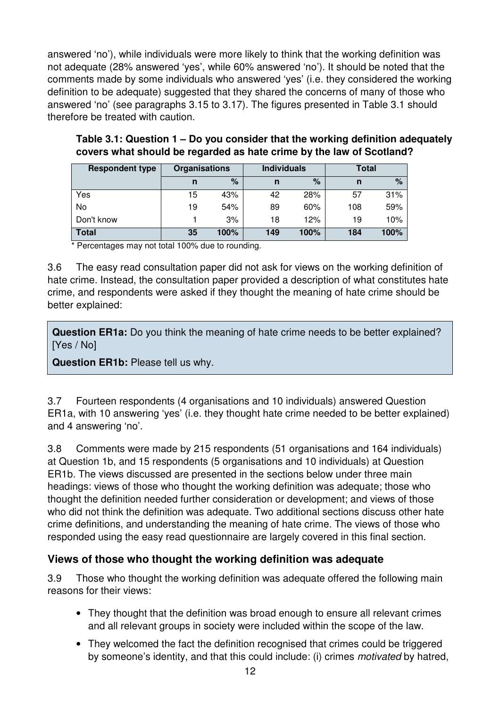answered 'no'), while individuals were more likely to think that the working definition was not adequate (28% answered 'yes', while 60% answered 'no'). It should be noted that the comments made by some individuals who answered 'yes' (i.e. they considered the working definition to be adequate) suggested that they shared the concerns of many of those who answered 'no' (see paragraphs 3.15 to 3.17). The figures presented in Table 3.1 should therefore be treated with caution.

| <b>Respondent type</b> | <b>Organisations</b> |      | <b>Individuals</b> |      | Total |      |
|------------------------|----------------------|------|--------------------|------|-------|------|
|                        | n                    | $\%$ |                    | %    | n     | $\%$ |
| Yes                    | 15                   | 43%  | 42                 | 28%  | 57    | 31%  |
| No                     | 19                   | 54%  | 89                 | 60%  | 108   | 59%  |
| Don't know             |                      | 3%   | 18                 | 12%  | 19    | 10%  |
| <b>Total</b>           | 35                   | 100% | 149                | 100% | 184   | 100% |

#### **Table 3.1: Question 1 – Do you consider that the working definition adequately covers what should be regarded as hate crime by the law of Scotland?**

\* Percentages may not total 100% due to rounding.

3.6 The easy read consultation paper did not ask for views on the working definition of hate crime. Instead, the consultation paper provided a description of what constitutes hate crime, and respondents were asked if they thought the meaning of hate crime should be better explained:

**Question ER1a:** Do you think the meaning of hate crime needs to be better explained? [Yes / No]

**Question ER1b:** Please tell us why.

3.7 Fourteen respondents (4 organisations and 10 individuals) answered Question ER1a, with 10 answering 'yes' (i.e. they thought hate crime needed to be better explained) and 4 answering 'no'.

3.8 Comments were made by 215 respondents (51 organisations and 164 individuals) at Question 1b, and 15 respondents (5 organisations and 10 individuals) at Question ER1b. The views discussed are presented in the sections below under three main headings: views of those who thought the working definition was adequate; those who thought the definition needed further consideration or development; and views of those who did not think the definition was adequate. Two additional sections discuss other hate crime definitions, and understanding the meaning of hate crime. The views of those who responded using the easy read questionnaire are largely covered in this final section.

## **Views of those who thought the working definition was adequate**

3.9 Those who thought the working definition was adequate offered the following main reasons for their views:

- They thought that the definition was broad enough to ensure all relevant crimes and all relevant groups in society were included within the scope of the law.
- They welcomed the fact the definition recognised that crimes could be triggered by someone's identity, and that this could include: (i) crimes motivated by hatred,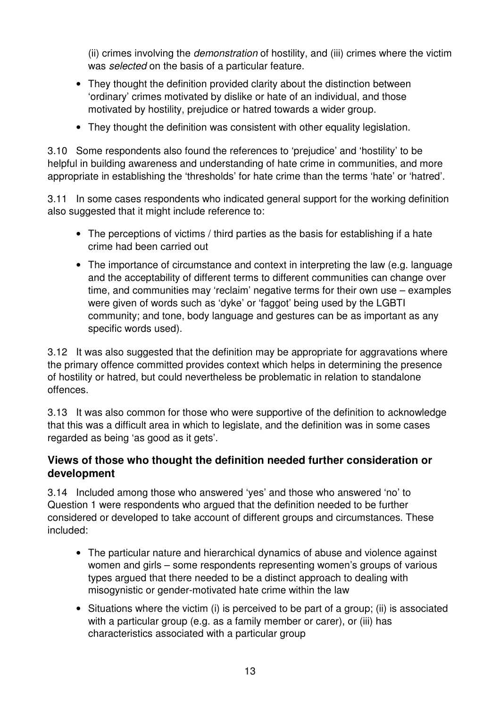(ii) crimes involving the demonstration of hostility, and (iii) crimes where the victim was *selected* on the basis of a particular feature.

- They thought the definition provided clarity about the distinction between 'ordinary' crimes motivated by dislike or hate of an individual, and those motivated by hostility, prejudice or hatred towards a wider group.
- They thought the definition was consistent with other equality legislation.

3.10 Some respondents also found the references to 'prejudice' and 'hostility' to be helpful in building awareness and understanding of hate crime in communities, and more appropriate in establishing the 'thresholds' for hate crime than the terms 'hate' or 'hatred'.

3.11 In some cases respondents who indicated general support for the working definition also suggested that it might include reference to:

- The perceptions of victims / third parties as the basis for establishing if a hate crime had been carried out
- The importance of circumstance and context in interpreting the law (e.g. language and the acceptability of different terms to different communities can change over time, and communities may 'reclaim' negative terms for their own use – examples were given of words such as 'dyke' or 'faggot' being used by the LGBTI community; and tone, body language and gestures can be as important as any specific words used).

3.12 It was also suggested that the definition may be appropriate for aggravations where the primary offence committed provides context which helps in determining the presence of hostility or hatred, but could nevertheless be problematic in relation to standalone offences.

3.13 It was also common for those who were supportive of the definition to acknowledge that this was a difficult area in which to legislate, and the definition was in some cases regarded as being 'as good as it gets'.

## **Views of those who thought the definition needed further consideration or development**

3.14 Included among those who answered 'yes' and those who answered 'no' to Question 1 were respondents who argued that the definition needed to be further considered or developed to take account of different groups and circumstances. These included:

- The particular nature and hierarchical dynamics of abuse and violence against women and girls – some respondents representing women's groups of various types argued that there needed to be a distinct approach to dealing with misogynistic or gender-motivated hate crime within the law
- Situations where the victim (i) is perceived to be part of a group; (ii) is associated with a particular group (e.g. as a family member or carer), or (iii) has characteristics associated with a particular group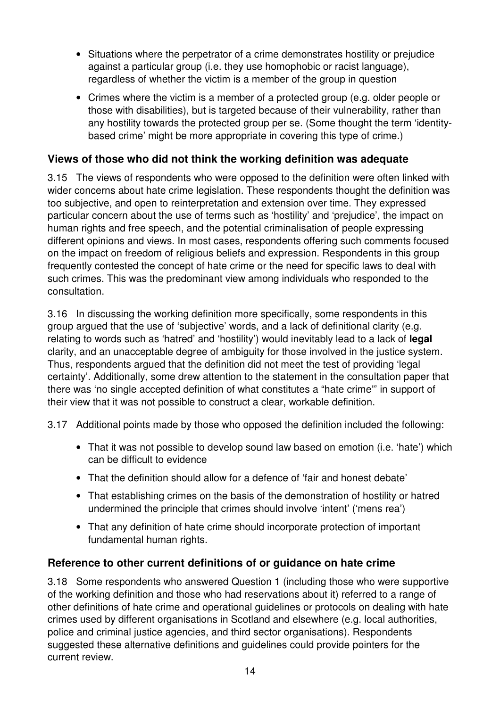- Situations where the perpetrator of a crime demonstrates hostility or prejudice against a particular group (i.e. they use homophobic or racist language), regardless of whether the victim is a member of the group in question
- Crimes where the victim is a member of a protected group (e.g. older people or those with disabilities), but is targeted because of their vulnerability, rather than any hostility towards the protected group per se. (Some thought the term 'identitybased crime' might be more appropriate in covering this type of crime.)

## **Views of those who did not think the working definition was adequate**

3.15 The views of respondents who were opposed to the definition were often linked with wider concerns about hate crime legislation. These respondents thought the definition was too subjective, and open to reinterpretation and extension over time. They expressed particular concern about the use of terms such as 'hostility' and 'prejudice', the impact on human rights and free speech, and the potential criminalisation of people expressing different opinions and views. In most cases, respondents offering such comments focused on the impact on freedom of religious beliefs and expression. Respondents in this group frequently contested the concept of hate crime or the need for specific laws to deal with such crimes. This was the predominant view among individuals who responded to the consultation.

3.16 In discussing the working definition more specifically, some respondents in this group argued that the use of 'subjective' words, and a lack of definitional clarity (e.g. relating to words such as 'hatred' and 'hostility') would inevitably lead to a lack of **legal** clarity, and an unacceptable degree of ambiguity for those involved in the justice system. Thus, respondents argued that the definition did not meet the test of providing 'legal certainty'. Additionally, some drew attention to the statement in the consultation paper that there was 'no single accepted definition of what constitutes a "hate crime"' in support of their view that it was not possible to construct a clear, workable definition.

3.17 Additional points made by those who opposed the definition included the following:

- That it was not possible to develop sound law based on emotion (i.e. 'hate') which can be difficult to evidence
- That the definition should allow for a defence of 'fair and honest debate'
- That establishing crimes on the basis of the demonstration of hostility or hatred undermined the principle that crimes should involve 'intent' ('mens rea')
- That any definition of hate crime should incorporate protection of important fundamental human rights.

## **Reference to other current definitions of or guidance on hate crime**

3.18 Some respondents who answered Question 1 (including those who were supportive of the working definition and those who had reservations about it) referred to a range of other definitions of hate crime and operational guidelines or protocols on dealing with hate crimes used by different organisations in Scotland and elsewhere (e.g. local authorities, police and criminal justice agencies, and third sector organisations). Respondents suggested these alternative definitions and guidelines could provide pointers for the current review.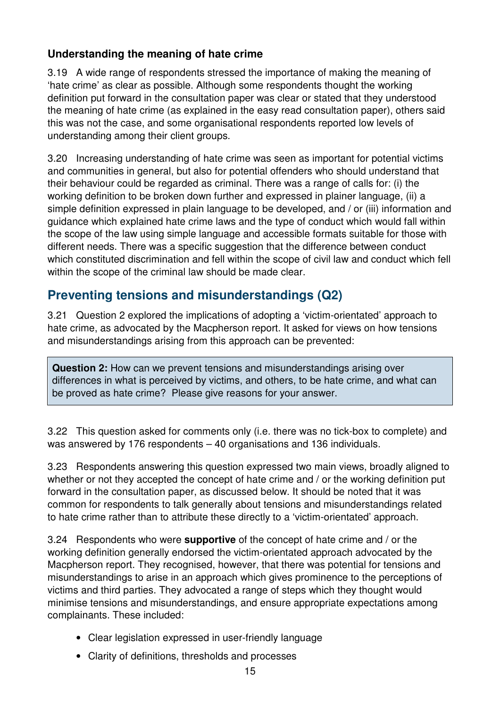## **Understanding the meaning of hate crime**

3.19 A wide range of respondents stressed the importance of making the meaning of 'hate crime' as clear as possible. Although some respondents thought the working definition put forward in the consultation paper was clear or stated that they understood the meaning of hate crime (as explained in the easy read consultation paper), others said this was not the case, and some organisational respondents reported low levels of understanding among their client groups.

3.20 Increasing understanding of hate crime was seen as important for potential victims and communities in general, but also for potential offenders who should understand that their behaviour could be regarded as criminal. There was a range of calls for: (i) the working definition to be broken down further and expressed in plainer language, (ii) a simple definition expressed in plain language to be developed, and / or (iii) information and guidance which explained hate crime laws and the type of conduct which would fall within the scope of the law using simple language and accessible formats suitable for those with different needs. There was a specific suggestion that the difference between conduct which constituted discrimination and fell within the scope of civil law and conduct which fell within the scope of the criminal law should be made clear.

## **Preventing tensions and misunderstandings (Q2)**

3.21 Question 2 explored the implications of adopting a 'victim-orientated' approach to hate crime, as advocated by the Macpherson report. It asked for views on how tensions and misunderstandings arising from this approach can be prevented:

**Question 2:** How can we prevent tensions and misunderstandings arising over differences in what is perceived by victims, and others, to be hate crime, and what can be proved as hate crime? Please give reasons for your answer.

3.22 This question asked for comments only (i.e. there was no tick-box to complete) and was answered by 176 respondents – 40 organisations and 136 individuals.

3.23 Respondents answering this question expressed two main views, broadly aligned to whether or not they accepted the concept of hate crime and / or the working definition put forward in the consultation paper, as discussed below. It should be noted that it was common for respondents to talk generally about tensions and misunderstandings related to hate crime rather than to attribute these directly to a 'victim-orientated' approach.

3.24 Respondents who were **supportive** of the concept of hate crime and / or the working definition generally endorsed the victim-orientated approach advocated by the Macpherson report. They recognised, however, that there was potential for tensions and misunderstandings to arise in an approach which gives prominence to the perceptions of victims and third parties. They advocated a range of steps which they thought would minimise tensions and misunderstandings, and ensure appropriate expectations among complainants. These included:

- Clear legislation expressed in user-friendly language
- Clarity of definitions, thresholds and processes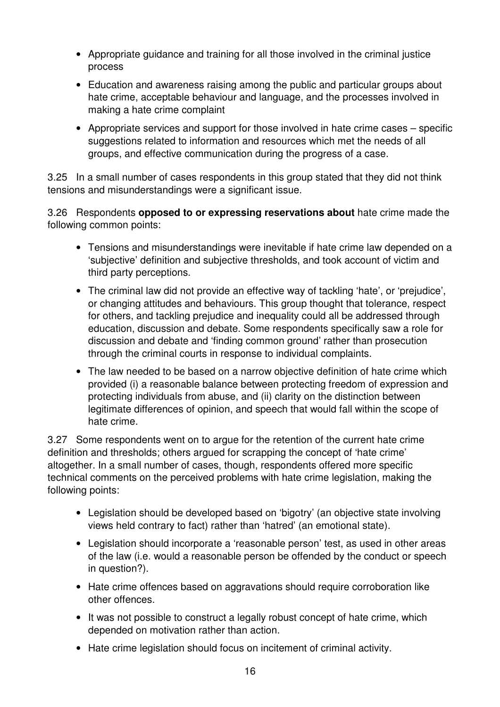- Appropriate guidance and training for all those involved in the criminal justice process
- Education and awareness raising among the public and particular groups about hate crime, acceptable behaviour and language, and the processes involved in making a hate crime complaint
- Appropriate services and support for those involved in hate crime cases specific suggestions related to information and resources which met the needs of all groups, and effective communication during the progress of a case.

3.25 In a small number of cases respondents in this group stated that they did not think tensions and misunderstandings were a significant issue.

3.26 Respondents **opposed to or expressing reservations about** hate crime made the following common points:

- Tensions and misunderstandings were inevitable if hate crime law depended on a 'subjective' definition and subjective thresholds, and took account of victim and third party perceptions.
- The criminal law did not provide an effective way of tackling 'hate', or 'prejudice', or changing attitudes and behaviours. This group thought that tolerance, respect for others, and tackling prejudice and inequality could all be addressed through education, discussion and debate. Some respondents specifically saw a role for discussion and debate and 'finding common ground' rather than prosecution through the criminal courts in response to individual complaints.
- The law needed to be based on a narrow objective definition of hate crime which provided (i) a reasonable balance between protecting freedom of expression and protecting individuals from abuse, and (ii) clarity on the distinction between legitimate differences of opinion, and speech that would fall within the scope of hate crime.

3.27 Some respondents went on to argue for the retention of the current hate crime definition and thresholds; others argued for scrapping the concept of 'hate crime' altogether. In a small number of cases, though, respondents offered more specific technical comments on the perceived problems with hate crime legislation, making the following points:

- Legislation should be developed based on 'bigotry' (an objective state involving views held contrary to fact) rather than 'hatred' (an emotional state).
- Legislation should incorporate a 'reasonable person' test, as used in other areas of the law (i.e. would a reasonable person be offended by the conduct or speech in question?).
- Hate crime offences based on aggravations should require corroboration like other offences.
- It was not possible to construct a legally robust concept of hate crime, which depended on motivation rather than action.
- Hate crime legislation should focus on incitement of criminal activity.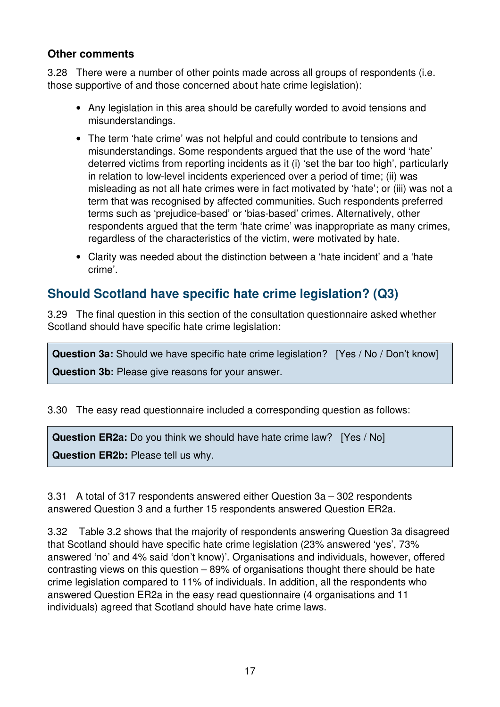#### **Other comments**

3.28 There were a number of other points made across all groups of respondents (i.e. those supportive of and those concerned about hate crime legislation):

- Any legislation in this area should be carefully worded to avoid tensions and misunderstandings.
- The term 'hate crime' was not helpful and could contribute to tensions and misunderstandings. Some respondents argued that the use of the word 'hate' deterred victims from reporting incidents as it (i) 'set the bar too high', particularly in relation to low-level incidents experienced over a period of time; (ii) was misleading as not all hate crimes were in fact motivated by 'hate'; or (iii) was not a term that was recognised by affected communities. Such respondents preferred terms such as 'prejudice-based' or 'bias-based' crimes. Alternatively, other respondents argued that the term 'hate crime' was inappropriate as many crimes, regardless of the characteristics of the victim, were motivated by hate.
- Clarity was needed about the distinction between a 'hate incident' and a 'hate crime'.

## **Should Scotland have specific hate crime legislation? (Q3)**

3.29 The final question in this section of the consultation questionnaire asked whether Scotland should have specific hate crime legislation:

**Question 3a:** Should we have specific hate crime legislation? [Yes / No / Don't know] **Question 3b:** Please give reasons for your answer.

3.30 The easy read questionnaire included a corresponding question as follows:

**Question ER2a:** Do you think we should have hate crime law? [Yes / No] **Question ER2b:** Please tell us why.

3.31 A total of 317 respondents answered either Question 3a – 302 respondents answered Question 3 and a further 15 respondents answered Question ER2a.

3.32 Table 3.2 shows that the majority of respondents answering Question 3a disagreed that Scotland should have specific hate crime legislation (23% answered 'yes', 73% answered 'no' and 4% said 'don't know)'. Organisations and individuals, however, offered contrasting views on this question – 89% of organisations thought there should be hate crime legislation compared to 11% of individuals. In addition, all the respondents who answered Question ER2a in the easy read questionnaire (4 organisations and 11 individuals) agreed that Scotland should have hate crime laws.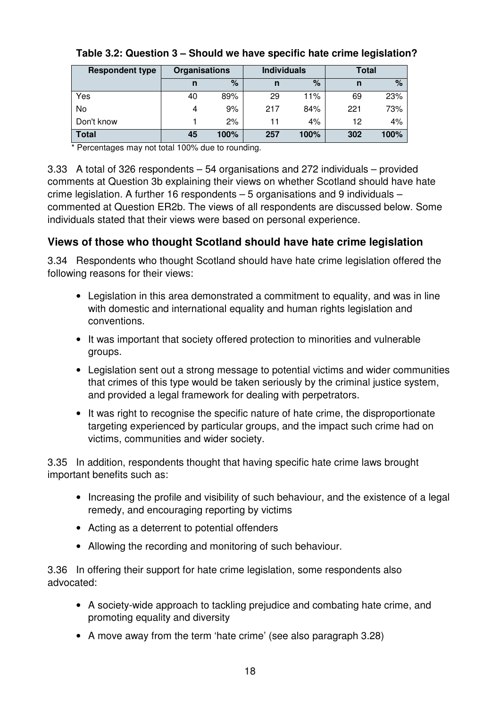| <b>Respondent type</b> | <b>Organisations</b> |      |     | <b>Individuals</b> | Total |       |  |
|------------------------|----------------------|------|-----|--------------------|-------|-------|--|
|                        | n                    | %    | n   | $\%$               | n     | %     |  |
| Yes                    | 40                   | 89%  | 29  | 11%                | 69    | 23%   |  |
| No                     | 4                    | 9%   | 217 | 84%                | 221   | 73%   |  |
| Don't know             |                      | 2%   |     | 4%                 | 12    | $4\%$ |  |
| <b>Total</b>           | 45                   | 100% | 257 | 100%               | 302   | 100%  |  |

#### **Table 3.2: Question 3 – Should we have specific hate crime legislation?**

\* Percentages may not total 100% due to rounding.

3.33 A total of 326 respondents – 54 organisations and 272 individuals – provided comments at Question 3b explaining their views on whether Scotland should have hate crime legislation. A further 16 respondents – 5 organisations and 9 individuals – commented at Question ER2b. The views of all respondents are discussed below. Some individuals stated that their views were based on personal experience.

## **Views of those who thought Scotland should have hate crime legislation**

3.34 Respondents who thought Scotland should have hate crime legislation offered the following reasons for their views:

- Legislation in this area demonstrated a commitment to equality, and was in line with domestic and international equality and human rights legislation and conventions.
- It was important that society offered protection to minorities and vulnerable groups.
- Legislation sent out a strong message to potential victims and wider communities that crimes of this type would be taken seriously by the criminal justice system, and provided a legal framework for dealing with perpetrators.
- It was right to recognise the specific nature of hate crime, the disproportionate targeting experienced by particular groups, and the impact such crime had on victims, communities and wider society.

3.35 In addition, respondents thought that having specific hate crime laws brought important benefits such as:

- Increasing the profile and visibility of such behaviour, and the existence of a legal remedy, and encouraging reporting by victims
- Acting as a deterrent to potential offenders
- Allowing the recording and monitoring of such behaviour.

3.36 In offering their support for hate crime legislation, some respondents also advocated:

- A society-wide approach to tackling prejudice and combating hate crime, and promoting equality and diversity
- A move away from the term 'hate crime' (see also paragraph 3.28)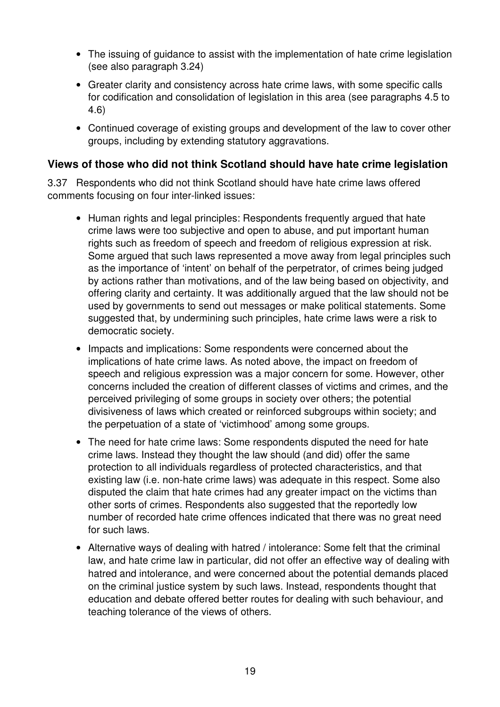- The issuing of quidance to assist with the implementation of hate crime legislation (see also paragraph 3.24)
- Greater clarity and consistency across hate crime laws, with some specific calls for codification and consolidation of legislation in this area (see paragraphs 4.5 to 4.6)
- Continued coverage of existing groups and development of the law to cover other groups, including by extending statutory aggravations.

## **Views of those who did not think Scotland should have hate crime legislation**

3.37 Respondents who did not think Scotland should have hate crime laws offered comments focusing on four inter-linked issues:

- Human rights and legal principles: Respondents frequently argued that hate crime laws were too subjective and open to abuse, and put important human rights such as freedom of speech and freedom of religious expression at risk. Some argued that such laws represented a move away from legal principles such as the importance of 'intent' on behalf of the perpetrator, of crimes being judged by actions rather than motivations, and of the law being based on objectivity, and offering clarity and certainty. It was additionally argued that the law should not be used by governments to send out messages or make political statements. Some suggested that, by undermining such principles, hate crime laws were a risk to democratic society.
- Impacts and implications: Some respondents were concerned about the implications of hate crime laws. As noted above, the impact on freedom of speech and religious expression was a major concern for some. However, other concerns included the creation of different classes of victims and crimes, and the perceived privileging of some groups in society over others; the potential divisiveness of laws which created or reinforced subgroups within society; and the perpetuation of a state of 'victimhood' among some groups.
- The need for hate crime laws: Some respondents disputed the need for hate crime laws. Instead they thought the law should (and did) offer the same protection to all individuals regardless of protected characteristics, and that existing law (i.e. non-hate crime laws) was adequate in this respect. Some also disputed the claim that hate crimes had any greater impact on the victims than other sorts of crimes. Respondents also suggested that the reportedly low number of recorded hate crime offences indicated that there was no great need for such laws.
- Alternative ways of dealing with hatred / intolerance: Some felt that the criminal law, and hate crime law in particular, did not offer an effective way of dealing with hatred and intolerance, and were concerned about the potential demands placed on the criminal justice system by such laws. Instead, respondents thought that education and debate offered better routes for dealing with such behaviour, and teaching tolerance of the views of others.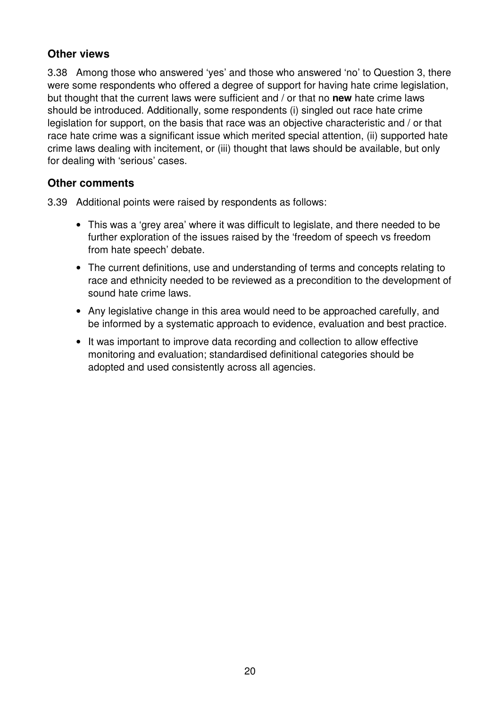## **Other views**

3.38 Among those who answered 'yes' and those who answered 'no' to Question 3, there were some respondents who offered a degree of support for having hate crime legislation, but thought that the current laws were sufficient and / or that no **new** hate crime laws should be introduced. Additionally, some respondents (i) singled out race hate crime legislation for support, on the basis that race was an objective characteristic and / or that race hate crime was a significant issue which merited special attention, (ii) supported hate crime laws dealing with incitement, or (iii) thought that laws should be available, but only for dealing with 'serious' cases.

## **Other comments**

3.39 Additional points were raised by respondents as follows:

- This was a 'grey area' where it was difficult to legislate, and there needed to be further exploration of the issues raised by the 'freedom of speech vs freedom from hate speech' debate.
- The current definitions, use and understanding of terms and concepts relating to race and ethnicity needed to be reviewed as a precondition to the development of sound hate crime laws.
- Any legislative change in this area would need to be approached carefully, and be informed by a systematic approach to evidence, evaluation and best practice.
- It was important to improve data recording and collection to allow effective monitoring and evaluation; standardised definitional categories should be adopted and used consistently across all agencies.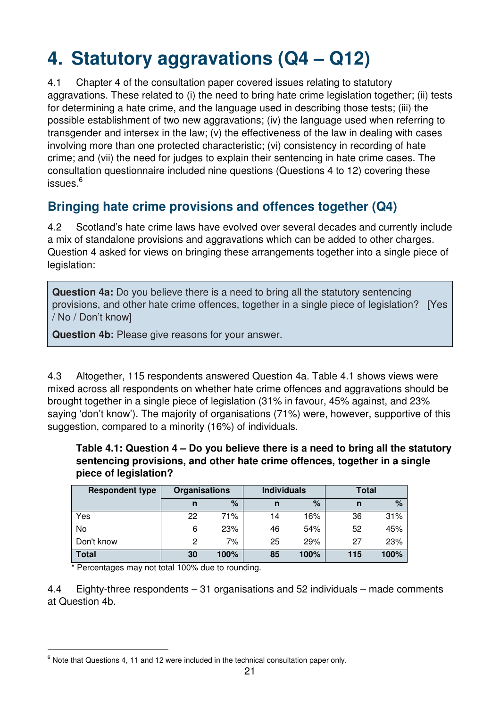# **4. Statutory aggravations (Q4 – Q12)**

4.1 Chapter 4 of the consultation paper covered issues relating to statutory aggravations. These related to (i) the need to bring hate crime legislation together; (ii) tests for determining a hate crime, and the language used in describing those tests; (iii) the possible establishment of two new aggravations; (iv) the language used when referring to transgender and intersex in the law; (v) the effectiveness of the law in dealing with cases involving more than one protected characteristic; (vi) consistency in recording of hate crime; and (vii) the need for judges to explain their sentencing in hate crime cases. The consultation questionnaire included nine questions (Questions 4 to 12) covering these issues.<sup>6</sup>

## **Bringing hate crime provisions and offences together (Q4)**

4.2 Scotland's hate crime laws have evolved over several decades and currently include a mix of standalone provisions and aggravations which can be added to other charges. Question 4 asked for views on bringing these arrangements together into a single piece of legislation:

**Question 4a:** Do you believe there is a need to bring all the statutory sentencing provisions, and other hate crime offences, together in a single piece of legislation? [Yes / No / Don't know]

**Question 4b:** Please give reasons for your answer.

4.3 Altogether, 115 respondents answered Question 4a. Table 4.1 shows views were mixed across all respondents on whether hate crime offences and aggravations should be brought together in a single piece of legislation (31% in favour, 45% against, and 23% saying 'don't know'). The majority of organisations (71%) were, however, supportive of this suggestion, compared to a minority (16%) of individuals.

#### **Table 4.1: Question 4 – Do you believe there is a need to bring all the statutory sentencing provisions, and other hate crime offences, together in a single piece of legislation?**

| <b>Respondent type</b> | Organisations |      |    | <b>Individuals</b> | <b>Total</b> |      |  |
|------------------------|---------------|------|----|--------------------|--------------|------|--|
|                        | n             | $\%$ | n  | %                  | n            | $\%$ |  |
| Yes                    | 22            | 71%  | 14 | 16%                | 36           | 31%  |  |
| No                     | 6             | 23%  | 46 | 54%                | 52           | 45%  |  |
| Don't know             | 2             | 7%   | 25 | 29%                | 27           | 23%  |  |
| Total                  | 30            | 100% | 85 | 100%               | 115          | 100% |  |

\* Percentages may not total 100% due to rounding.

 $\overline{a}$ 

4.4 Eighty-three respondents – 31 organisations and 52 individuals – made comments at Question 4b.

 $6$  Note that Questions 4, 11 and 12 were included in the technical consultation paper only.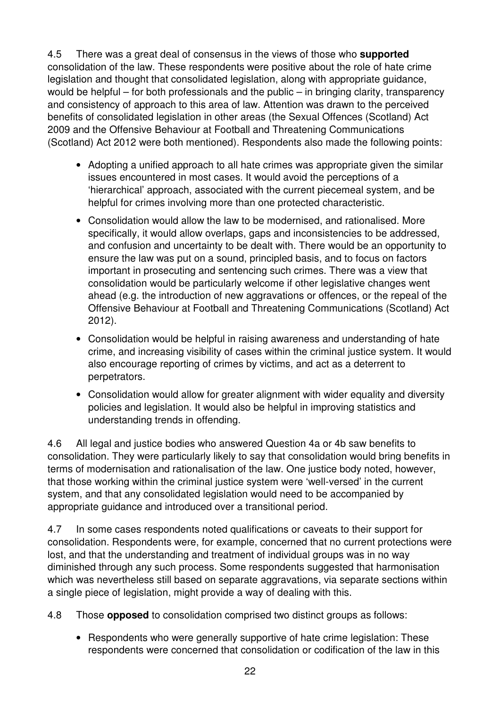4.5 There was a great deal of consensus in the views of those who **supported** consolidation of the law. These respondents were positive about the role of hate crime legislation and thought that consolidated legislation, along with appropriate guidance, would be helpful – for both professionals and the public – in bringing clarity, transparency and consistency of approach to this area of law. Attention was drawn to the perceived benefits of consolidated legislation in other areas (the Sexual Offences (Scotland) Act 2009 and the Offensive Behaviour at Football and Threatening Communications (Scotland) Act 2012 were both mentioned). Respondents also made the following points:

- Adopting a unified approach to all hate crimes was appropriate given the similar issues encountered in most cases. It would avoid the perceptions of a 'hierarchical' approach, associated with the current piecemeal system, and be helpful for crimes involving more than one protected characteristic.
- Consolidation would allow the law to be modernised, and rationalised. More specifically, it would allow overlaps, gaps and inconsistencies to be addressed, and confusion and uncertainty to be dealt with. There would be an opportunity to ensure the law was put on a sound, principled basis, and to focus on factors important in prosecuting and sentencing such crimes. There was a view that consolidation would be particularly welcome if other legislative changes went ahead (e.g. the introduction of new aggravations or offences, or the repeal of the Offensive Behaviour at Football and Threatening Communications (Scotland) Act 2012).
- Consolidation would be helpful in raising awareness and understanding of hate crime, and increasing visibility of cases within the criminal justice system. It would also encourage reporting of crimes by victims, and act as a deterrent to perpetrators.
- Consolidation would allow for greater alignment with wider equality and diversity policies and legislation. It would also be helpful in improving statistics and understanding trends in offending.

4.6 All legal and justice bodies who answered Question 4a or 4b saw benefits to consolidation. They were particularly likely to say that consolidation would bring benefits in terms of modernisation and rationalisation of the law. One justice body noted, however, that those working within the criminal justice system were 'well-versed' in the current system, and that any consolidated legislation would need to be accompanied by appropriate guidance and introduced over a transitional period.

4.7 In some cases respondents noted qualifications or caveats to their support for consolidation. Respondents were, for example, concerned that no current protections were lost, and that the understanding and treatment of individual groups was in no way diminished through any such process. Some respondents suggested that harmonisation which was nevertheless still based on separate aggravations, via separate sections within a single piece of legislation, might provide a way of dealing with this.

4.8 Those **opposed** to consolidation comprised two distinct groups as follows:

• Respondents who were generally supportive of hate crime legislation: These respondents were concerned that consolidation or codification of the law in this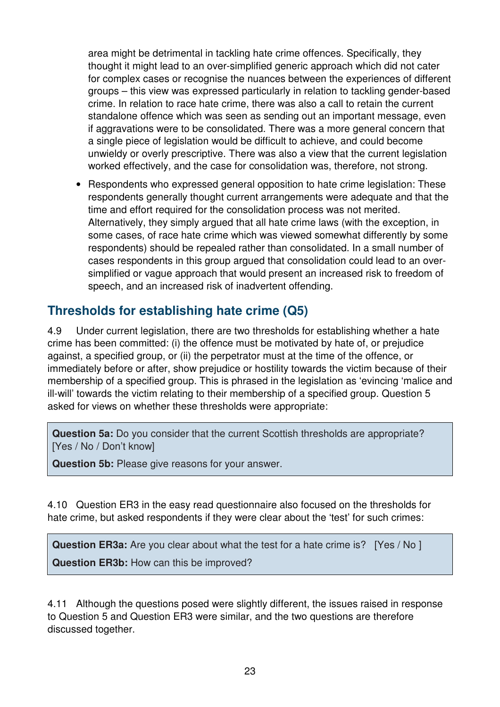area might be detrimental in tackling hate crime offences. Specifically, they thought it might lead to an over-simplified generic approach which did not cater for complex cases or recognise the nuances between the experiences of different groups – this view was expressed particularly in relation to tackling gender-based crime. In relation to race hate crime, there was also a call to retain the current standalone offence which was seen as sending out an important message, even if aggravations were to be consolidated. There was a more general concern that a single piece of legislation would be difficult to achieve, and could become unwieldy or overly prescriptive. There was also a view that the current legislation worked effectively, and the case for consolidation was, therefore, not strong.

• Respondents who expressed general opposition to hate crime legislation: These respondents generally thought current arrangements were adequate and that the time and effort required for the consolidation process was not merited. Alternatively, they simply argued that all hate crime laws (with the exception, in some cases, of race hate crime which was viewed somewhat differently by some respondents) should be repealed rather than consolidated. In a small number of cases respondents in this group argued that consolidation could lead to an oversimplified or vague approach that would present an increased risk to freedom of speech, and an increased risk of inadvertent offending.

## **Thresholds for establishing hate crime (Q5)**

4.9 Under current legislation, there are two thresholds for establishing whether a hate crime has been committed: (i) the offence must be motivated by hate of, or prejudice against, a specified group, or (ii) the perpetrator must at the time of the offence, or immediately before or after, show prejudice or hostility towards the victim because of their membership of a specified group. This is phrased in the legislation as 'evincing 'malice and ill-will' towards the victim relating to their membership of a specified group. Question 5 asked for views on whether these thresholds were appropriate:

**Question 5a:** Do you consider that the current Scottish thresholds are appropriate? [Yes / No / Don't know]

**Question 5b:** Please give reasons for your answer.

4.10 Question ER3 in the easy read questionnaire also focused on the thresholds for hate crime, but asked respondents if they were clear about the 'test' for such crimes:

**Question ER3a:** Are you clear about what the test for a hate crime is? [Yes / No ] **Question ER3b:** How can this be improved?

4.11 Although the questions posed were slightly different, the issues raised in response to Question 5 and Question ER3 were similar, and the two questions are therefore discussed together.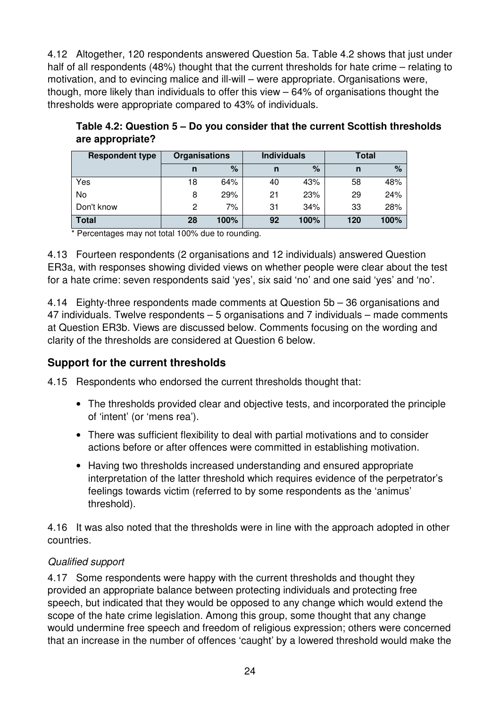4.12 Altogether, 120 respondents answered Question 5a. Table 4.2 shows that just under half of all respondents (48%) thought that the current thresholds for hate crime – relating to motivation, and to evincing malice and ill-will – were appropriate. Organisations were, though, more likely than individuals to offer this view – 64% of organisations thought the thresholds were appropriate compared to 43% of individuals.

| <b>Respondent type</b> | <b>Organisations</b> |      |    | <b>Individuals</b> | Total |      |
|------------------------|----------------------|------|----|--------------------|-------|------|
|                        | n                    | %    | n  | %                  | n     | $\%$ |
| Yes                    | 18                   | 64%  | 40 | 43%                | 58    | 48%  |
| No                     | 8                    | 29%  | 21 | 23%                | 29    | 24%  |
| Don't know             | 2                    | 7%   | 31 | 34%                | 33    | 28%  |
| <b>Total</b>           | 28                   | 100% | 92 | 100%               | 120   | 100% |

**Table 4.2: Question 5 – Do you consider that the current Scottish thresholds are appropriate?** 

Percentages may not total 100% due to rounding.

4.13 Fourteen respondents (2 organisations and 12 individuals) answered Question ER3a, with responses showing divided views on whether people were clear about the test for a hate crime: seven respondents said 'yes', six said 'no' and one said 'yes' and 'no'.

4.14 Eighty-three respondents made comments at Question 5b – 36 organisations and 47 individuals. Twelve respondents – 5 organisations and 7 individuals – made comments at Question ER3b. Views are discussed below. Comments focusing on the wording and clarity of the thresholds are considered at Question 6 below.

## **Support for the current thresholds**

4.15 Respondents who endorsed the current thresholds thought that:

- The thresholds provided clear and objective tests, and incorporated the principle of 'intent' (or 'mens rea').
- There was sufficient flexibility to deal with partial motivations and to consider actions before or after offences were committed in establishing motivation.
- Having two thresholds increased understanding and ensured appropriate interpretation of the latter threshold which requires evidence of the perpetrator's feelings towards victim (referred to by some respondents as the 'animus' threshold).

4.16 It was also noted that the thresholds were in line with the approach adopted in other countries.

## Qualified support

4.17 Some respondents were happy with the current thresholds and thought they provided an appropriate balance between protecting individuals and protecting free speech, but indicated that they would be opposed to any change which would extend the scope of the hate crime legislation. Among this group, some thought that any change would undermine free speech and freedom of religious expression; others were concerned that an increase in the number of offences 'caught' by a lowered threshold would make the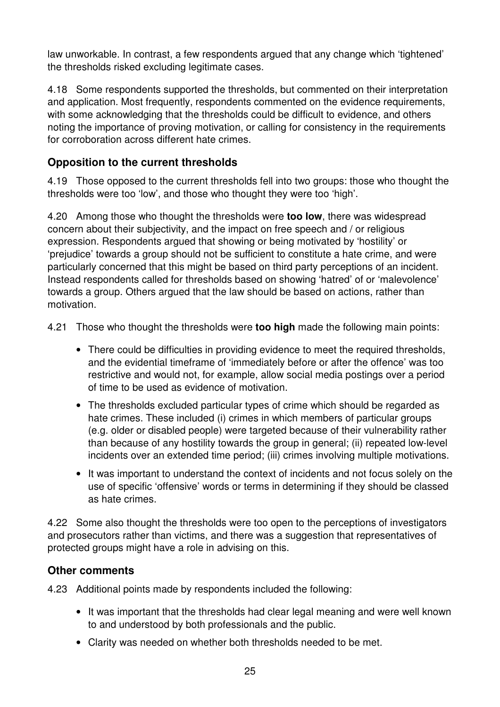law unworkable. In contrast, a few respondents argued that any change which 'tightened' the thresholds risked excluding legitimate cases.

4.18 Some respondents supported the thresholds, but commented on their interpretation and application. Most frequently, respondents commented on the evidence requirements, with some acknowledging that the thresholds could be difficult to evidence, and others noting the importance of proving motivation, or calling for consistency in the requirements for corroboration across different hate crimes.

## **Opposition to the current thresholds**

4.19 Those opposed to the current thresholds fell into two groups: those who thought the thresholds were too 'low', and those who thought they were too 'high'.

4.20 Among those who thought the thresholds were **too low**, there was widespread concern about their subjectivity, and the impact on free speech and / or religious expression. Respondents argued that showing or being motivated by 'hostility' or 'prejudice' towards a group should not be sufficient to constitute a hate crime, and were particularly concerned that this might be based on third party perceptions of an incident. Instead respondents called for thresholds based on showing 'hatred' of or 'malevolence' towards a group. Others argued that the law should be based on actions, rather than motivation.

4.21 Those who thought the thresholds were **too high** made the following main points:

- There could be difficulties in providing evidence to meet the required thresholds, and the evidential timeframe of 'immediately before or after the offence' was too restrictive and would not, for example, allow social media postings over a period of time to be used as evidence of motivation.
- The thresholds excluded particular types of crime which should be regarded as hate crimes. These included (i) crimes in which members of particular groups (e.g. older or disabled people) were targeted because of their vulnerability rather than because of any hostility towards the group in general; (ii) repeated low-level incidents over an extended time period; (iii) crimes involving multiple motivations.
- It was important to understand the context of incidents and not focus solely on the use of specific 'offensive' words or terms in determining if they should be classed as hate crimes.

4.22 Some also thought the thresholds were too open to the perceptions of investigators and prosecutors rather than victims, and there was a suggestion that representatives of protected groups might have a role in advising on this.

## **Other comments**

4.23 Additional points made by respondents included the following:

- It was important that the thresholds had clear legal meaning and were well known to and understood by both professionals and the public.
- Clarity was needed on whether both thresholds needed to be met.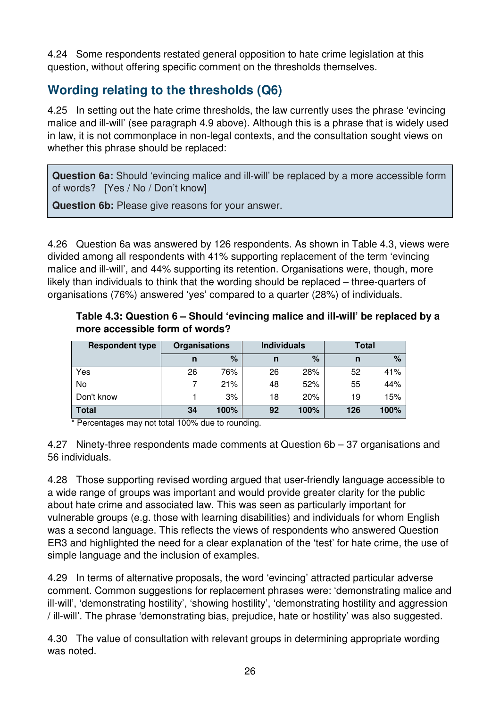4.24 Some respondents restated general opposition to hate crime legislation at this question, without offering specific comment on the thresholds themselves.

## **Wording relating to the thresholds (Q6)**

4.25 In setting out the hate crime thresholds, the law currently uses the phrase 'evincing malice and ill-will' (see paragraph 4.9 above). Although this is a phrase that is widely used in law, it is not commonplace in non-legal contexts, and the consultation sought views on whether this phrase should be replaced:

**Question 6a:** Should 'evincing malice and ill-will' be replaced by a more accessible form of words? [Yes / No / Don't know]

**Question 6b:** Please give reasons for your answer.

4.26 Question 6a was answered by 126 respondents. As shown in Table 4.3, views were divided among all respondents with 41% supporting replacement of the term 'evincing malice and ill-will', and 44% supporting its retention. Organisations were, though, more likely than individuals to think that the wording should be replaced – three-quarters of organisations (76%) answered 'yes' compared to a quarter (28%) of individuals.

| <b>Respondent type</b> | <b>Organisations</b> |      | <b>Individuals</b> |      | Total |      |
|------------------------|----------------------|------|--------------------|------|-------|------|
|                        | n                    | $\%$ | n                  | %    | n     | %    |
| Yes                    | 26                   | 76%  | 26                 | 28%  | 52    | 41%  |
| No                     |                      | 21%  | 48                 | 52%  | 55    | 44%  |
| Don't know             |                      | 3%   | 18                 | 20%  | 19    | 15%  |
| <b>Total</b>           | 34                   | 100% | 92                 | 100% | 126   | 100% |

**Table 4.3: Question 6 – Should 'evincing malice and ill-will' be replaced by a more accessible form of words?** 

\* Percentages may not total 100% due to rounding.

4.27 Ninety-three respondents made comments at Question 6b – 37 organisations and 56 individuals.

4.28 Those supporting revised wording argued that user-friendly language accessible to a wide range of groups was important and would provide greater clarity for the public about hate crime and associated law. This was seen as particularly important for vulnerable groups (e.g. those with learning disabilities) and individuals for whom English was a second language. This reflects the views of respondents who answered Question ER3 and highlighted the need for a clear explanation of the 'test' for hate crime, the use of simple language and the inclusion of examples.

4.29 In terms of alternative proposals, the word 'evincing' attracted particular adverse comment. Common suggestions for replacement phrases were: 'demonstrating malice and ill-will', 'demonstrating hostility', 'showing hostility', 'demonstrating hostility and aggression / ill-will'. The phrase 'demonstrating bias, prejudice, hate or hostility' was also suggested.

4.30 The value of consultation with relevant groups in determining appropriate wording was noted.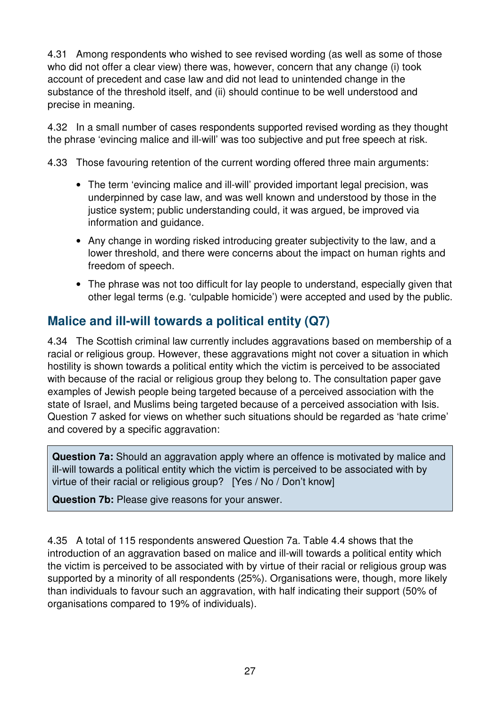4.31 Among respondents who wished to see revised wording (as well as some of those who did not offer a clear view) there was, however, concern that any change (i) took account of precedent and case law and did not lead to unintended change in the substance of the threshold itself, and (ii) should continue to be well understood and precise in meaning.

4.32 In a small number of cases respondents supported revised wording as they thought the phrase 'evincing malice and ill-will' was too subjective and put free speech at risk.

4.33 Those favouring retention of the current wording offered three main arguments:

- The term 'evincing malice and ill-will' provided important legal precision, was underpinned by case law, and was well known and understood by those in the justice system; public understanding could, it was arqued, be improved via information and guidance.
- Any change in wording risked introducing greater subjectivity to the law, and a lower threshold, and there were concerns about the impact on human rights and freedom of speech.
- The phrase was not too difficult for lay people to understand, especially given that other legal terms (e.g. 'culpable homicide') were accepted and used by the public.

## **Malice and ill-will towards a political entity (Q7)**

4.34 The Scottish criminal law currently includes aggravations based on membership of a racial or religious group. However, these aggravations might not cover a situation in which hostility is shown towards a political entity which the victim is perceived to be associated with because of the racial or religious group they belong to. The consultation paper gave examples of Jewish people being targeted because of a perceived association with the state of Israel, and Muslims being targeted because of a perceived association with Isis. Question 7 asked for views on whether such situations should be regarded as 'hate crime' and covered by a specific aggravation:

**Question 7a:** Should an aggravation apply where an offence is motivated by malice and ill-will towards a political entity which the victim is perceived to be associated with by virtue of their racial or religious group? [Yes / No / Don't know]

**Question 7b:** Please give reasons for your answer.

4.35 A total of 115 respondents answered Question 7a. Table 4.4 shows that the introduction of an aggravation based on malice and ill-will towards a political entity which the victim is perceived to be associated with by virtue of their racial or religious group was supported by a minority of all respondents (25%). Organisations were, though, more likely than individuals to favour such an aggravation, with half indicating their support (50% of organisations compared to 19% of individuals).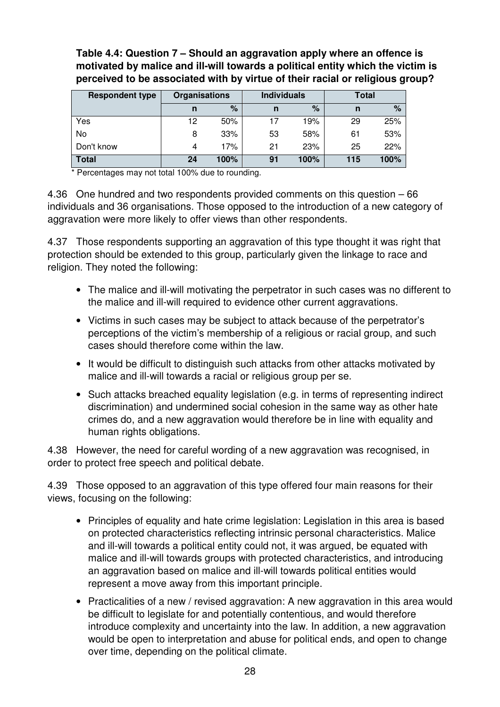#### **Table 4.4: Question 7 – Should an aggravation apply where an offence is motivated by malice and ill-will towards a political entity which the victim is perceived to be associated with by virtue of their racial or religious group?**

| <b>Respondent type</b> | <b>Organisations</b> |      | <b>Individuals</b> |      | <b>Total</b> |      |
|------------------------|----------------------|------|--------------------|------|--------------|------|
|                        | n                    | %    | n                  | %    | n            | $\%$ |
| Yes                    | 12                   | 50%  |                    | 19%  | 29           | 25%  |
| No                     | 8                    | 33%  | 53                 | 58%  | 61           | 53%  |
| Don't know             | 4                    | 17%  | 21                 | 23%  | 25           | 22%  |
| <b>Total</b>           | 24                   | 100% | 91                 | 100% | 115          | 100% |

Percentages may not total 100% due to rounding.

4.36 One hundred and two respondents provided comments on this question – 66 individuals and 36 organisations. Those opposed to the introduction of a new category of aggravation were more likely to offer views than other respondents.

4.37 Those respondents supporting an aggravation of this type thought it was right that protection should be extended to this group, particularly given the linkage to race and religion. They noted the following:

- The malice and ill-will motivating the perpetrator in such cases was no different to the malice and ill-will required to evidence other current aggravations.
- Victims in such cases may be subject to attack because of the perpetrator's perceptions of the victim's membership of a religious or racial group, and such cases should therefore come within the law.
- It would be difficult to distinguish such attacks from other attacks motivated by malice and ill-will towards a racial or religious group per se.
- Such attacks breached equality legislation (e.g. in terms of representing indirect discrimination) and undermined social cohesion in the same way as other hate crimes do, and a new aggravation would therefore be in line with equality and human rights obligations.

4.38 However, the need for careful wording of a new aggravation was recognised, in order to protect free speech and political debate.

4.39 Those opposed to an aggravation of this type offered four main reasons for their views, focusing on the following:

- Principles of equality and hate crime legislation: Legislation in this area is based on protected characteristics reflecting intrinsic personal characteristics. Malice and ill-will towards a political entity could not, it was argued, be equated with malice and ill-will towards groups with protected characteristics, and introducing an aggravation based on malice and ill-will towards political entities would represent a move away from this important principle.
- Practicalities of a new / revised aggravation: A new aggravation in this area would be difficult to legislate for and potentially contentious, and would therefore introduce complexity and uncertainty into the law. In addition, a new aggravation would be open to interpretation and abuse for political ends, and open to change over time, depending on the political climate.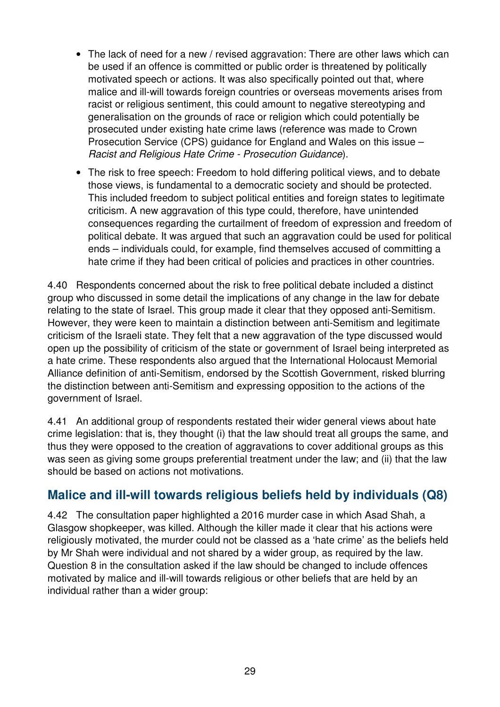- The lack of need for a new / revised aggravation: There are other laws which can be used if an offence is committed or public order is threatened by politically motivated speech or actions. It was also specifically pointed out that, where malice and ill-will towards foreign countries or overseas movements arises from racist or religious sentiment, this could amount to negative stereotyping and generalisation on the grounds of race or religion which could potentially be prosecuted under existing hate crime laws (reference was made to Crown Prosecution Service (CPS) guidance for England and Wales on this issue – Racist and Religious Hate Crime - Prosecution Guidance).
- The risk to free speech: Freedom to hold differing political views, and to debate those views, is fundamental to a democratic society and should be protected. This included freedom to subject political entities and foreign states to legitimate criticism. A new aggravation of this type could, therefore, have unintended consequences regarding the curtailment of freedom of expression and freedom of political debate. It was argued that such an aggravation could be used for political ends – individuals could, for example, find themselves accused of committing a hate crime if they had been critical of policies and practices in other countries.

4.40 Respondents concerned about the risk to free political debate included a distinct group who discussed in some detail the implications of any change in the law for debate relating to the state of Israel. This group made it clear that they opposed anti-Semitism. However, they were keen to maintain a distinction between anti-Semitism and legitimate criticism of the Israeli state. They felt that a new aggravation of the type discussed would open up the possibility of criticism of the state or government of Israel being interpreted as a hate crime. These respondents also argued that the International Holocaust Memorial Alliance definition of anti-Semitism, endorsed by the Scottish Government, risked blurring the distinction between anti-Semitism and expressing opposition to the actions of the government of Israel.

4.41 An additional group of respondents restated their wider general views about hate crime legislation: that is, they thought (i) that the law should treat all groups the same, and thus they were opposed to the creation of aggravations to cover additional groups as this was seen as giving some groups preferential treatment under the law; and (ii) that the law should be based on actions not motivations.

## **Malice and ill-will towards religious beliefs held by individuals (Q8)**

4.42 The consultation paper highlighted a 2016 murder case in which Asad Shah, a Glasgow shopkeeper, was killed. Although the killer made it clear that his actions were religiously motivated, the murder could not be classed as a 'hate crime' as the beliefs held by Mr Shah were individual and not shared by a wider group, as required by the law. Question 8 in the consultation asked if the law should be changed to include offences motivated by malice and ill-will towards religious or other beliefs that are held by an individual rather than a wider group: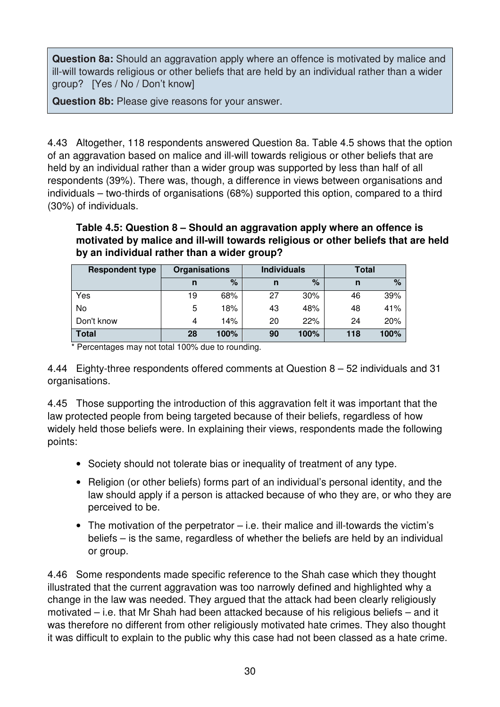**Question 8a:** Should an aggravation apply where an offence is motivated by malice and ill-will towards religious or other beliefs that are held by an individual rather than a wider group? [Yes / No / Don't know]

**Question 8b:** Please give reasons for your answer.

4.43 Altogether, 118 respondents answered Question 8a. Table 4.5 shows that the option of an aggravation based on malice and ill-will towards religious or other beliefs that are held by an individual rather than a wider group was supported by less than half of all respondents (39%). There was, though, a difference in views between organisations and individuals – two-thirds of organisations (68%) supported this option, compared to a third (30%) of individuals.

**Table 4.5: Question 8 – Should an aggravation apply where an offence is motivated by malice and ill-will towards religious or other beliefs that are held by an individual rather than a wider group?** 

| <b>Respondent type</b> | <b>Organisations</b> |      | <b>Individuals</b> |        | Total |      |
|------------------------|----------------------|------|--------------------|--------|-------|------|
|                        | n                    | $\%$ | n                  | %      | n     | $\%$ |
| Yes                    | 19                   | 68%  | 27                 | $30\%$ | 46    | 39%  |
| No                     | 5                    | 18%  | 43                 | 48%    | 48    | 41%  |
| Don't know             | 4                    | 14%  | 20                 | 22%    | 24    | 20%  |
| <b>Total</b>           | 28                   | 100% | 90                 | 100%   | 118   | 100% |

\* Percentages may not total 100% due to rounding.

4.44 Eighty-three respondents offered comments at Question 8 – 52 individuals and 31 organisations.

4.45 Those supporting the introduction of this aggravation felt it was important that the law protected people from being targeted because of their beliefs, regardless of how widely held those beliefs were. In explaining their views, respondents made the following points:

- Society should not tolerate bias or inequality of treatment of any type.
- Religion (or other beliefs) forms part of an individual's personal identity, and the law should apply if a person is attacked because of who they are, or who they are perceived to be.
- The motivation of the perpetrator i.e. their malice and ill-towards the victim's beliefs – is the same, regardless of whether the beliefs are held by an individual or group.

4.46 Some respondents made specific reference to the Shah case which they thought illustrated that the current aggravation was too narrowly defined and highlighted why a change in the law was needed. They argued that the attack had been clearly religiously motivated – i.e. that Mr Shah had been attacked because of his religious beliefs – and it was therefore no different from other religiously motivated hate crimes. They also thought it was difficult to explain to the public why this case had not been classed as a hate crime.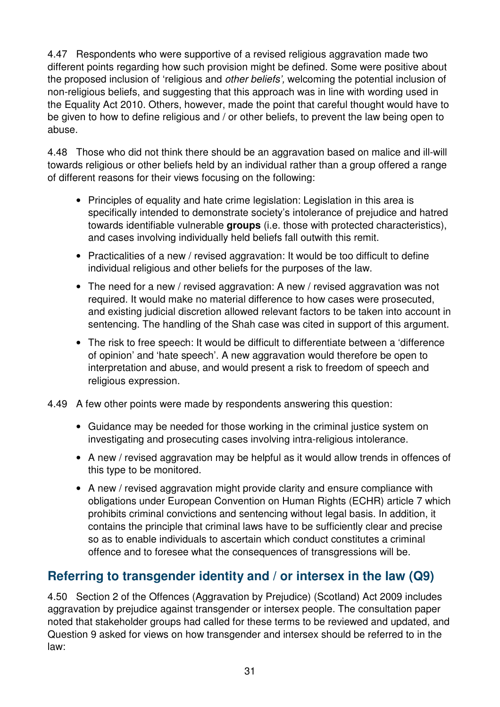4.47 Respondents who were supportive of a revised religious aggravation made two different points regarding how such provision might be defined. Some were positive about the proposed inclusion of 'religious and other beliefs', welcoming the potential inclusion of non-religious beliefs, and suggesting that this approach was in line with wording used in the Equality Act 2010. Others, however, made the point that careful thought would have to be given to how to define religious and / or other beliefs, to prevent the law being open to abuse.

4.48 Those who did not think there should be an aggravation based on malice and ill-will towards religious or other beliefs held by an individual rather than a group offered a range of different reasons for their views focusing on the following:

- Principles of equality and hate crime legislation: Legislation in this area is specifically intended to demonstrate society's intolerance of prejudice and hatred towards identifiable vulnerable **groups** (i.e. those with protected characteristics), and cases involving individually held beliefs fall outwith this remit.
- Practicalities of a new / revised aggravation: It would be too difficult to define individual religious and other beliefs for the purposes of the law.
- The need for a new / revised aggravation: A new / revised aggravation was not required. It would make no material difference to how cases were prosecuted, and existing judicial discretion allowed relevant factors to be taken into account in sentencing. The handling of the Shah case was cited in support of this argument.
- The risk to free speech: It would be difficult to differentiate between a 'difference of opinion' and 'hate speech'. A new aggravation would therefore be open to interpretation and abuse, and would present a risk to freedom of speech and religious expression.
- 4.49 A few other points were made by respondents answering this question:
	- Guidance may be needed for those working in the criminal justice system on investigating and prosecuting cases involving intra-religious intolerance.
	- A new / revised aggravation may be helpful as it would allow trends in offences of this type to be monitored.
	- A new / revised aggravation might provide clarity and ensure compliance with obligations under European Convention on Human Rights (ECHR) article 7 which prohibits criminal convictions and sentencing without legal basis. In addition, it contains the principle that criminal laws have to be sufficiently clear and precise so as to enable individuals to ascertain which conduct constitutes a criminal offence and to foresee what the consequences of transgressions will be.

# **Referring to transgender identity and / or intersex in the law (Q9)**

4.50 Section 2 of the Offences (Aggravation by Prejudice) (Scotland) Act 2009 includes aggravation by prejudice against transgender or intersex people. The consultation paper noted that stakeholder groups had called for these terms to be reviewed and updated, and Question 9 asked for views on how transgender and intersex should be referred to in the law: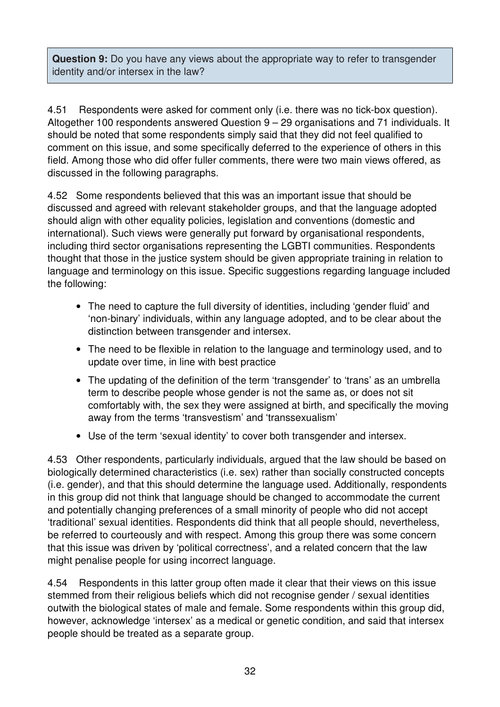**Question 9:** Do you have any views about the appropriate way to refer to transgender identity and/or intersex in the law?

4.51 Respondents were asked for comment only (i.e. there was no tick-box question). Altogether 100 respondents answered Question 9 – 29 organisations and 71 individuals. It should be noted that some respondents simply said that they did not feel qualified to comment on this issue, and some specifically deferred to the experience of others in this field. Among those who did offer fuller comments, there were two main views offered, as discussed in the following paragraphs.

4.52 Some respondents believed that this was an important issue that should be discussed and agreed with relevant stakeholder groups, and that the language adopted should align with other equality policies, legislation and conventions (domestic and international). Such views were generally put forward by organisational respondents, including third sector organisations representing the LGBTI communities. Respondents thought that those in the justice system should be given appropriate training in relation to language and terminology on this issue. Specific suggestions regarding language included the following:

- The need to capture the full diversity of identities, including 'gender fluid' and 'non-binary' individuals, within any language adopted, and to be clear about the distinction between transgender and intersex.
- The need to be flexible in relation to the language and terminology used, and to update over time, in line with best practice
- The updating of the definition of the term 'transgender' to 'trans' as an umbrella term to describe people whose gender is not the same as, or does not sit comfortably with, the sex they were assigned at birth, and specifically the moving away from the terms 'transvestism' and 'transsexualism'
- Use of the term 'sexual identity' to cover both transgender and intersex.

4.53 Other respondents, particularly individuals, argued that the law should be based on biologically determined characteristics (i.e. sex) rather than socially constructed concepts (i.e. gender), and that this should determine the language used. Additionally, respondents in this group did not think that language should be changed to accommodate the current and potentially changing preferences of a small minority of people who did not accept 'traditional' sexual identities. Respondents did think that all people should, nevertheless, be referred to courteously and with respect. Among this group there was some concern that this issue was driven by 'political correctness', and a related concern that the law might penalise people for using incorrect language.

4.54 Respondents in this latter group often made it clear that their views on this issue stemmed from their religious beliefs which did not recognise gender / sexual identities outwith the biological states of male and female. Some respondents within this group did, however, acknowledge 'intersex' as a medical or genetic condition, and said that intersex people should be treated as a separate group.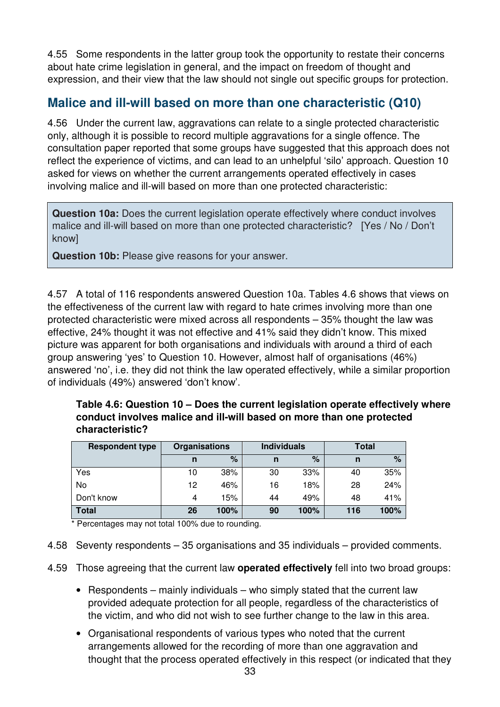4.55 Some respondents in the latter group took the opportunity to restate their concerns about hate crime legislation in general, and the impact on freedom of thought and expression, and their view that the law should not single out specific groups for protection.

# **Malice and ill-will based on more than one characteristic (Q10)**

4.56 Under the current law, aggravations can relate to a single protected characteristic only, although it is possible to record multiple aggravations for a single offence. The consultation paper reported that some groups have suggested that this approach does not reflect the experience of victims, and can lead to an unhelpful 'silo' approach. Question 10 asked for views on whether the current arrangements operated effectively in cases involving malice and ill-will based on more than one protected characteristic:

**Question 10a:** Does the current legislation operate effectively where conduct involves malice and ill-will based on more than one protected characteristic? [Yes / No / Don't know]

**Question 10b:** Please give reasons for your answer.

4.57 A total of 116 respondents answered Question 10a. Tables 4.6 shows that views on the effectiveness of the current law with regard to hate crimes involving more than one protected characteristic were mixed across all respondents – 35% thought the law was effective, 24% thought it was not effective and 41% said they didn't know. This mixed picture was apparent for both organisations and individuals with around a third of each group answering 'yes' to Question 10. However, almost half of organisations (46%) answered 'no', i.e. they did not think the law operated effectively, while a similar proportion of individuals (49%) answered 'don't know'.

| Table 4.6: Question 10 – Does the current legislation operate effectively where |
|---------------------------------------------------------------------------------|
| conduct involves malice and ill-will based on more than one protected           |
| characteristic?                                                                 |

| <b>Respondent type</b> | <b>Organisations</b> |      |    | <b>Individuals</b> |     | Total |
|------------------------|----------------------|------|----|--------------------|-----|-------|
|                        | n                    | %    | n  | $\%$               | n   | $\%$  |
| Yes                    | 10                   | 38%  | 30 | 33%                | 40  | 35%   |
| No                     | 12                   | 46%  | 16 | 18%                | 28  | 24%   |
| Don't know             | 4                    | 15%  | 44 | 49%                | 48  | 41%   |
| <b>Total</b>           | 26                   | 100% | 90 | 100%               | 116 | 100%  |

\* Percentages may not total 100% due to rounding.

- 4.58 Seventy respondents 35 organisations and 35 individuals provided comments.
- 4.59 Those agreeing that the current law **operated effectively** fell into two broad groups:
	- Respondents mainly individuals who simply stated that the current law provided adequate protection for all people, regardless of the characteristics of the victim, and who did not wish to see further change to the law in this area.
	- Organisational respondents of various types who noted that the current arrangements allowed for the recording of more than one aggravation and thought that the process operated effectively in this respect (or indicated that they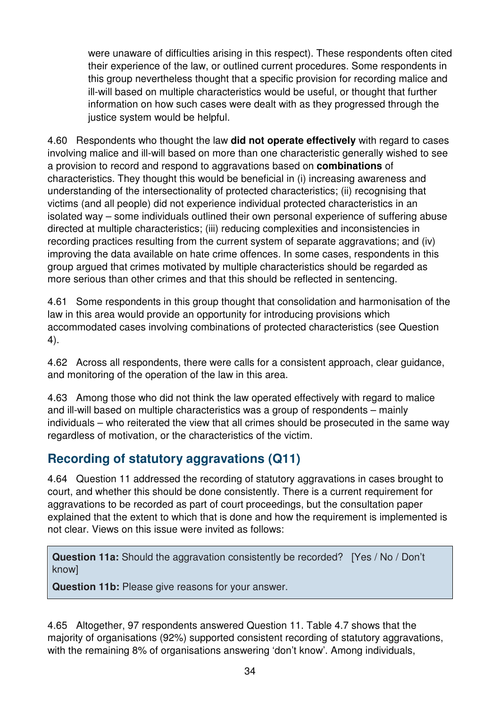were unaware of difficulties arising in this respect). These respondents often cited their experience of the law, or outlined current procedures. Some respondents in this group nevertheless thought that a specific provision for recording malice and ill-will based on multiple characteristics would be useful, or thought that further information on how such cases were dealt with as they progressed through the justice system would be helpful.

4.60 Respondents who thought the law **did not operate effectively** with regard to cases involving malice and ill-will based on more than one characteristic generally wished to see a provision to record and respond to aggravations based on **combinations** of characteristics. They thought this would be beneficial in (i) increasing awareness and understanding of the intersectionality of protected characteristics; (ii) recognising that victims (and all people) did not experience individual protected characteristics in an isolated way – some individuals outlined their own personal experience of suffering abuse directed at multiple characteristics; (iii) reducing complexities and inconsistencies in recording practices resulting from the current system of separate aggravations; and (iv) improving the data available on hate crime offences. In some cases, respondents in this group argued that crimes motivated by multiple characteristics should be regarded as more serious than other crimes and that this should be reflected in sentencing.

4.61 Some respondents in this group thought that consolidation and harmonisation of the law in this area would provide an opportunity for introducing provisions which accommodated cases involving combinations of protected characteristics (see Question 4).

4.62 Across all respondents, there were calls for a consistent approach, clear guidance, and monitoring of the operation of the law in this area.

4.63 Among those who did not think the law operated effectively with regard to malice and ill-will based on multiple characteristics was a group of respondents – mainly individuals – who reiterated the view that all crimes should be prosecuted in the same way regardless of motivation, or the characteristics of the victim.

# **Recording of statutory aggravations (Q11)**

4.64 Question 11 addressed the recording of statutory aggravations in cases brought to court, and whether this should be done consistently. There is a current requirement for aggravations to be recorded as part of court proceedings, but the consultation paper explained that the extent to which that is done and how the requirement is implemented is not clear. Views on this issue were invited as follows:

**Question 11a:** Should the aggravation consistently be recorded? [Yes / No / Don't know]

**Question 11b:** Please give reasons for your answer.

4.65 Altogether, 97 respondents answered Question 11. Table 4.7 shows that the majority of organisations (92%) supported consistent recording of statutory aggravations, with the remaining 8% of organisations answering 'don't know'. Among individuals,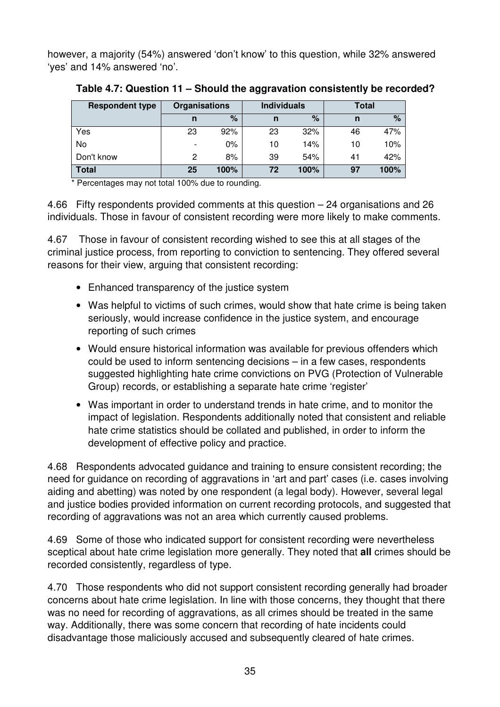however, a majority (54%) answered 'don't know' to this question, while 32% answered 'yes' and 14% answered 'no'.

| <b>Respondent type</b> | <b>Organisations</b>     |       |    | <b>Individuals</b> | <b>Total</b> |      |
|------------------------|--------------------------|-------|----|--------------------|--------------|------|
|                        | n                        | %     | n  | %                  | n            | $\%$ |
| Yes                    | 23                       | 92%   | 23 | 32%                | 46           | 47%  |
| No                     | $\overline{\phantom{0}}$ | $0\%$ | 10 | 14%                | 10           | 10%  |
| Don't know             | 2                        | 8%    | 39 | 54%                | 41           | 42%  |
| <b>Total</b>           | 25                       | 100%  | 72 | 100%               | 97           | 100% |

**Table 4.7: Question 11 – Should the aggravation consistently be recorded?** 

Percentages may not total 100% due to rounding.

4.66 Fifty respondents provided comments at this question – 24 organisations and 26 individuals. Those in favour of consistent recording were more likely to make comments.

4.67 Those in favour of consistent recording wished to see this at all stages of the criminal justice process, from reporting to conviction to sentencing. They offered several reasons for their view, arguing that consistent recording:

- Enhanced transparency of the justice system
- Was helpful to victims of such crimes, would show that hate crime is being taken seriously, would increase confidence in the justice system, and encourage reporting of such crimes
- Would ensure historical information was available for previous offenders which could be used to inform sentencing decisions – in a few cases, respondents suggested highlighting hate crime convictions on PVG (Protection of Vulnerable Group) records, or establishing a separate hate crime 'register'
- Was important in order to understand trends in hate crime, and to monitor the impact of legislation. Respondents additionally noted that consistent and reliable hate crime statistics should be collated and published, in order to inform the development of effective policy and practice.

4.68 Respondents advocated guidance and training to ensure consistent recording; the need for guidance on recording of aggravations in 'art and part' cases (i.e. cases involving aiding and abetting) was noted by one respondent (a legal body). However, several legal and justice bodies provided information on current recording protocols, and suggested that recording of aggravations was not an area which currently caused problems.

4.69 Some of those who indicated support for consistent recording were nevertheless sceptical about hate crime legislation more generally. They noted that **all** crimes should be recorded consistently, regardless of type.

4.70 Those respondents who did not support consistent recording generally had broader concerns about hate crime legislation. In line with those concerns, they thought that there was no need for recording of aggravations, as all crimes should be treated in the same way. Additionally, there was some concern that recording of hate incidents could disadvantage those maliciously accused and subsequently cleared of hate crimes.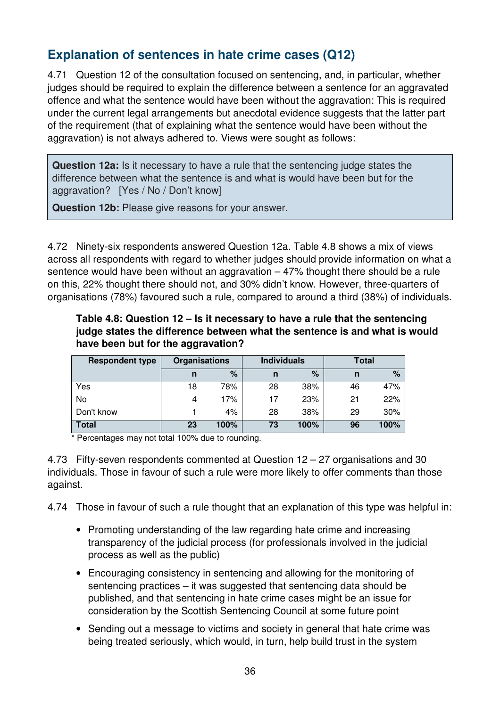# **Explanation of sentences in hate crime cases (Q12)**

4.71 Question 12 of the consultation focused on sentencing, and, in particular, whether judges should be required to explain the difference between a sentence for an aggravated offence and what the sentence would have been without the aggravation: This is required under the current legal arrangements but anecdotal evidence suggests that the latter part of the requirement (that of explaining what the sentence would have been without the aggravation) is not always adhered to. Views were sought as follows:

**Question 12a:** Is it necessary to have a rule that the sentencing judge states the difference between what the sentence is and what is would have been but for the aggravation? [Yes / No / Don't know]

**Question 12b:** Please give reasons for your answer.

4.72 Ninety-six respondents answered Question 12a. Table 4.8 shows a mix of views across all respondents with regard to whether judges should provide information on what a sentence would have been without an aggravation  $-47%$  thought there should be a rule on this, 22% thought there should not, and 30% didn't know. However, three-quarters of organisations (78%) favoured such a rule, compared to around a third (38%) of individuals.

#### **Table 4.8: Question 12 – Is it necessary to have a rule that the sentencing judge states the difference between what the sentence is and what is would have been but for the aggravation?**

| <b>Respondent type</b> | <b>Organisations</b> |      |    | <b>Individuals</b> | Total |               |
|------------------------|----------------------|------|----|--------------------|-------|---------------|
|                        | n                    | $\%$ | n  | %                  | n     | $\frac{9}{6}$ |
| Yes                    | 18                   | 78%  | 28 | 38%                | 46    | 47%           |
| No                     |                      | 17%  | 17 | 23%                | 21    | 22%           |
| Don't know             |                      | 4%   | 28 | 38%                | 29    | 30%           |
| <b>Total</b>           | 23                   | 100% | 73 | 100%               | 96    | 100%          |

\* Percentages may not total 100% due to rounding.

4.73 Fifty-seven respondents commented at Question 12 – 27 organisations and 30 individuals. Those in favour of such a rule were more likely to offer comments than those against.

4.74 Those in favour of such a rule thought that an explanation of this type was helpful in:

- Promoting understanding of the law regarding hate crime and increasing transparency of the judicial process (for professionals involved in the judicial process as well as the public)
- Encouraging consistency in sentencing and allowing for the monitoring of sentencing practices – it was suggested that sentencing data should be published, and that sentencing in hate crime cases might be an issue for consideration by the Scottish Sentencing Council at some future point
- Sending out a message to victims and society in general that hate crime was being treated seriously, which would, in turn, help build trust in the system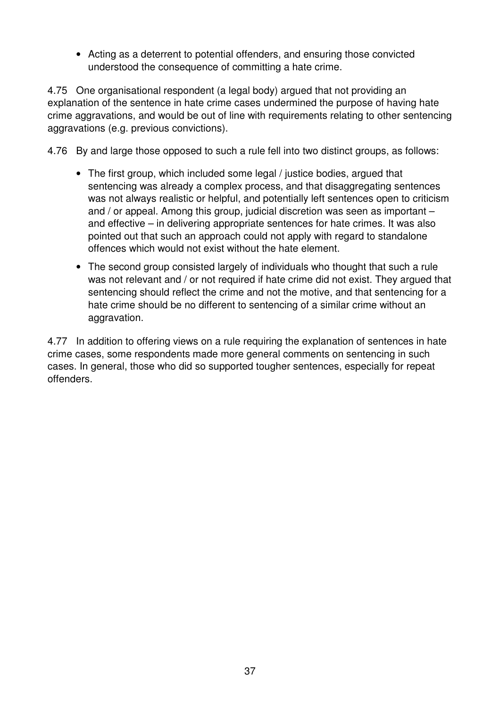• Acting as a deterrent to potential offenders, and ensuring those convicted understood the consequence of committing a hate crime.

4.75 One organisational respondent (a legal body) argued that not providing an explanation of the sentence in hate crime cases undermined the purpose of having hate crime aggravations, and would be out of line with requirements relating to other sentencing aggravations (e.g. previous convictions).

4.76 By and large those opposed to such a rule fell into two distinct groups, as follows:

- The first group, which included some legal / justice bodies, argued that sentencing was already a complex process, and that disaggregating sentences was not always realistic or helpful, and potentially left sentences open to criticism and / or appeal. Among this group, judicial discretion was seen as important – and effective – in delivering appropriate sentences for hate crimes. It was also pointed out that such an approach could not apply with regard to standalone offences which would not exist without the hate element.
- The second group consisted largely of individuals who thought that such a rule was not relevant and / or not required if hate crime did not exist. They argued that sentencing should reflect the crime and not the motive, and that sentencing for a hate crime should be no different to sentencing of a similar crime without an aggravation.

4.77 In addition to offering views on a rule requiring the explanation of sentences in hate crime cases, some respondents made more general comments on sentencing in such cases. In general, those who did so supported tougher sentences, especially for repeat offenders.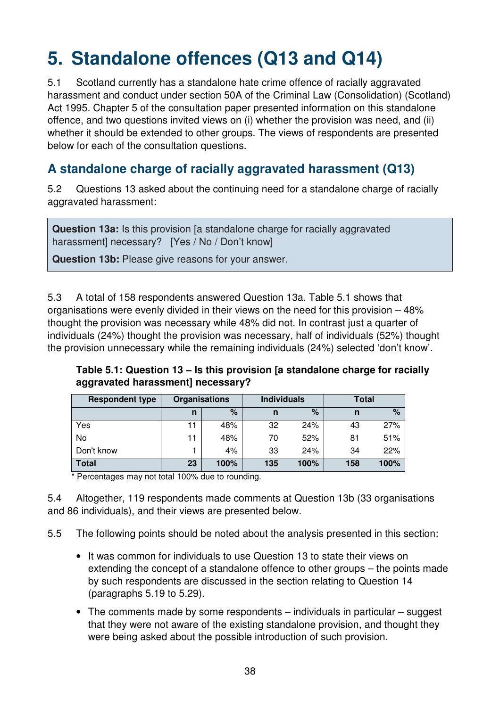# **5. Standalone offences (Q13 and Q14)**

5.1 Scotland currently has a standalone hate crime offence of racially aggravated harassment and conduct under section 50A of the Criminal Law (Consolidation) (Scotland) Act 1995. Chapter 5 of the consultation paper presented information on this standalone offence, and two questions invited views on (i) whether the provision was need, and (ii) whether it should be extended to other groups. The views of respondents are presented below for each of the consultation questions.

# **A standalone charge of racially aggravated harassment (Q13)**

5.2 Questions 13 asked about the continuing need for a standalone charge of racially aggravated harassment:

**Question 13a:** Is this provision [a standalone charge for racially aggravated harassment] necessary? [Yes / No / Don't know]

**Question 13b:** Please give reasons for your answer.

5.3 A total of 158 respondents answered Question 13a. Table 5.1 shows that organisations were evenly divided in their views on the need for this provision – 48% thought the provision was necessary while 48% did not. In contrast just a quarter of individuals (24%) thought the provision was necessary, half of individuals (52%) thought the provision unnecessary while the remaining individuals (24%) selected 'don't know'.

**Table 5.1: Question 13 – Is this provision [a standalone charge for racially aggravated harassment] necessary?** 

| <b>Respondent type</b> | <b>Organisations</b> |      | <b>Individuals</b> |      | Total |      |
|------------------------|----------------------|------|--------------------|------|-------|------|
|                        | n                    | $\%$ | n                  | $\%$ | n     | %    |
| Yes                    | 11                   | 48%  | 32                 | 24%  | 43    | 27%  |
| No                     | 11                   | 48%  | 70                 | 52%  | 81    | 51%  |
| Don't know             |                      | 4%   | 33                 | 24%  | 34    | 22%  |
| <b>Total</b>           | 23                   | 100% | 135                | 100% | 158   | 100% |

Percentages may not total 100% due to rounding.

5.4 Altogether, 119 respondents made comments at Question 13b (33 organisations and 86 individuals), and their views are presented below.

5.5 The following points should be noted about the analysis presented in this section:

- It was common for individuals to use Question 13 to state their views on extending the concept of a standalone offence to other groups – the points made by such respondents are discussed in the section relating to Question 14 (paragraphs 5.19 to 5.29).
- The comments made by some respondents individuals in particular suggest that they were not aware of the existing standalone provision, and thought they were being asked about the possible introduction of such provision.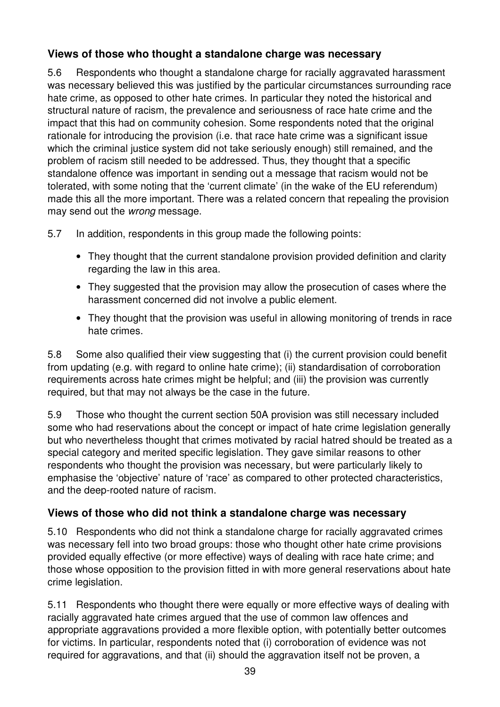## **Views of those who thought a standalone charge was necessary**

5.6 Respondents who thought a standalone charge for racially aggravated harassment was necessary believed this was justified by the particular circumstances surrounding race hate crime, as opposed to other hate crimes. In particular they noted the historical and structural nature of racism, the prevalence and seriousness of race hate crime and the impact that this had on community cohesion. Some respondents noted that the original rationale for introducing the provision (i.e. that race hate crime was a significant issue which the criminal justice system did not take seriously enough) still remained, and the problem of racism still needed to be addressed. Thus, they thought that a specific standalone offence was important in sending out a message that racism would not be tolerated, with some noting that the 'current climate' (in the wake of the EU referendum) made this all the more important. There was a related concern that repealing the provision may send out the wrong message.

5.7 In addition, respondents in this group made the following points:

- They thought that the current standalone provision provided definition and clarity regarding the law in this area.
- They suggested that the provision may allow the prosecution of cases where the harassment concerned did not involve a public element.
- They thought that the provision was useful in allowing monitoring of trends in race hate crimes.

5.8 Some also qualified their view suggesting that (i) the current provision could benefit from updating (e.g. with regard to online hate crime); (ii) standardisation of corroboration requirements across hate crimes might be helpful; and (iii) the provision was currently required, but that may not always be the case in the future.

5.9 Those who thought the current section 50A provision was still necessary included some who had reservations about the concept or impact of hate crime legislation generally but who nevertheless thought that crimes motivated by racial hatred should be treated as a special category and merited specific legislation. They gave similar reasons to other respondents who thought the provision was necessary, but were particularly likely to emphasise the 'objective' nature of 'race' as compared to other protected characteristics, and the deep-rooted nature of racism.

### **Views of those who did not think a standalone charge was necessary**

5.10 Respondents who did not think a standalone charge for racially aggravated crimes was necessary fell into two broad groups: those who thought other hate crime provisions provided equally effective (or more effective) ways of dealing with race hate crime; and those whose opposition to the provision fitted in with more general reservations about hate crime legislation.

5.11 Respondents who thought there were equally or more effective ways of dealing with racially aggravated hate crimes argued that the use of common law offences and appropriate aggravations provided a more flexible option, with potentially better outcomes for victims. In particular, respondents noted that (i) corroboration of evidence was not required for aggravations, and that (ii) should the aggravation itself not be proven, a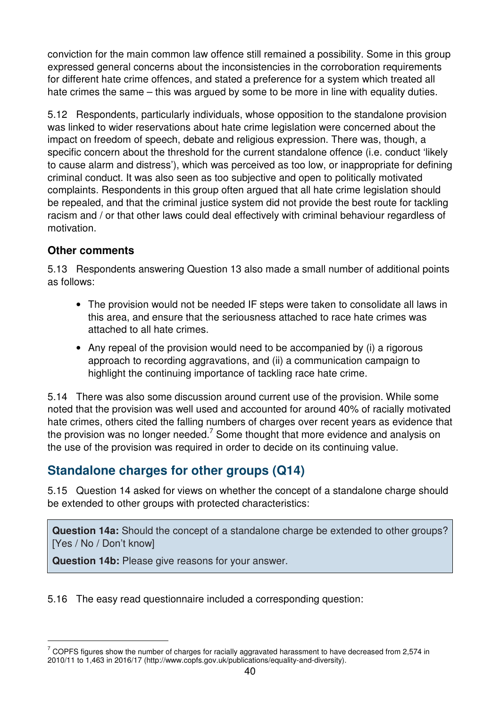conviction for the main common law offence still remained a possibility. Some in this group expressed general concerns about the inconsistencies in the corroboration requirements for different hate crime offences, and stated a preference for a system which treated all hate crimes the same – this was argued by some to be more in line with equality duties.

5.12 Respondents, particularly individuals, whose opposition to the standalone provision was linked to wider reservations about hate crime legislation were concerned about the impact on freedom of speech, debate and religious expression. There was, though, a specific concern about the threshold for the current standalone offence (i.e. conduct 'likely to cause alarm and distress'), which was perceived as too low, or inappropriate for defining criminal conduct. It was also seen as too subjective and open to politically motivated complaints. Respondents in this group often argued that all hate crime legislation should be repealed, and that the criminal justice system did not provide the best route for tackling racism and / or that other laws could deal effectively with criminal behaviour regardless of motivation.

#### **Other comments**

 $\overline{a}$ 

5.13 Respondents answering Question 13 also made a small number of additional points as follows:

- The provision would not be needed IF steps were taken to consolidate all laws in this area, and ensure that the seriousness attached to race hate crimes was attached to all hate crimes.
- Any repeal of the provision would need to be accompanied by (i) a rigorous approach to recording aggravations, and (ii) a communication campaign to highlight the continuing importance of tackling race hate crime.

5.14 There was also some discussion around current use of the provision. While some noted that the provision was well used and accounted for around 40% of racially motivated hate crimes, others cited the falling numbers of charges over recent years as evidence that the provision was no longer needed.<sup>7</sup> Some thought that more evidence and analysis on the use of the provision was required in order to decide on its continuing value.

## **Standalone charges for other groups (Q14)**

5.15 Question 14 asked for views on whether the concept of a standalone charge should be extended to other groups with protected characteristics:

**Question 14a:** Should the concept of a standalone charge be extended to other groups? [Yes / No / Don't know]

**Question 14b:** Please give reasons for your answer.

5.16 The easy read questionnaire included a corresponding question:

 $7$  COPFS figures show the number of charges for racially aggravated harassment to have decreased from 2,574 in 2010/11 to 1,463 in 2016/17 (http://www.copfs.gov.uk/publications/equality-and-diversity).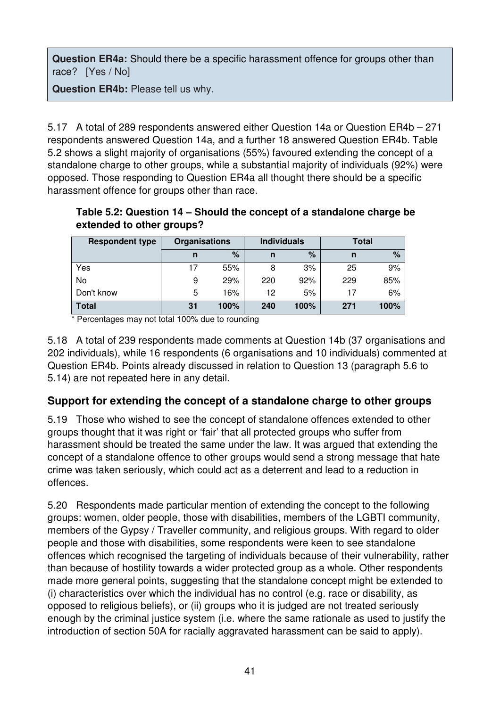**Question ER4a:** Should there be a specific harassment offence for groups other than race? [Yes / No]

**Question ER4b:** Please tell us why.

5.17 A total of 289 respondents answered either Question 14a or Question ER4b – 271 respondents answered Question 14a, and a further 18 answered Question ER4b. Table 5.2 shows a slight majority of organisations (55%) favoured extending the concept of a standalone charge to other groups, while a substantial majority of individuals (92%) were opposed. Those responding to Question ER4a all thought there should be a specific harassment offence for groups other than race.

**Table 5.2: Question 14 – Should the concept of a standalone charge be extended to other groups?** 

| <b>Respondent type</b> | <b>Organisations</b> |      | <b>Individuals</b> |      | Total |      |
|------------------------|----------------------|------|--------------------|------|-------|------|
|                        | n                    | %    | n                  | $\%$ | n     | $\%$ |
| Yes                    |                      | 55%  |                    | 3%   | 25    | 9%   |
| No                     | 9                    | 29%  | 220                | 92%  | 229   | 85%  |
| Don't know             | 5                    | 16%  | 12                 | 5%   | 17    | 6%   |
| Total                  | 31                   | 100% | 240                | 100% | 271   | 100% |

\* Percentages may not total 100% due to rounding

5.18 A total of 239 respondents made comments at Question 14b (37 organisations and 202 individuals), while 16 respondents (6 organisations and 10 individuals) commented at Question ER4b. Points already discussed in relation to Question 13 (paragraph 5.6 to 5.14) are not repeated here in any detail.

### **Support for extending the concept of a standalone charge to other groups**

5.19 Those who wished to see the concept of standalone offences extended to other groups thought that it was right or 'fair' that all protected groups who suffer from harassment should be treated the same under the law. It was argued that extending the concept of a standalone offence to other groups would send a strong message that hate crime was taken seriously, which could act as a deterrent and lead to a reduction in offences.

5.20 Respondents made particular mention of extending the concept to the following groups: women, older people, those with disabilities, members of the LGBTI community, members of the Gypsy / Traveller community, and religious groups. With regard to older people and those with disabilities, some respondents were keen to see standalone offences which recognised the targeting of individuals because of their vulnerability, rather than because of hostility towards a wider protected group as a whole. Other respondents made more general points, suggesting that the standalone concept might be extended to (i) characteristics over which the individual has no control (e.g. race or disability, as opposed to religious beliefs), or (ii) groups who it is judged are not treated seriously enough by the criminal justice system (i.e. where the same rationale as used to justify the introduction of section 50A for racially aggravated harassment can be said to apply).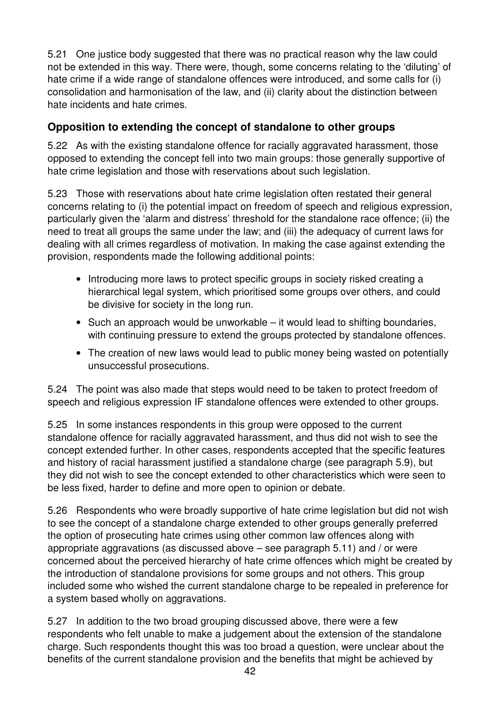5.21 One justice body suggested that there was no practical reason why the law could not be extended in this way. There were, though, some concerns relating to the 'diluting' of hate crime if a wide range of standalone offences were introduced, and some calls for (i) consolidation and harmonisation of the law, and (ii) clarity about the distinction between hate incidents and hate crimes.

## **Opposition to extending the concept of standalone to other groups**

5.22 As with the existing standalone offence for racially aggravated harassment, those opposed to extending the concept fell into two main groups: those generally supportive of hate crime legislation and those with reservations about such legislation.

5.23 Those with reservations about hate crime legislation often restated their general concerns relating to (i) the potential impact on freedom of speech and religious expression, particularly given the 'alarm and distress' threshold for the standalone race offence; (ii) the need to treat all groups the same under the law; and (iii) the adequacy of current laws for dealing with all crimes regardless of motivation. In making the case against extending the provision, respondents made the following additional points:

- Introducing more laws to protect specific groups in society risked creating a hierarchical legal system, which prioritised some groups over others, and could be divisive for society in the long run.
- Such an approach would be unworkable it would lead to shifting boundaries, with continuing pressure to extend the groups protected by standalone offences.
- The creation of new laws would lead to public money being wasted on potentially unsuccessful prosecutions.

5.24 The point was also made that steps would need to be taken to protect freedom of speech and religious expression IF standalone offences were extended to other groups.

5.25 In some instances respondents in this group were opposed to the current standalone offence for racially aggravated harassment, and thus did not wish to see the concept extended further. In other cases, respondents accepted that the specific features and history of racial harassment justified a standalone charge (see paragraph 5.9), but they did not wish to see the concept extended to other characteristics which were seen to be less fixed, harder to define and more open to opinion or debate.

5.26 Respondents who were broadly supportive of hate crime legislation but did not wish to see the concept of a standalone charge extended to other groups generally preferred the option of prosecuting hate crimes using other common law offences along with appropriate aggravations (as discussed above – see paragraph 5.11) and / or were concerned about the perceived hierarchy of hate crime offences which might be created by the introduction of standalone provisions for some groups and not others. This group included some who wished the current standalone charge to be repealed in preference for a system based wholly on aggravations.

5.27 In addition to the two broad grouping discussed above, there were a few respondents who felt unable to make a judgement about the extension of the standalone charge. Such respondents thought this was too broad a question, were unclear about the benefits of the current standalone provision and the benefits that might be achieved by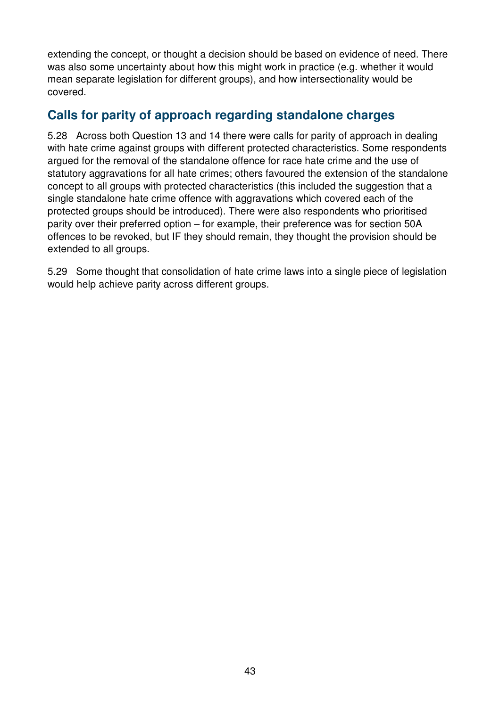extending the concept, or thought a decision should be based on evidence of need. There was also some uncertainty about how this might work in practice (e.g. whether it would mean separate legislation for different groups), and how intersectionality would be covered.

## **Calls for parity of approach regarding standalone charges**

5.28 Across both Question 13 and 14 there were calls for parity of approach in dealing with hate crime against groups with different protected characteristics. Some respondents argued for the removal of the standalone offence for race hate crime and the use of statutory aggravations for all hate crimes; others favoured the extension of the standalone concept to all groups with protected characteristics (this included the suggestion that a single standalone hate crime offence with aggravations which covered each of the protected groups should be introduced). There were also respondents who prioritised parity over their preferred option – for example, their preference was for section 50A offences to be revoked, but IF they should remain, they thought the provision should be extended to all groups.

5.29 Some thought that consolidation of hate crime laws into a single piece of legislation would help achieve parity across different groups.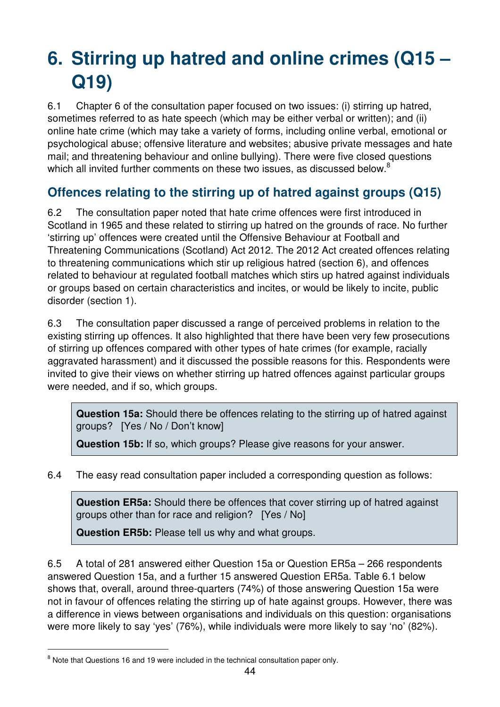# **6. Stirring up hatred and online crimes (Q15 – Q19)**

6.1 Chapter 6 of the consultation paper focused on two issues: (i) stirring up hatred, sometimes referred to as hate speech (which may be either verbal or written); and (ii) online hate crime (which may take a variety of forms, including online verbal, emotional or psychological abuse; offensive literature and websites; abusive private messages and hate mail; and threatening behaviour and online bullying). There were five closed questions which all invited further comments on these two issues, as discussed below.<sup>8</sup>

# **Offences relating to the stirring up of hatred against groups (Q15)**

6.2 The consultation paper noted that hate crime offences were first introduced in Scotland in 1965 and these related to stirring up hatred on the grounds of race. No further 'stirring up' offences were created until the Offensive Behaviour at Football and Threatening Communications (Scotland) Act 2012. The 2012 Act created offences relating to threatening communications which stir up religious hatred (section 6), and offences related to behaviour at regulated football matches which stirs up hatred against individuals or groups based on certain characteristics and incites, or would be likely to incite, public disorder (section 1).

6.3 The consultation paper discussed a range of perceived problems in relation to the existing stirring up offences. It also highlighted that there have been very few prosecutions of stirring up offences compared with other types of hate crimes (for example, racially aggravated harassment) and it discussed the possible reasons for this. Respondents were invited to give their views on whether stirring up hatred offences against particular groups were needed, and if so, which groups.

**Question 15a:** Should there be offences relating to the stirring up of hatred against groups? [Yes / No / Don't know]

**Question 15b:** If so, which groups? Please give reasons for your answer.

6.4 The easy read consultation paper included a corresponding question as follows:

**Question ER5a:** Should there be offences that cover stirring up of hatred against groups other than for race and religion? [Yes / No]

**Question ER5b:** Please tell us why and what groups.

6.5 A total of 281 answered either Question 15a or Question ER5a – 266 respondents answered Question 15a, and a further 15 answered Question ER5a. Table 6.1 below shows that, overall, around three-quarters (74%) of those answering Question 15a were not in favour of offences relating the stirring up of hate against groups. However, there was a difference in views between organisations and individuals on this question: organisations were more likely to say 'yes' (76%), while individuals were more likely to say 'no' (82%).

 $\overline{a}$ 

<sup>&</sup>lt;sup>8</sup> Note that Questions 16 and 19 were included in the technical consultation paper only.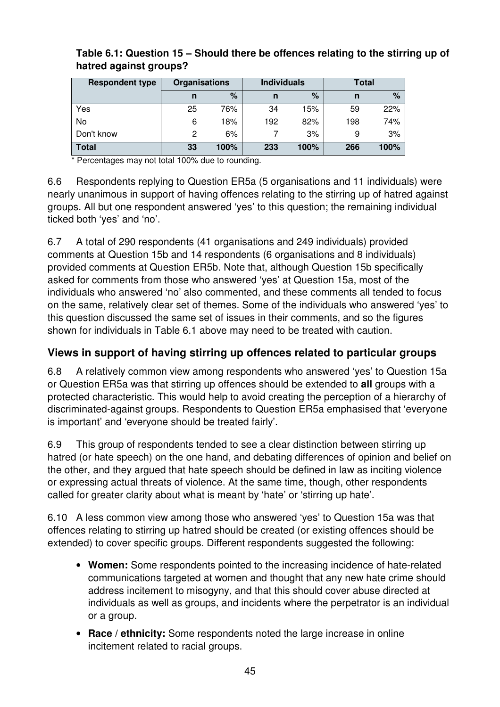| <b>Respondent type</b> | <b>Organisations</b> |      |     | <b>Individuals</b> | Total |      |  |
|------------------------|----------------------|------|-----|--------------------|-------|------|--|
|                        | n                    | %    | n   | %                  | n     | $\%$ |  |
| Yes                    | 25                   | 76%  | 34  | 15%                | 59    | 22%  |  |
| No                     | 6                    | 18%  | 192 | 82%                | 198   | 74%  |  |
| Don't know             | 2                    | 6%   |     | 3%                 | 9     | 3%   |  |
| <b>Total</b>           | 33                   | 100% | 233 | 100%               | 266   | 100% |  |

#### **Table 6.1: Question 15 – Should there be offences relating to the stirring up of hatred against groups?**

\* Percentages may not total 100% due to rounding.

6.6 Respondents replying to Question ER5a (5 organisations and 11 individuals) were nearly unanimous in support of having offences relating to the stirring up of hatred against groups. All but one respondent answered 'yes' to this question; the remaining individual ticked both 'yes' and 'no'.

6.7 A total of 290 respondents (41 organisations and 249 individuals) provided comments at Question 15b and 14 respondents (6 organisations and 8 individuals) provided comments at Question ER5b. Note that, although Question 15b specifically asked for comments from those who answered 'yes' at Question 15a, most of the individuals who answered 'no' also commented, and these comments all tended to focus on the same, relatively clear set of themes. Some of the individuals who answered 'yes' to this question discussed the same set of issues in their comments, and so the figures shown for individuals in Table 6.1 above may need to be treated with caution.

#### **Views in support of having stirring up offences related to particular groups**

6.8 A relatively common view among respondents who answered 'yes' to Question 15a or Question ER5a was that stirring up offences should be extended to **all** groups with a protected characteristic. This would help to avoid creating the perception of a hierarchy of discriminated-against groups. Respondents to Question ER5a emphasised that 'everyone is important' and 'everyone should be treated fairly'.

6.9 This group of respondents tended to see a clear distinction between stirring up hatred (or hate speech) on the one hand, and debating differences of opinion and belief on the other, and they argued that hate speech should be defined in law as inciting violence or expressing actual threats of violence. At the same time, though, other respondents called for greater clarity about what is meant by 'hate' or 'stirring up hate'.

6.10 A less common view among those who answered 'yes' to Question 15a was that offences relating to stirring up hatred should be created (or existing offences should be extended) to cover specific groups. Different respondents suggested the following:

- **Women:** Some respondents pointed to the increasing incidence of hate-related communications targeted at women and thought that any new hate crime should address incitement to misogyny, and that this should cover abuse directed at individuals as well as groups, and incidents where the perpetrator is an individual or a group.
- **Race / ethnicity:** Some respondents noted the large increase in online incitement related to racial groups.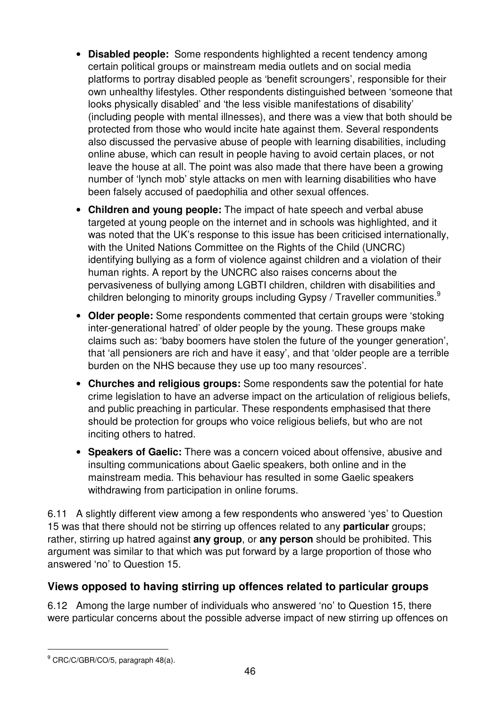- **Disabled people:** Some respondents highlighted a recent tendency among certain political groups or mainstream media outlets and on social media platforms to portray disabled people as 'benefit scroungers', responsible for their own unhealthy lifestyles. Other respondents distinguished between 'someone that looks physically disabled' and 'the less visible manifestations of disability' (including people with mental illnesses), and there was a view that both should be protected from those who would incite hate against them. Several respondents also discussed the pervasive abuse of people with learning disabilities, including online abuse, which can result in people having to avoid certain places, or not leave the house at all. The point was also made that there have been a growing number of 'lynch mob' style attacks on men with learning disabilities who have been falsely accused of paedophilia and other sexual offences.
- **Children and young people:** The impact of hate speech and verbal abuse targeted at young people on the internet and in schools was highlighted, and it was noted that the UK's response to this issue has been criticised internationally, with the United Nations Committee on the Rights of the Child (UNCRC) identifying bullying as a form of violence against children and a violation of their human rights. A report by the UNCRC also raises concerns about the pervasiveness of bullying among LGBTI children, children with disabilities and children belonging to minority groups including Gypsy / Traveller communities.<sup>9</sup>
- **Older people:** Some respondents commented that certain groups were 'stoking inter-generational hatred' of older people by the young. These groups make claims such as: 'baby boomers have stolen the future of the younger generation', that 'all pensioners are rich and have it easy', and that 'older people are a terrible burden on the NHS because they use up too many resources'.
- **Churches and religious groups:** Some respondents saw the potential for hate crime legislation to have an adverse impact on the articulation of religious beliefs, and public preaching in particular. These respondents emphasised that there should be protection for groups who voice religious beliefs, but who are not inciting others to hatred.
- **Speakers of Gaelic:** There was a concern voiced about offensive, abusive and insulting communications about Gaelic speakers, both online and in the mainstream media. This behaviour has resulted in some Gaelic speakers withdrawing from participation in online forums.

6.11 A slightly different view among a few respondents who answered 'yes' to Question 15 was that there should not be stirring up offences related to any **particular** groups; rather, stirring up hatred against **any group**, or **any person** should be prohibited. This argument was similar to that which was put forward by a large proportion of those who answered 'no' to Question 15.

### **Views opposed to having stirring up offences related to particular groups**

6.12 Among the large number of individuals who answered 'no' to Question 15, there were particular concerns about the possible adverse impact of new stirring up offences on

 $\overline{a}$ 

<sup>&</sup>lt;sup>9</sup> CRC/C/GBR/CO/5, paragraph 48(a).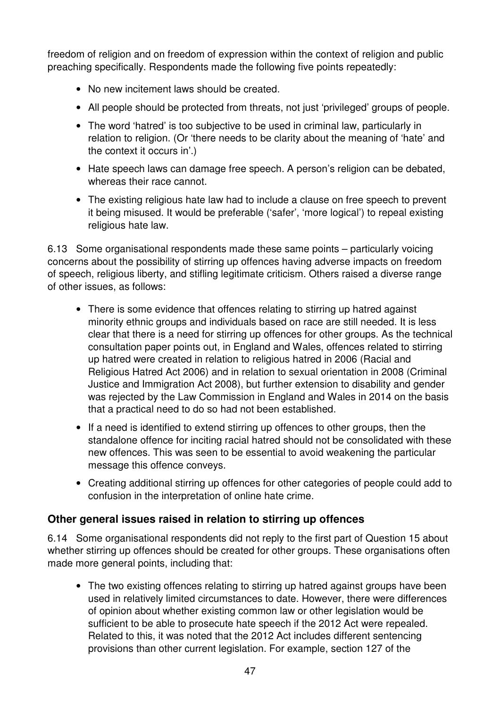freedom of religion and on freedom of expression within the context of religion and public preaching specifically. Respondents made the following five points repeatedly:

- No new incitement laws should be created.
- All people should be protected from threats, not just 'privileged' groups of people.
- The word 'hatred' is too subjective to be used in criminal law, particularly in relation to religion. (Or 'there needs to be clarity about the meaning of 'hate' and the context it occurs in'.)
- Hate speech laws can damage free speech. A person's religion can be debated, whereas their race cannot.
- The existing religious hate law had to include a clause on free speech to prevent it being misused. It would be preferable ('safer', 'more logical') to repeal existing religious hate law.

6.13 Some organisational respondents made these same points – particularly voicing concerns about the possibility of stirring up offences having adverse impacts on freedom of speech, religious liberty, and stifling legitimate criticism. Others raised a diverse range of other issues, as follows:

- There is some evidence that offences relating to stirring up hatred against minority ethnic groups and individuals based on race are still needed. It is less clear that there is a need for stirring up offences for other groups. As the technical consultation paper points out, in England and Wales, offences related to stirring up hatred were created in relation to religious hatred in 2006 (Racial and Religious Hatred Act 2006) and in relation to sexual orientation in 2008 (Criminal Justice and Immigration Act 2008), but further extension to disability and gender was rejected by the Law Commission in England and Wales in 2014 on the basis that a practical need to do so had not been established.
- If a need is identified to extend stirring up offences to other groups, then the standalone offence for inciting racial hatred should not be consolidated with these new offences. This was seen to be essential to avoid weakening the particular message this offence conveys.
- Creating additional stirring up offences for other categories of people could add to confusion in the interpretation of online hate crime.

#### **Other general issues raised in relation to stirring up offences**

6.14 Some organisational respondents did not reply to the first part of Question 15 about whether stirring up offences should be created for other groups. These organisations often made more general points, including that:

• The two existing offences relating to stirring up hatred against groups have been used in relatively limited circumstances to date. However, there were differences of opinion about whether existing common law or other legislation would be sufficient to be able to prosecute hate speech if the 2012 Act were repealed. Related to this, it was noted that the 2012 Act includes different sentencing provisions than other current legislation. For example, section 127 of the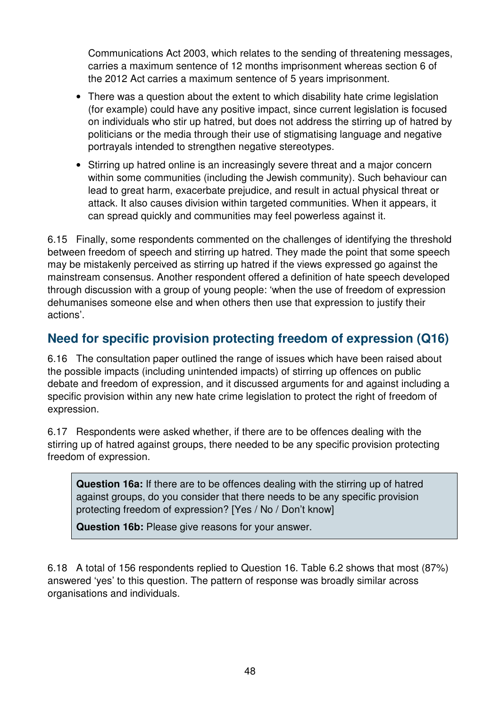Communications Act 2003, which relates to the sending of threatening messages, carries a maximum sentence of 12 months imprisonment whereas section 6 of the 2012 Act carries a maximum sentence of 5 years imprisonment.

- There was a question about the extent to which disability hate crime legislation (for example) could have any positive impact, since current legislation is focused on individuals who stir up hatred, but does not address the stirring up of hatred by politicians or the media through their use of stigmatising language and negative portrayals intended to strengthen negative stereotypes.
- Stirring up hatred online is an increasingly severe threat and a major concern within some communities (including the Jewish community). Such behaviour can lead to great harm, exacerbate prejudice, and result in actual physical threat or attack. It also causes division within targeted communities. When it appears, it can spread quickly and communities may feel powerless against it.

6.15 Finally, some respondents commented on the challenges of identifying the threshold between freedom of speech and stirring up hatred. They made the point that some speech may be mistakenly perceived as stirring up hatred if the views expressed go against the mainstream consensus. Another respondent offered a definition of hate speech developed through discussion with a group of young people: 'when the use of freedom of expression dehumanises someone else and when others then use that expression to justify their actions'.

## **Need for specific provision protecting freedom of expression (Q16)**

6.16 The consultation paper outlined the range of issues which have been raised about the possible impacts (including unintended impacts) of stirring up offences on public debate and freedom of expression, and it discussed arguments for and against including a specific provision within any new hate crime legislation to protect the right of freedom of expression.

6.17 Respondents were asked whether, if there are to be offences dealing with the stirring up of hatred against groups, there needed to be any specific provision protecting freedom of expression.

**Question 16a:** If there are to be offences dealing with the stirring up of hatred against groups, do you consider that there needs to be any specific provision protecting freedom of expression? [Yes / No / Don't know]

**Question 16b:** Please give reasons for your answer.

6.18 A total of 156 respondents replied to Question 16. Table 6.2 shows that most (87%) answered 'yes' to this question. The pattern of response was broadly similar across organisations and individuals.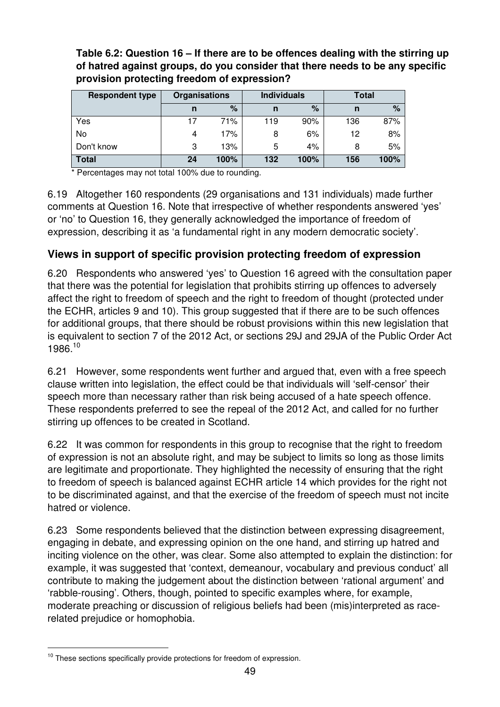**Table 6.2: Question 16 – If there are to be offences dealing with the stirring up of hatred against groups, do you consider that there needs to be any specific provision protecting freedom of expression?** 

| <b>Respondent type</b> | Organisations |      |     | <b>Individuals</b> | <b>Total</b> |      |  |
|------------------------|---------------|------|-----|--------------------|--------------|------|--|
|                        | n             | %    | n   | %                  | n            | $\%$ |  |
| Yes                    |               | 71%  | 119 | 90%                | 136          | 87%  |  |
| No                     | 4             | 17%  | 8   | 6%                 | 12           | 8%   |  |
| Don't know             | 3             | 13%  | 5   | 4%                 | 8            | 5%   |  |
| <b>Total</b>           | 24            | 100% | 132 | 100%               | 156          | 100% |  |

Percentages may not total 100% due to rounding.

6.19 Altogether 160 respondents (29 organisations and 131 individuals) made further comments at Question 16. Note that irrespective of whether respondents answered 'yes' or 'no' to Question 16, they generally acknowledged the importance of freedom of expression, describing it as 'a fundamental right in any modern democratic society'.

### **Views in support of specific provision protecting freedom of expression**

6.20 Respondents who answered 'yes' to Question 16 agreed with the consultation paper that there was the potential for legislation that prohibits stirring up offences to adversely affect the right to freedom of speech and the right to freedom of thought (protected under the ECHR, articles 9 and 10). This group suggested that if there are to be such offences for additional groups, that there should be robust provisions within this new legislation that is equivalent to section 7 of the 2012 Act, or sections 29J and 29JA of the Public Order Act 1986.<sup>10</sup>

6.21 However, some respondents went further and argued that, even with a free speech clause written into legislation, the effect could be that individuals will 'self-censor' their speech more than necessary rather than risk being accused of a hate speech offence. These respondents preferred to see the repeal of the 2012 Act, and called for no further stirring up offences to be created in Scotland.

6.22 It was common for respondents in this group to recognise that the right to freedom of expression is not an absolute right, and may be subject to limits so long as those limits are legitimate and proportionate. They highlighted the necessity of ensuring that the right to freedom of speech is balanced against ECHR article 14 which provides for the right not to be discriminated against, and that the exercise of the freedom of speech must not incite hatred or violence.

6.23 Some respondents believed that the distinction between expressing disagreement, engaging in debate, and expressing opinion on the one hand, and stirring up hatred and inciting violence on the other, was clear. Some also attempted to explain the distinction: for example, it was suggested that 'context, demeanour, vocabulary and previous conduct' all contribute to making the judgement about the distinction between 'rational argument' and 'rabble-rousing'. Others, though, pointed to specific examples where, for example, moderate preaching or discussion of religious beliefs had been (mis)interpreted as racerelated prejudice or homophobia.

 $\overline{a}$ 

 $10$  These sections specifically provide protections for freedom of expression.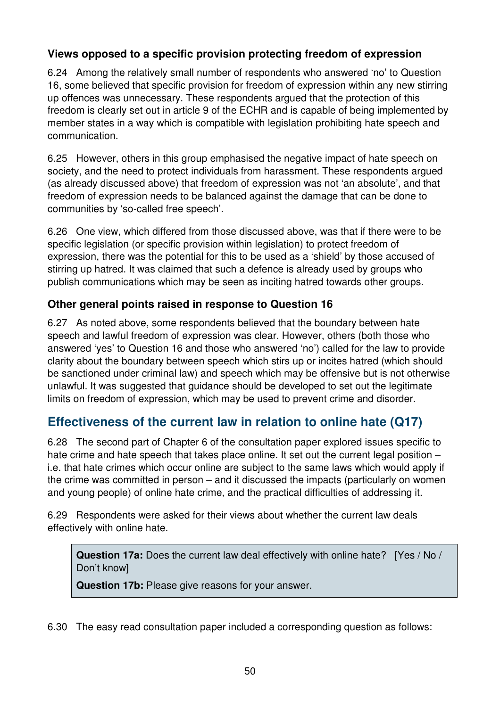### **Views opposed to a specific provision protecting freedom of expression**

6.24 Among the relatively small number of respondents who answered 'no' to Question 16, some believed that specific provision for freedom of expression within any new stirring up offences was unnecessary. These respondents argued that the protection of this freedom is clearly set out in article 9 of the ECHR and is capable of being implemented by member states in a way which is compatible with legislation prohibiting hate speech and communication.

6.25 However, others in this group emphasised the negative impact of hate speech on society, and the need to protect individuals from harassment. These respondents argued (as already discussed above) that freedom of expression was not 'an absolute', and that freedom of expression needs to be balanced against the damage that can be done to communities by 'so-called free speech'.

6.26 One view, which differed from those discussed above, was that if there were to be specific legislation (or specific provision within legislation) to protect freedom of expression, there was the potential for this to be used as a 'shield' by those accused of stirring up hatred. It was claimed that such a defence is already used by groups who publish communications which may be seen as inciting hatred towards other groups.

### **Other general points raised in response to Question 16**

6.27 As noted above, some respondents believed that the boundary between hate speech and lawful freedom of expression was clear. However, others (both those who answered 'yes' to Question 16 and those who answered 'no') called for the law to provide clarity about the boundary between speech which stirs up or incites hatred (which should be sanctioned under criminal law) and speech which may be offensive but is not otherwise unlawful. It was suggested that guidance should be developed to set out the legitimate limits on freedom of expression, which may be used to prevent crime and disorder.

# **Effectiveness of the current law in relation to online hate (Q17)**

6.28 The second part of Chapter 6 of the consultation paper explored issues specific to hate crime and hate speech that takes place online. It set out the current legal position – i.e. that hate crimes which occur online are subject to the same laws which would apply if the crime was committed in person – and it discussed the impacts (particularly on women and young people) of online hate crime, and the practical difficulties of addressing it.

6.29 Respondents were asked for their views about whether the current law deals effectively with online hate.

**Question 17a:** Does the current law deal effectively with online hate? [Yes / No / Don't know]

**Question 17b:** Please give reasons for your answer.

6.30 The easy read consultation paper included a corresponding question as follows: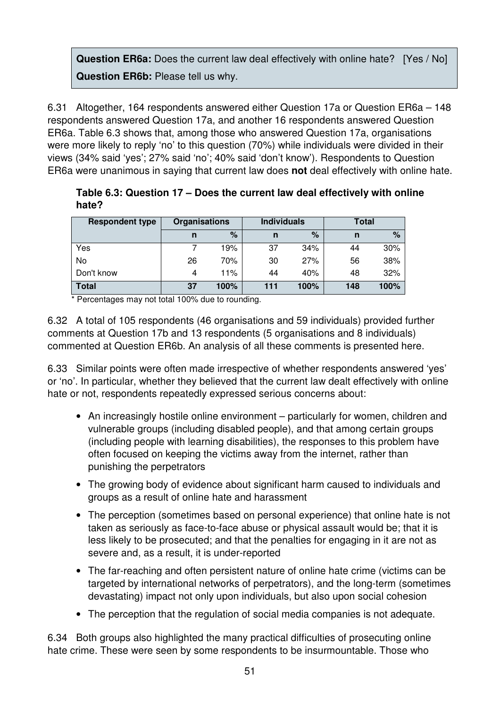## **Question ER6a:** Does the current law deal effectively with online hate? [Yes / No] **Question ER6b:** Please tell us why.

6.31 Altogether, 164 respondents answered either Question 17a or Question ER6a – 148 respondents answered Question 17a, and another 16 respondents answered Question ER6a. Table 6.3 shows that, among those who answered Question 17a, organisations were more likely to reply 'no' to this question (70%) while individuals were divided in their views (34% said 'yes'; 27% said 'no'; 40% said 'don't know'). Respondents to Question ER6a were unanimous in saying that current law does **not** deal effectively with online hate.

| <b>Respondent type</b> | Organisations |      | <b>Individuals</b> |      | Total |      |
|------------------------|---------------|------|--------------------|------|-------|------|
|                        | n             | $\%$ | n                  | %    | n     | %    |
| Yes                    |               | 19%  | 37                 | 34%  | 44    | 30%  |
| No                     | 26            | 70%  | 30                 | 27%  | 56    | 38%  |
| Don't know             | 4             | 11%  | 44                 | 40%  | 48    | 32%  |
| <b>Total</b>           | 37            | 100% | 111                | 100% | 148   | 100% |

**Table 6.3: Question 17 – Does the current law deal effectively with online hate?** 

\* Percentages may not total 100% due to rounding.

6.32 A total of 105 respondents (46 organisations and 59 individuals) provided further comments at Question 17b and 13 respondents (5 organisations and 8 individuals) commented at Question ER6b. An analysis of all these comments is presented here.

6.33 Similar points were often made irrespective of whether respondents answered 'yes' or 'no'. In particular, whether they believed that the current law dealt effectively with online hate or not, respondents repeatedly expressed serious concerns about:

- An increasingly hostile online environment particularly for women, children and vulnerable groups (including disabled people), and that among certain groups (including people with learning disabilities), the responses to this problem have often focused on keeping the victims away from the internet, rather than punishing the perpetrators
- The growing body of evidence about significant harm caused to individuals and groups as a result of online hate and harassment
- The perception (sometimes based on personal experience) that online hate is not taken as seriously as face-to-face abuse or physical assault would be; that it is less likely to be prosecuted; and that the penalties for engaging in it are not as severe and, as a result, it is under-reported
- The far-reaching and often persistent nature of online hate crime (victims can be targeted by international networks of perpetrators), and the long-term (sometimes devastating) impact not only upon individuals, but also upon social cohesion
- The perception that the regulation of social media companies is not adequate.

6.34 Both groups also highlighted the many practical difficulties of prosecuting online hate crime. These were seen by some respondents to be insurmountable. Those who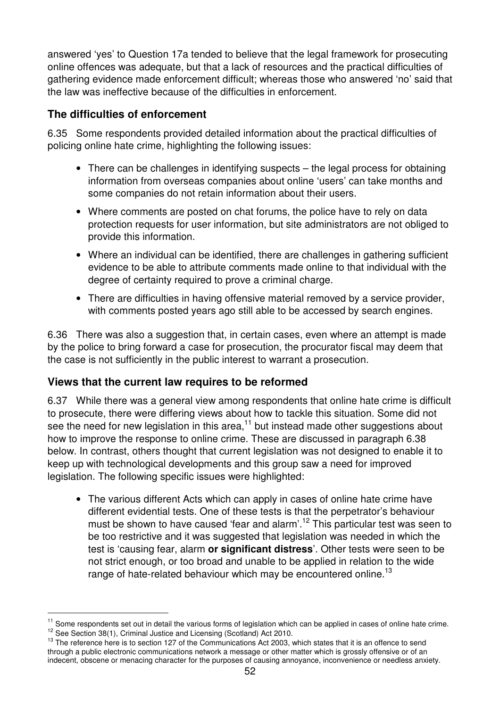answered 'yes' to Question 17a tended to believe that the legal framework for prosecuting online offences was adequate, but that a lack of resources and the practical difficulties of gathering evidence made enforcement difficult; whereas those who answered 'no' said that the law was ineffective because of the difficulties in enforcement.

## **The difficulties of enforcement**

6.35 Some respondents provided detailed information about the practical difficulties of policing online hate crime, highlighting the following issues:

- There can be challenges in identifying suspects the legal process for obtaining information from overseas companies about online 'users' can take months and some companies do not retain information about their users.
- Where comments are posted on chat forums, the police have to rely on data protection requests for user information, but site administrators are not obliged to provide this information.
- Where an individual can be identified, there are challenges in gathering sufficient evidence to be able to attribute comments made online to that individual with the degree of certainty required to prove a criminal charge.
- There are difficulties in having offensive material removed by a service provider, with comments posted years ago still able to be accessed by search engines.

6.36 There was also a suggestion that, in certain cases, even where an attempt is made by the police to bring forward a case for prosecution, the procurator fiscal may deem that the case is not sufficiently in the public interest to warrant a prosecution.

### **Views that the current law requires to be reformed**

 $\overline{a}$ 

6.37 While there was a general view among respondents that online hate crime is difficult to prosecute, there were differing views about how to tackle this situation. Some did not see the need for new legislation in this area, $11$  but instead made other suggestions about how to improve the response to online crime. These are discussed in paragraph 6.38 below. In contrast, others thought that current legislation was not designed to enable it to keep up with technological developments and this group saw a need for improved legislation. The following specific issues were highlighted:

• The various different Acts which can apply in cases of online hate crime have different evidential tests. One of these tests is that the perpetrator's behaviour must be shown to have caused 'fear and alarm'.<sup>12</sup> This particular test was seen to be too restrictive and it was suggested that legislation was needed in which the test is 'causing fear, alarm **or significant distress**'. Other tests were seen to be not strict enough, or too broad and unable to be applied in relation to the wide range of hate-related behaviour which may be encountered online.<sup>13</sup>

<sup>&</sup>lt;sup>11</sup> Some respondents set out in detail the various forms of legislation which can be applied in cases of online hate crime. <sup>12</sup> See Section 38(1), Criminal Justice and Licensing (Scotland) Act 2010.

 $<sup>13</sup>$  The reference here is to section 127 of the Communications Act 2003, which states that it is an offence to send</sup> through a public electronic communications network a message or other matter which is grossly offensive or of an indecent, obscene or menacing character for the purposes of causing annoyance, inconvenience or needless anxiety.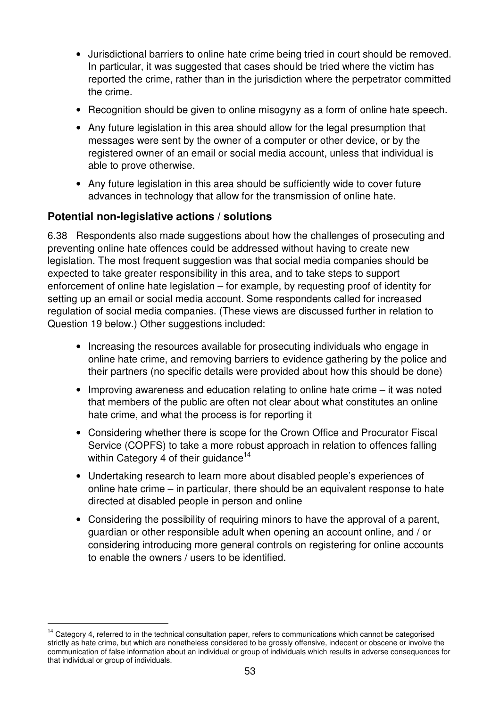- Jurisdictional barriers to online hate crime being tried in court should be removed. In particular, it was suggested that cases should be tried where the victim has reported the crime, rather than in the jurisdiction where the perpetrator committed the crime.
- Recognition should be given to online misogyny as a form of online hate speech.
- Any future legislation in this area should allow for the legal presumption that messages were sent by the owner of a computer or other device, or by the registered owner of an email or social media account, unless that individual is able to prove otherwise.
- Any future legislation in this area should be sufficiently wide to cover future advances in technology that allow for the transmission of online hate.

#### **Potential non-legislative actions / solutions**

 $\overline{a}$ 

6.38 Respondents also made suggestions about how the challenges of prosecuting and preventing online hate offences could be addressed without having to create new legislation. The most frequent suggestion was that social media companies should be expected to take greater responsibility in this area, and to take steps to support enforcement of online hate legislation – for example, by requesting proof of identity for setting up an email or social media account. Some respondents called for increased regulation of social media companies. (These views are discussed further in relation to Question 19 below.) Other suggestions included:

- Increasing the resources available for prosecuting individuals who engage in online hate crime, and removing barriers to evidence gathering by the police and their partners (no specific details were provided about how this should be done)
- Improving awareness and education relating to online hate crime it was noted that members of the public are often not clear about what constitutes an online hate crime, and what the process is for reporting it
- Considering whether there is scope for the Crown Office and Procurator Fiscal Service (COPFS) to take a more robust approach in relation to offences falling within Category 4 of their guidance<sup>14</sup>
- Undertaking research to learn more about disabled people's experiences of online hate crime – in particular, there should be an equivalent response to hate directed at disabled people in person and online
- Considering the possibility of requiring minors to have the approval of a parent, guardian or other responsible adult when opening an account online, and / or considering introducing more general controls on registering for online accounts to enable the owners / users to be identified.

<sup>&</sup>lt;sup>14</sup> Category 4, referred to in the technical consultation paper, refers to communications which cannot be categorised strictly as hate crime, but which are nonetheless considered to be grossly offensive, indecent or obscene or involve the communication of false information about an individual or group of individuals which results in adverse consequences for that individual or group of individuals.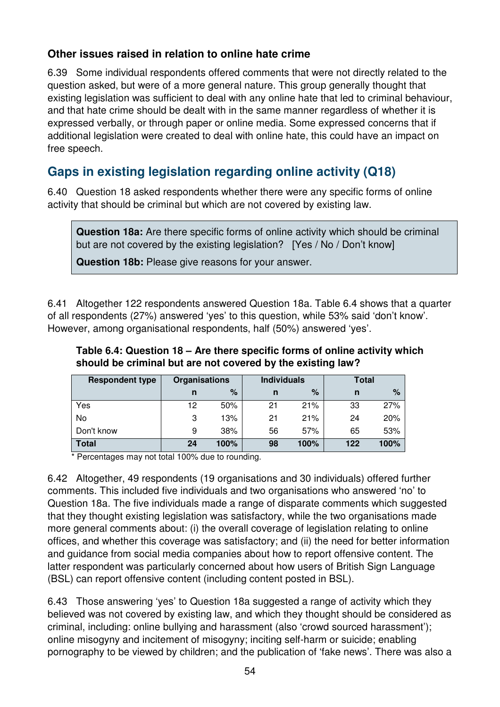#### **Other issues raised in relation to online hate crime**

6.39 Some individual respondents offered comments that were not directly related to the question asked, but were of a more general nature. This group generally thought that existing legislation was sufficient to deal with any online hate that led to criminal behaviour, and that hate crime should be dealt with in the same manner regardless of whether it is expressed verbally, or through paper or online media. Some expressed concerns that if additional legislation were created to deal with online hate, this could have an impact on free speech.

# **Gaps in existing legislation regarding online activity (Q18)**

6.40 Question 18 asked respondents whether there were any specific forms of online activity that should be criminal but which are not covered by existing law.

**Question 18a:** Are there specific forms of online activity which should be criminal but are not covered by the existing legislation? [Yes / No / Don't know]

**Question 18b:** Please give reasons for your answer.

6.41 Altogether 122 respondents answered Question 18a. Table 6.4 shows that a quarter of all respondents (27%) answered 'yes' to this question, while 53% said 'don't know'. However, among organisational respondents, half (50%) answered 'yes'.

| Table 6.4: Question 18 – Are there specific forms of online activity which |
|----------------------------------------------------------------------------|
| should be criminal but are not covered by the existing law?                |

| <b>Respondent type</b> | <b>Organisations</b> |      | <b>Individuals</b> |      | Total |      |
|------------------------|----------------------|------|--------------------|------|-------|------|
|                        | n                    | $\%$ | n                  | $\%$ | n     | $\%$ |
| Yes                    | 12                   | 50%  | 21                 | 21%  | 33    | 27%  |
| No                     | 3                    | 13%  | 21                 | 21%  | 24    | 20%  |
| Don't know             | 9                    | 38%  | 56                 | 57%  | 65    | 53%  |
| <b>Total</b>           | 24                   | 100% | 98                 | 100% | 122   | 100% |

Percentages may not total 100% due to rounding.

6.42 Altogether, 49 respondents (19 organisations and 30 individuals) offered further comments. This included five individuals and two organisations who answered 'no' to Question 18a. The five individuals made a range of disparate comments which suggested that they thought existing legislation was satisfactory, while the two organisations made more general comments about: (i) the overall coverage of legislation relating to online offices, and whether this coverage was satisfactory; and (ii) the need for better information and guidance from social media companies about how to report offensive content. The latter respondent was particularly concerned about how users of British Sign Language (BSL) can report offensive content (including content posted in BSL).

6.43 Those answering 'yes' to Question 18a suggested a range of activity which they believed was not covered by existing law, and which they thought should be considered as criminal, including: online bullying and harassment (also 'crowd sourced harassment'); online misogyny and incitement of misogyny; inciting self-harm or suicide; enabling pornography to be viewed by children; and the publication of 'fake news'. There was also a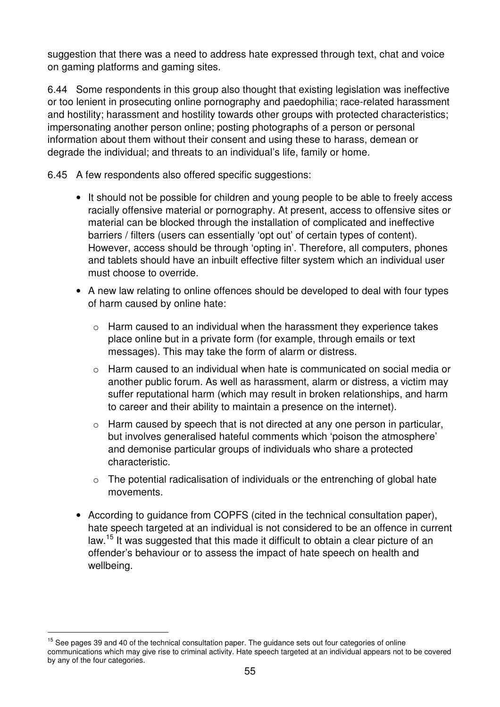suggestion that there was a need to address hate expressed through text, chat and voice on gaming platforms and gaming sites.

6.44 Some respondents in this group also thought that existing legislation was ineffective or too lenient in prosecuting online pornography and paedophilia; race-related harassment and hostility; harassment and hostility towards other groups with protected characteristics; impersonating another person online; posting photographs of a person or personal information about them without their consent and using these to harass, demean or degrade the individual; and threats to an individual's life, family or home.

6.45 A few respondents also offered specific suggestions:

- It should not be possible for children and young people to be able to freely access racially offensive material or pornography. At present, access to offensive sites or material can be blocked through the installation of complicated and ineffective barriers / filters (users can essentially 'opt out' of certain types of content). However, access should be through 'opting in'. Therefore, all computers, phones and tablets should have an inbuilt effective filter system which an individual user must choose to override.
- A new law relating to online offences should be developed to deal with four types of harm caused by online hate:
	- o Harm caused to an individual when the harassment they experience takes place online but in a private form (for example, through emails or text messages). This may take the form of alarm or distress.
	- o Harm caused to an individual when hate is communicated on social media or another public forum. As well as harassment, alarm or distress, a victim may suffer reputational harm (which may result in broken relationships, and harm to career and their ability to maintain a presence on the internet).
	- o Harm caused by speech that is not directed at any one person in particular, but involves generalised hateful comments which 'poison the atmosphere' and demonise particular groups of individuals who share a protected characteristic.
	- $\circ$  The potential radicalisation of individuals or the entrenching of global hate movements.
- According to guidance from COPFS (cited in the technical consultation paper), hate speech targeted at an individual is not considered to be an offence in current law.<sup>15</sup> It was suggested that this made it difficult to obtain a clear picture of an offender's behaviour or to assess the impact of hate speech on health and wellbeing.

 $\overline{a}$ 

 $15$  See pages 39 and 40 of the technical consultation paper. The guidance sets out four categories of online communications which may give rise to criminal activity. Hate speech targeted at an individual appears not to be covered by any of the four categories.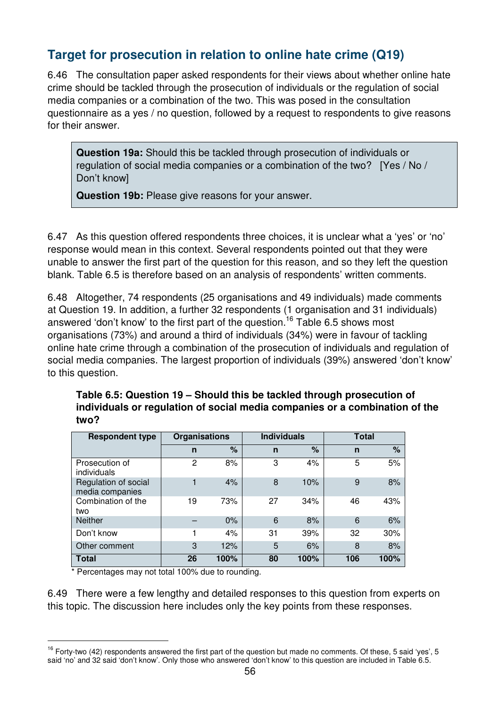# **Target for prosecution in relation to online hate crime (Q19)**

6.46 The consultation paper asked respondents for their views about whether online hate crime should be tackled through the prosecution of individuals or the regulation of social media companies or a combination of the two. This was posed in the consultation questionnaire as a yes / no question, followed by a request to respondents to give reasons for their answer.

**Question 19a:** Should this be tackled through prosecution of individuals or regulation of social media companies or a combination of the two? [Yes / No / Don't know]

**Question 19b:** Please give reasons for your answer.

6.47 As this question offered respondents three choices, it is unclear what a 'yes' or 'no' response would mean in this context. Several respondents pointed out that they were unable to answer the first part of the question for this reason, and so they left the question blank. Table 6.5 is therefore based on an analysis of respondents' written comments.

6.48 Altogether, 74 respondents (25 organisations and 49 individuals) made comments at Question 19. In addition, a further 32 respondents (1 organisation and 31 individuals) answered 'don't know' to the first part of the question.<sup>16</sup> Table 6.5 shows most organisations (73%) and around a third of individuals (34%) were in favour of tackling online hate crime through a combination of the prosecution of individuals and regulation of social media companies. The largest proportion of individuals (39%) answered 'don't know' to this question.

| Table 6.5: Question 19 – Should this be tackled through prosecution of      |
|-----------------------------------------------------------------------------|
| individuals or regulation of social media companies or a combination of the |
| two?                                                                        |

| <b>Respondent type</b>                  | <b>Organisations</b> |      | <b>Individuals</b> |      | Total |      |
|-----------------------------------------|----------------------|------|--------------------|------|-------|------|
|                                         | n                    | %    | n                  | %    | n     | $\%$ |
| Prosecution of<br>individuals           | 2                    | 8%   | 3                  | 4%   | 5     | 5%   |
| Regulation of social<br>media companies |                      | 4%   | 8                  | 10%  | 9     | 8%   |
| Combination of the<br>two               | 19                   | 73%  | 27                 | 34%  | 46    | 43%  |
| <b>Neither</b>                          |                      | 0%   | 6                  | 8%   | 6     | 6%   |
| Don't know                              |                      | 4%   | 31                 | 39%  | 32    | 30%  |
| Other comment                           | 3                    | 12%  | 5                  | 6%   | 8     | 8%   |
| <b>Total</b>                            | 26                   | 100% | 80                 | 100% | 106   | 100% |

\* Percentages may not total 100% due to rounding.

 $\overline{a}$ 

6.49 There were a few lengthy and detailed responses to this question from experts on this topic. The discussion here includes only the key points from these responses.

 $16$  Forty-two (42) respondents answered the first part of the question but made no comments. Of these, 5 said 'yes', 5 said 'no' and 32 said 'don't know'. Only those who answered 'don't know' to this question are included in Table 6.5.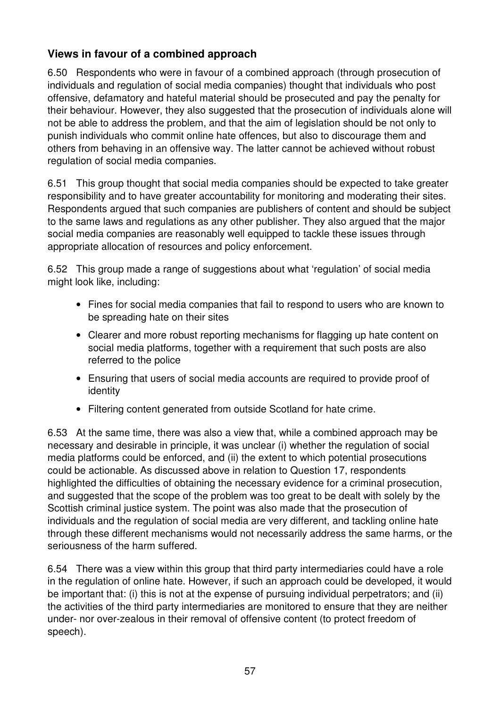## **Views in favour of a combined approach**

6.50 Respondents who were in favour of a combined approach (through prosecution of individuals and regulation of social media companies) thought that individuals who post offensive, defamatory and hateful material should be prosecuted and pay the penalty for their behaviour. However, they also suggested that the prosecution of individuals alone will not be able to address the problem, and that the aim of legislation should be not only to punish individuals who commit online hate offences, but also to discourage them and others from behaving in an offensive way. The latter cannot be achieved without robust regulation of social media companies.

6.51 This group thought that social media companies should be expected to take greater responsibility and to have greater accountability for monitoring and moderating their sites. Respondents argued that such companies are publishers of content and should be subject to the same laws and regulations as any other publisher. They also argued that the major social media companies are reasonably well equipped to tackle these issues through appropriate allocation of resources and policy enforcement.

6.52 This group made a range of suggestions about what 'regulation' of social media might look like, including:

- Fines for social media companies that fail to respond to users who are known to be spreading hate on their sites
- Clearer and more robust reporting mechanisms for flagging up hate content on social media platforms, together with a requirement that such posts are also referred to the police
- Ensuring that users of social media accounts are required to provide proof of identity
- Filtering content generated from outside Scotland for hate crime.

6.53 At the same time, there was also a view that, while a combined approach may be necessary and desirable in principle, it was unclear (i) whether the regulation of social media platforms could be enforced, and (ii) the extent to which potential prosecutions could be actionable. As discussed above in relation to Question 17, respondents highlighted the difficulties of obtaining the necessary evidence for a criminal prosecution, and suggested that the scope of the problem was too great to be dealt with solely by the Scottish criminal justice system. The point was also made that the prosecution of individuals and the regulation of social media are very different, and tackling online hate through these different mechanisms would not necessarily address the same harms, or the seriousness of the harm suffered.

6.54 There was a view within this group that third party intermediaries could have a role in the regulation of online hate. However, if such an approach could be developed, it would be important that: (i) this is not at the expense of pursuing individual perpetrators; and (ii) the activities of the third party intermediaries are monitored to ensure that they are neither under- nor over-zealous in their removal of offensive content (to protect freedom of speech).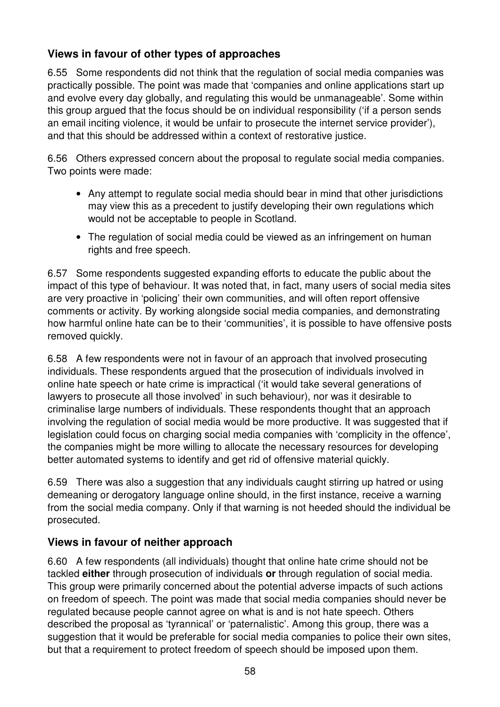## **Views in favour of other types of approaches**

6.55 Some respondents did not think that the regulation of social media companies was practically possible. The point was made that 'companies and online applications start up and evolve every day globally, and regulating this would be unmanageable'. Some within this group argued that the focus should be on individual responsibility ('if a person sends an email inciting violence, it would be unfair to prosecute the internet service provider'), and that this should be addressed within a context of restorative justice.

6.56 Others expressed concern about the proposal to regulate social media companies. Two points were made:

- Any attempt to regulate social media should bear in mind that other jurisdictions may view this as a precedent to justify developing their own regulations which would not be acceptable to people in Scotland.
- The regulation of social media could be viewed as an infringement on human rights and free speech.

6.57 Some respondents suggested expanding efforts to educate the public about the impact of this type of behaviour. It was noted that, in fact, many users of social media sites are very proactive in 'policing' their own communities, and will often report offensive comments or activity. By working alongside social media companies, and demonstrating how harmful online hate can be to their 'communities', it is possible to have offensive posts removed quickly.

6.58 A few respondents were not in favour of an approach that involved prosecuting individuals. These respondents argued that the prosecution of individuals involved in online hate speech or hate crime is impractical ('it would take several generations of lawyers to prosecute all those involved' in such behaviour), nor was it desirable to criminalise large numbers of individuals. These respondents thought that an approach involving the regulation of social media would be more productive. It was suggested that if legislation could focus on charging social media companies with 'complicity in the offence', the companies might be more willing to allocate the necessary resources for developing better automated systems to identify and get rid of offensive material quickly.

6.59 There was also a suggestion that any individuals caught stirring up hatred or using demeaning or derogatory language online should, in the first instance, receive a warning from the social media company. Only if that warning is not heeded should the individual be prosecuted.

### **Views in favour of neither approach**

6.60 A few respondents (all individuals) thought that online hate crime should not be tackled **either** through prosecution of individuals **or** through regulation of social media. This group were primarily concerned about the potential adverse impacts of such actions on freedom of speech. The point was made that social media companies should never be regulated because people cannot agree on what is and is not hate speech. Others described the proposal as 'tyrannical' or 'paternalistic'. Among this group, there was a suggestion that it would be preferable for social media companies to police their own sites, but that a requirement to protect freedom of speech should be imposed upon them.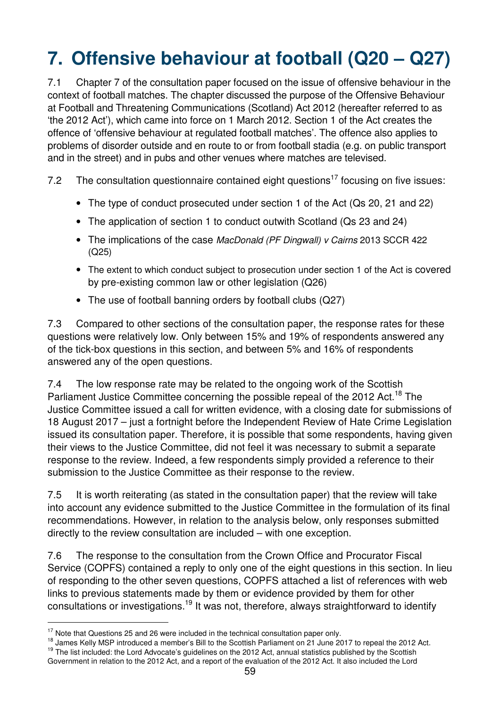# **7. Offensive behaviour at football (Q20 – Q27)**

7.1 Chapter 7 of the consultation paper focused on the issue of offensive behaviour in the context of football matches. The chapter discussed the purpose of the Offensive Behaviour at Football and Threatening Communications (Scotland) Act 2012 (hereafter referred to as 'the 2012 Act'), which came into force on 1 March 2012. Section 1 of the Act creates the offence of 'offensive behaviour at regulated football matches'. The offence also applies to problems of disorder outside and en route to or from football stadia (e.g. on public transport and in the street) and in pubs and other venues where matches are televised.

7.2 The consultation questionnaire contained eight questions<sup>17</sup> focusing on five issues:

- The type of conduct prosecuted under section 1 of the Act (Qs 20, 21 and 22)
- The application of section 1 to conduct outwith Scotland (Qs 23 and 24)
- The implications of the case MacDonald (PF Dingwall) v Cairns 2013 SCCR 422 (Q25)
- The extent to which conduct subject to prosecution under section 1 of the Act is covered by pre-existing common law or other legislation (Q26)
- The use of football banning orders by football clubs (Q27)

7.3 Compared to other sections of the consultation paper, the response rates for these questions were relatively low. Only between 15% and 19% of respondents answered any of the tick-box questions in this section, and between 5% and 16% of respondents answered any of the open questions.

7.4 The low response rate may be related to the ongoing work of the Scottish Parliament Justice Committee concerning the possible repeal of the 2012 Act.<sup>18</sup> The Justice Committee issued a call for written evidence, with a closing date for submissions of 18 August 2017 – just a fortnight before the Independent Review of Hate Crime Legislation issued its consultation paper. Therefore, it is possible that some respondents, having given their views to the Justice Committee, did not feel it was necessary to submit a separate response to the review. Indeed, a few respondents simply provided a reference to their submission to the Justice Committee as their response to the review.

7.5 It is worth reiterating (as stated in the consultation paper) that the review will take into account any evidence submitted to the Justice Committee in the formulation of its final recommendations. However, in relation to the analysis below, only responses submitted directly to the review consultation are included – with one exception.

7.6 The response to the consultation from the Crown Office and Procurator Fiscal Service (COPFS) contained a reply to only one of the eight questions in this section. In lieu of responding to the other seven questions, COPFS attached a list of references with web links to previous statements made by them or evidence provided by them for other consultations or investigations.<sup>19</sup> It was not, therefore, always straightforward to identify

 $\overline{a}$ 

 $17$  Note that Questions 25 and 26 were included in the technical consultation paper only.

<sup>&</sup>lt;sup>18</sup> James Kelly MSP introduced a member's Bill to the Scottish Parliament on 21 June 2017 to repeal the 2012 Act. <sup>19</sup> The list included: the Lord Advocate's guidelines on the 2012 Act, annual statistics published by the Scottish Government in relation to the 2012 Act, and a report of the evaluation of the 2012 Act. It also included the Lord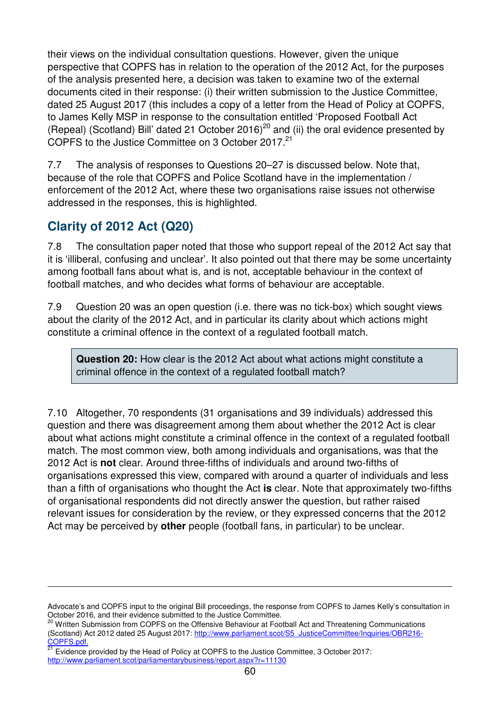their views on the individual consultation questions. However, given the unique perspective that COPFS has in relation to the operation of the 2012 Act, for the purposes of the analysis presented here, a decision was taken to examine two of the external documents cited in their response: (i) their written submission to the Justice Committee, dated 25 August 2017 (this includes a copy of a letter from the Head of Policy at COPFS, to James Kelly MSP in response to the consultation entitled 'Proposed Football Act (Repeal) (Scotland) Bill' dated 21 October 2016)<sup>20</sup> and (ii) the oral evidence presented by COPFS to the Justice Committee on 3 October 2017.<sup>21</sup>

7.7 The analysis of responses to Questions 20–27 is discussed below. Note that, because of the role that COPFS and Police Scotland have in the implementation / enforcement of the 2012 Act, where these two organisations raise issues not otherwise addressed in the responses, this is highlighted.

# **Clarity of 2012 Act (Q20)**

 $\overline{a}$ 

7.8 The consultation paper noted that those who support repeal of the 2012 Act say that it is 'illiberal, confusing and unclear'. It also pointed out that there may be some uncertainty among football fans about what is, and is not, acceptable behaviour in the context of football matches, and who decides what forms of behaviour are acceptable.

7.9 Question 20 was an open question (i.e. there was no tick-box) which sought views about the clarity of the 2012 Act, and in particular its clarity about which actions might constitute a criminal offence in the context of a regulated football match.

**Question 20:** How clear is the 2012 Act about what actions might constitute a criminal offence in the context of a regulated football match?

7.10 Altogether, 70 respondents (31 organisations and 39 individuals) addressed this question and there was disagreement among them about whether the 2012 Act is clear about what actions might constitute a criminal offence in the context of a regulated football match. The most common view, both among individuals and organisations, was that the 2012 Act is **not** clear. Around three-fifths of individuals and around two-fifths of organisations expressed this view, compared with around a quarter of individuals and less than a fifth of organisations who thought the Act **is** clear. Note that approximately two-fifths of organisational respondents did not directly answer the question, but rather raised relevant issues for consideration by the review, or they expressed concerns that the 2012 Act may be perceived by **other** people (football fans, in particular) to be unclear.

Advocate's and COPFS input to the original Bill proceedings, the response from COPFS to James Kelly's consultation in October 2016, and their evidence submitted to the Justice Committee.

<sup>&</sup>lt;sup>20</sup> Written Submission from COPFS on the Offensive Behaviour at Football Act and Threatening Communications (Scotland) Act 2012 dated 25 August 2017: http://www.parliament.scot/S5\_JusticeCommittee/Inquiries/OBR216-COPFS.pdf.

<sup>21</sup> Evidence provided by the Head of Policy at COPFS to the Justice Committee, 3 October 2017: http://www.parliament.scot/parliamentarybusiness/report.aspx?r=11130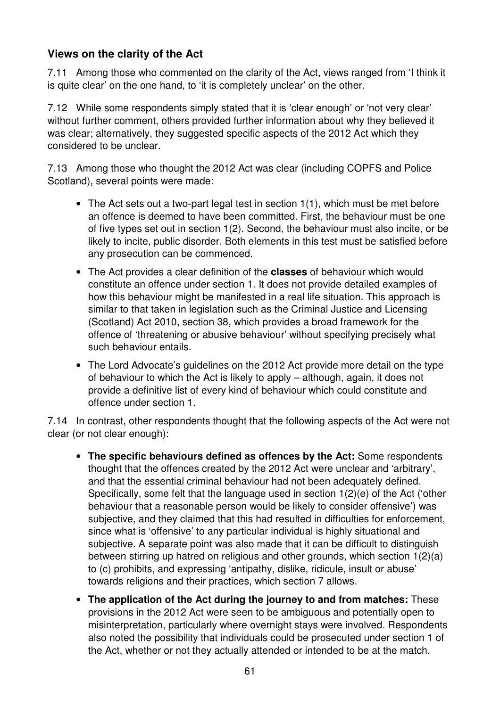### **Views on the clarity of the Act**

7.11 Among those who commented on the clarity of the Act, views ranged from 'I think it is quite clear' on the one hand, to 'it is completely unclear' on the other.

7.12 While some respondents simply stated that it is 'clear enough' or 'not very clear' without further comment, others provided further information about why they believed it was clear; alternatively, they suggested specific aspects of the 2012 Act which they considered to be unclear.

7.13 Among those who thought the 2012 Act was clear (including COPFS and Police Scotland), several points were made:

- The Act sets out a two-part legal test in section 1(1), which must be met before an offence is deemed to have been committed. First, the behaviour must be one of five types set out in section 1(2). Second, the behaviour must also incite, or be likely to incite, public disorder. Both elements in this test must be satisfied before any prosecution can be commenced.
- The Act provides a clear definition of the **classes** of behaviour which would constitute an offence under section 1. It does not provide detailed examples of how this behaviour might be manifested in a real life situation. This approach is similar to that taken in legislation such as the Criminal Justice and Licensing (Scotland) Act 2010, section 38, which provides a broad framework for the offence of 'threatening or abusive behaviour' without specifying precisely what such behaviour entails.
- The Lord Advocate's guidelines on the 2012 Act provide more detail on the type of behaviour to which the Act is likely to apply – although, again, it does not provide a definitive list of every kind of behaviour which could constitute and offence under section 1.

7.14 In contrast, other respondents thought that the following aspects of the Act were not clear (or not clear enough):

- **The specific behaviours defined as offences by the Act:** Some respondents thought that the offences created by the 2012 Act were unclear and 'arbitrary', and that the essential criminal behaviour had not been adequately defined. Specifically, some felt that the language used in section 1(2)(e) of the Act ('other behaviour that a reasonable person would be likely to consider offensive') was subjective, and they claimed that this had resulted in difficulties for enforcement, since what is 'offensive' to any particular individual is highly situational and subjective. A separate point was also made that it can be difficult to distinguish between stirring up hatred on religious and other grounds, which section 1(2)(a) to (c) prohibits, and expressing 'antipathy, dislike, ridicule, insult or abuse' towards religions and their practices, which section 7 allows.
- **The application of the Act during the journey to and from matches:** These provisions in the 2012 Act were seen to be ambiguous and potentially open to misinterpretation, particularly where overnight stays were involved. Respondents also noted the possibility that individuals could be prosecuted under section 1 of the Act, whether or not they actually attended or intended to be at the match.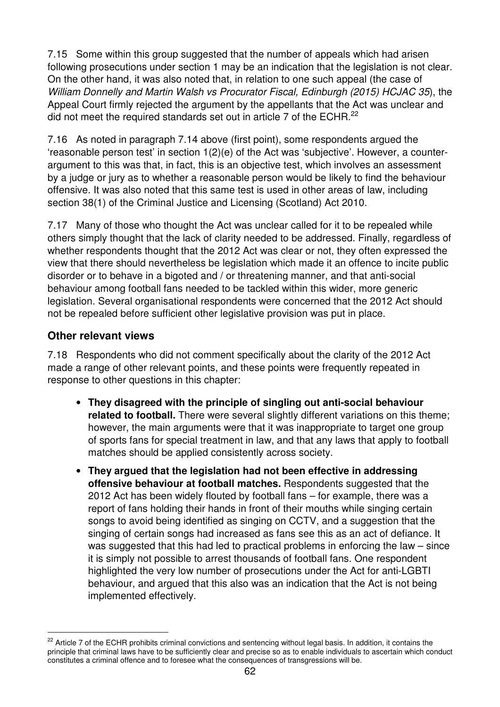7.15 Some within this group suggested that the number of appeals which had arisen following prosecutions under section 1 may be an indication that the legislation is not clear. On the other hand, it was also noted that, in relation to one such appeal (the case of William Donnelly and Martin Walsh vs Procurator Fiscal, Edinburgh (2015) HCJAC 35), the Appeal Court firmly rejected the argument by the appellants that the Act was unclear and did not meet the required standards set out in article 7 of the ECHR.<sup>22</sup>

7.16 As noted in paragraph 7.14 above (first point), some respondents argued the 'reasonable person test' in section 1(2)(e) of the Act was 'subjective'. However, a counterargument to this was that, in fact, this is an objective test, which involves an assessment by a judge or jury as to whether a reasonable person would be likely to find the behaviour offensive. It was also noted that this same test is used in other areas of law, including section 38(1) of the Criminal Justice and Licensing (Scotland) Act 2010.

7.17 Many of those who thought the Act was unclear called for it to be repealed while others simply thought that the lack of clarity needed to be addressed. Finally, regardless of whether respondents thought that the 2012 Act was clear or not, they often expressed the view that there should nevertheless be legislation which made it an offence to incite public disorder or to behave in a bigoted and / or threatening manner, and that anti-social behaviour among football fans needed to be tackled within this wider, more generic legislation. Several organisational respondents were concerned that the 2012 Act should not be repealed before sufficient other legislative provision was put in place.

#### **Other relevant views**

 $\overline{a}$ 

7.18 Respondents who did not comment specifically about the clarity of the 2012 Act made a range of other relevant points, and these points were frequently repeated in response to other questions in this chapter:

- **They disagreed with the principle of singling out anti-social behaviour**  related to football. There were several slightly different variations on this theme; however, the main arguments were that it was inappropriate to target one group of sports fans for special treatment in law, and that any laws that apply to football matches should be applied consistently across society.
- **They argued that the legislation had not been effective in addressing offensive behaviour at football matches.** Respondents suggested that the 2012 Act has been widely flouted by football fans – for example, there was a report of fans holding their hands in front of their mouths while singing certain songs to avoid being identified as singing on CCTV, and a suggestion that the singing of certain songs had increased as fans see this as an act of defiance. It was suggested that this had led to practical problems in enforcing the law – since it is simply not possible to arrest thousands of football fans. One respondent highlighted the very low number of prosecutions under the Act for anti-LGBTI behaviour, and argued that this also was an indication that the Act is not being implemented effectively.

<sup>&</sup>lt;sup>22</sup> Article 7 of the ECHR prohibits criminal convictions and sentencing without legal basis. In addition, it contains the principle that criminal laws have to be sufficiently clear and precise so as to enable individuals to ascertain which conduct constitutes a criminal offence and to foresee what the consequences of transgressions will be.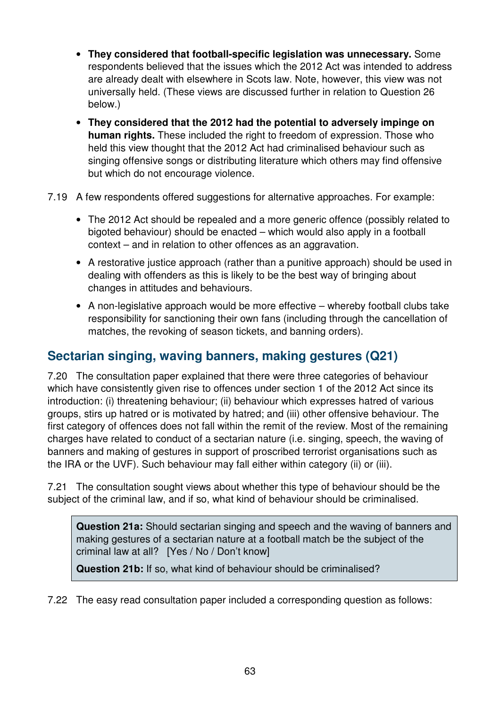- **They considered that football-specific legislation was unnecessary.** Some respondents believed that the issues which the 2012 Act was intended to address are already dealt with elsewhere in Scots law. Note, however, this view was not universally held. (These views are discussed further in relation to Question 26 below.)
- **They considered that the 2012 had the potential to adversely impinge on human rights.** These included the right to freedom of expression. Those who held this view thought that the 2012 Act had criminalised behaviour such as singing offensive songs or distributing literature which others may find offensive but which do not encourage violence.
- 7.19 A few respondents offered suggestions for alternative approaches. For example:
	- The 2012 Act should be repealed and a more generic offence (possibly related to bigoted behaviour) should be enacted – which would also apply in a football context – and in relation to other offences as an aggravation.
	- A restorative justice approach (rather than a punitive approach) should be used in dealing with offenders as this is likely to be the best way of bringing about changes in attitudes and behaviours.
	- A non-legislative approach would be more effective whereby football clubs take responsibility for sanctioning their own fans (including through the cancellation of matches, the revoking of season tickets, and banning orders).

## **Sectarian singing, waving banners, making gestures (Q21)**

7.20 The consultation paper explained that there were three categories of behaviour which have consistently given rise to offences under section 1 of the 2012 Act since its introduction: (i) threatening behaviour; (ii) behaviour which expresses hatred of various groups, stirs up hatred or is motivated by hatred; and (iii) other offensive behaviour. The first category of offences does not fall within the remit of the review. Most of the remaining charges have related to conduct of a sectarian nature (i.e. singing, speech, the waving of banners and making of gestures in support of proscribed terrorist organisations such as the IRA or the UVF). Such behaviour may fall either within category (ii) or (iii).

7.21 The consultation sought views about whether this type of behaviour should be the subject of the criminal law, and if so, what kind of behaviour should be criminalised.

**Question 21a:** Should sectarian singing and speech and the waving of banners and making gestures of a sectarian nature at a football match be the subject of the criminal law at all? [Yes / No / Don't know]

**Question 21b:** If so, what kind of behaviour should be criminalised?

7.22 The easy read consultation paper included a corresponding question as follows: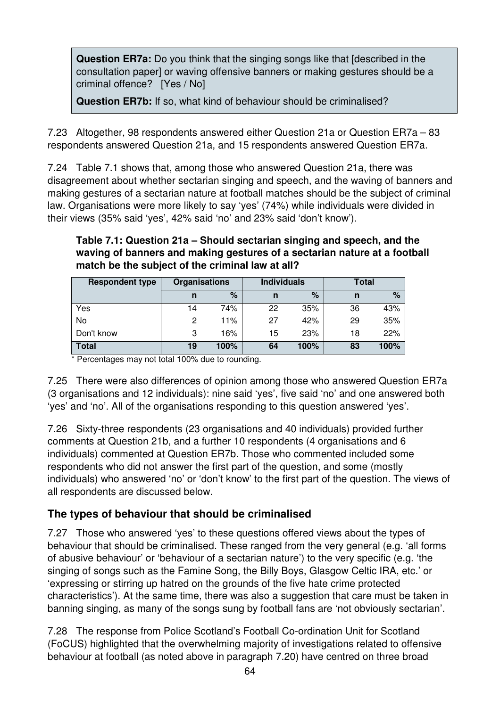**Question ER7a:** Do you think that the singing songs like that [described in the consultation paper] or waving offensive banners or making gestures should be a criminal offence? [Yes / No]

**Question ER7b:** If so, what kind of behaviour should be criminalised?

7.23 Altogether, 98 respondents answered either Question 21a or Question ER7a – 83 respondents answered Question 21a, and 15 respondents answered Question ER7a.

7.24 Table 7.1 shows that, among those who answered Question 21a, there was disagreement about whether sectarian singing and speech, and the waving of banners and making gestures of a sectarian nature at football matches should be the subject of criminal law. Organisations were more likely to say 'yes' (74%) while individuals were divided in their views (35% said 'yes', 42% said 'no' and 23% said 'don't know').

#### **Table 7.1: Question 21a – Should sectarian singing and speech, and the waving of banners and making gestures of a sectarian nature at a football match be the subject of the criminal law at all?**

| <b>Respondent type</b> | <b>Organisations</b> |      | <b>Individuals</b> |      | Total |      |
|------------------------|----------------------|------|--------------------|------|-------|------|
|                        | n                    | $\%$ | n                  | $\%$ | n     | %    |
| Yes                    | 14                   | 74%  | 22                 | 35%  | 36    | 43%  |
| No                     | 2                    | 11%  | 27                 | 42%  | 29    | 35%  |
| Don't know             | 3                    | 16%  | 15                 | 23%  | 18    | 22%  |
| <b>Total</b>           | 19                   | 100% | 64                 | 100% | 83    | 100% |

\* Percentages may not total 100% due to rounding.

7.25 There were also differences of opinion among those who answered Question ER7a (3 organisations and 12 individuals): nine said 'yes', five said 'no' and one answered both 'yes' and 'no'. All of the organisations responding to this question answered 'yes'.

7.26 Sixty-three respondents (23 organisations and 40 individuals) provided further comments at Question 21b, and a further 10 respondents (4 organisations and 6 individuals) commented at Question ER7b. Those who commented included some respondents who did not answer the first part of the question, and some (mostly individuals) who answered 'no' or 'don't know' to the first part of the question. The views of all respondents are discussed below.

## **The types of behaviour that should be criminalised**

7.27 Those who answered 'yes' to these questions offered views about the types of behaviour that should be criminalised. These ranged from the very general (e.g. 'all forms of abusive behaviour' or 'behaviour of a sectarian nature') to the very specific (e.g. 'the singing of songs such as the Famine Song, the Billy Boys, Glasgow Celtic IRA, etc.' or 'expressing or stirring up hatred on the grounds of the five hate crime protected characteristics'). At the same time, there was also a suggestion that care must be taken in banning singing, as many of the songs sung by football fans are 'not obviously sectarian'.

7.28 The response from Police Scotland's Football Co-ordination Unit for Scotland (FoCUS) highlighted that the overwhelming majority of investigations related to offensive behaviour at football (as noted above in paragraph 7.20) have centred on three broad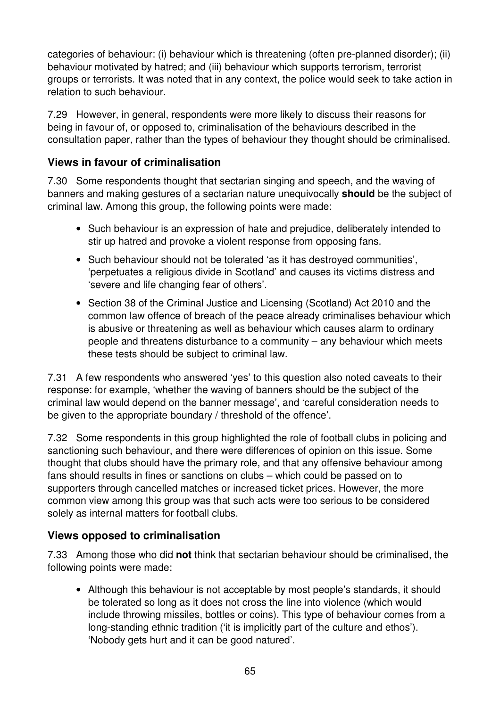categories of behaviour: (i) behaviour which is threatening (often pre-planned disorder); (ii) behaviour motivated by hatred; and (iii) behaviour which supports terrorism, terrorist groups or terrorists. It was noted that in any context, the police would seek to take action in relation to such behaviour.

7.29 However, in general, respondents were more likely to discuss their reasons for being in favour of, or opposed to, criminalisation of the behaviours described in the consultation paper, rather than the types of behaviour they thought should be criminalised.

#### **Views in favour of criminalisation**

7.30 Some respondents thought that sectarian singing and speech, and the waving of banners and making gestures of a sectarian nature unequivocally **should** be the subject of criminal law. Among this group, the following points were made:

- Such behaviour is an expression of hate and prejudice, deliberately intended to stir up hatred and provoke a violent response from opposing fans.
- Such behaviour should not be tolerated 'as it has destroyed communities', 'perpetuates a religious divide in Scotland' and causes its victims distress and 'severe and life changing fear of others'.
- Section 38 of the Criminal Justice and Licensing (Scotland) Act 2010 and the common law offence of breach of the peace already criminalises behaviour which is abusive or threatening as well as behaviour which causes alarm to ordinary people and threatens disturbance to a community – any behaviour which meets these tests should be subject to criminal law.

7.31 A few respondents who answered 'yes' to this question also noted caveats to their response: for example, 'whether the waving of banners should be the subject of the criminal law would depend on the banner message', and 'careful consideration needs to be given to the appropriate boundary / threshold of the offence'.

7.32 Some respondents in this group highlighted the role of football clubs in policing and sanctioning such behaviour, and there were differences of opinion on this issue. Some thought that clubs should have the primary role, and that any offensive behaviour among fans should results in fines or sanctions on clubs – which could be passed on to supporters through cancelled matches or increased ticket prices. However, the more common view among this group was that such acts were too serious to be considered solely as internal matters for football clubs.

#### **Views opposed to criminalisation**

7.33 Among those who did **not** think that sectarian behaviour should be criminalised, the following points were made:

• Although this behaviour is not acceptable by most people's standards, it should be tolerated so long as it does not cross the line into violence (which would include throwing missiles, bottles or coins). This type of behaviour comes from a long-standing ethnic tradition ('it is implicitly part of the culture and ethos'). 'Nobody gets hurt and it can be good natured'.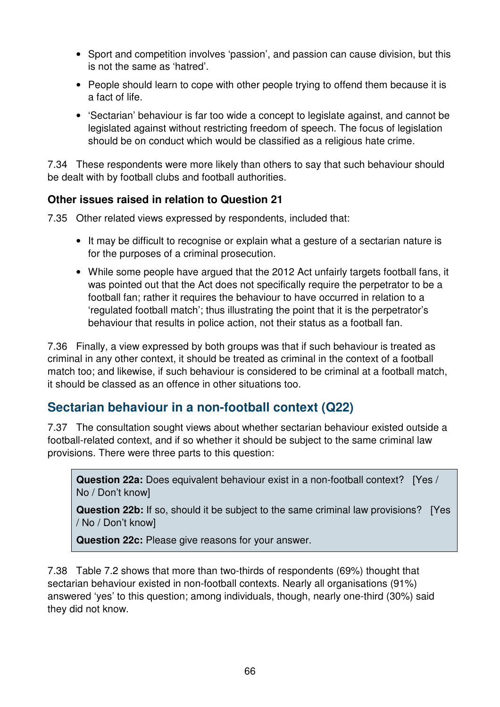- Sport and competition involves 'passion', and passion can cause division, but this is not the same as 'hatred'.
- People should learn to cope with other people trying to offend them because it is a fact of life.
- 'Sectarian' behaviour is far too wide a concept to legislate against, and cannot be legislated against without restricting freedom of speech. The focus of legislation should be on conduct which would be classified as a religious hate crime.

7.34 These respondents were more likely than others to say that such behaviour should be dealt with by football clubs and football authorities.

### **Other issues raised in relation to Question 21**

7.35 Other related views expressed by respondents, included that:

- It may be difficult to recognise or explain what a gesture of a sectarian nature is for the purposes of a criminal prosecution.
- While some people have argued that the 2012 Act unfairly targets football fans, it was pointed out that the Act does not specifically require the perpetrator to be a football fan; rather it requires the behaviour to have occurred in relation to a 'regulated football match'; thus illustrating the point that it is the perpetrator's behaviour that results in police action, not their status as a football fan.

7.36 Finally, a view expressed by both groups was that if such behaviour is treated as criminal in any other context, it should be treated as criminal in the context of a football match too; and likewise, if such behaviour is considered to be criminal at a football match, it should be classed as an offence in other situations too.

## **Sectarian behaviour in a non-football context (Q22)**

7.37 The consultation sought views about whether sectarian behaviour existed outside a football-related context, and if so whether it should be subject to the same criminal law provisions. There were three parts to this question:

**Question 22a:** Does equivalent behaviour exist in a non-football context? [Yes / No / Don't know]

**Question 22b:** If so, should it be subject to the same criminal law provisions? [Yes / No / Don't know]

**Question 22c:** Please give reasons for your answer.

7.38 Table 7.2 shows that more than two-thirds of respondents (69%) thought that sectarian behaviour existed in non-football contexts. Nearly all organisations (91%) answered 'yes' to this question; among individuals, though, nearly one-third (30%) said they did not know.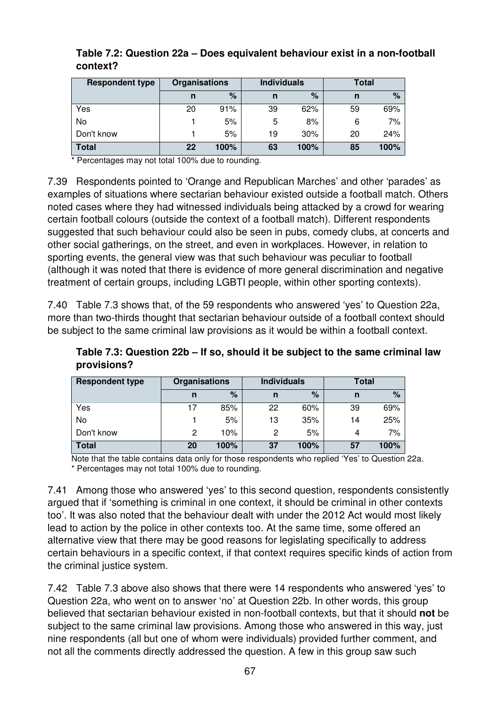| <b>Respondent type</b> | <b>Organisations</b> |      | <b>Individuals</b> |      | Total |      |
|------------------------|----------------------|------|--------------------|------|-------|------|
|                        | n                    | %    | n                  | %    | n     | $\%$ |
| Yes                    | 20                   | 91%  | 39                 | 62%  | 59    | 69%  |
| No                     |                      | 5%   | 5                  | 8%   | 6     | 7%   |
| Don't know             |                      | 5%   | 19                 | 30%  | 20    | 24%  |
| <b>Total</b>           | 22                   | 100% | 63                 | 100% | 85    | 100% |

#### **Table 7.2: Question 22a – Does equivalent behaviour exist in a non-football context?**

\* Percentages may not total 100% due to rounding.

7.39 Respondents pointed to 'Orange and Republican Marches' and other 'parades' as examples of situations where sectarian behaviour existed outside a football match. Others noted cases where they had witnessed individuals being attacked by a crowd for wearing certain football colours (outside the context of a football match). Different respondents suggested that such behaviour could also be seen in pubs, comedy clubs, at concerts and other social gatherings, on the street, and even in workplaces. However, in relation to sporting events, the general view was that such behaviour was peculiar to football (although it was noted that there is evidence of more general discrimination and negative treatment of certain groups, including LGBTI people, within other sporting contexts).

7.40 Table 7.3 shows that, of the 59 respondents who answered 'yes' to Question 22a, more than two-thirds thought that sectarian behaviour outside of a football context should be subject to the same criminal law provisions as it would be within a football context.

**Table 7.3: Question 22b – If so, should it be subject to the same criminal law provisions?** 

| <b>Respondent type</b> | <b>Organisations</b> |      | <b>Individuals</b> |      | Total |      |
|------------------------|----------------------|------|--------------------|------|-------|------|
|                        | n                    | %    | n                  | %    | n     | $\%$ |
| Yes                    |                      | 85%  | 22                 | 60%  | 39    | 69%  |
| No                     |                      | 5%   | 13                 | 35%  | 14    | 25%  |
| Don't know             | 2                    | 10%  | 2                  | 5%   | 4     | 7%   |
| <b>Total</b>           | 20                   | 100% | 37                 | 100% | 57    | 100% |

Note that the table contains data only for those respondents who replied 'Yes' to Question 22a. \* Percentages may not total 100% due to rounding.

7.41 Among those who answered 'yes' to this second question, respondents consistently argued that if 'something is criminal in one context, it should be criminal in other contexts too'. It was also noted that the behaviour dealt with under the 2012 Act would most likely lead to action by the police in other contexts too. At the same time, some offered an alternative view that there may be good reasons for legislating specifically to address certain behaviours in a specific context, if that context requires specific kinds of action from the criminal justice system.

7.42 Table 7.3 above also shows that there were 14 respondents who answered 'yes' to Question 22a, who went on to answer 'no' at Question 22b. In other words, this group believed that sectarian behaviour existed in non-football contexts, but that it should **not** be subject to the same criminal law provisions. Among those who answered in this way, just nine respondents (all but one of whom were individuals) provided further comment, and not all the comments directly addressed the question. A few in this group saw such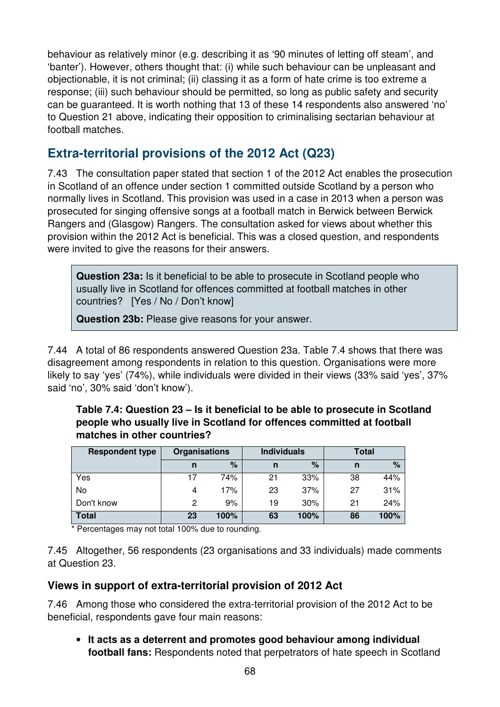behaviour as relatively minor (e.g. describing it as '90 minutes of letting off steam', and 'banter'). However, others thought that: (i) while such behaviour can be unpleasant and objectionable, it is not criminal; (ii) classing it as a form of hate crime is too extreme a response; (iii) such behaviour should be permitted, so long as public safety and security can be guaranteed. It is worth nothing that 13 of these 14 respondents also answered 'no' to Question 21 above, indicating their opposition to criminalising sectarian behaviour at football matches.

## **Extra-territorial provisions of the 2012 Act (Q23)**

7.43 The consultation paper stated that section 1 of the 2012 Act enables the prosecution in Scotland of an offence under section 1 committed outside Scotland by a person who normally lives in Scotland. This provision was used in a case in 2013 when a person was prosecuted for singing offensive songs at a football match in Berwick between Berwick Rangers and (Glasgow) Rangers. The consultation asked for views about whether this provision within the 2012 Act is beneficial. This was a closed question, and respondents were invited to give the reasons for their answers.

**Question 23a:** Is it beneficial to be able to prosecute in Scotland people who usually live in Scotland for offences committed at football matches in other countries? [Yes / No / Don't know]

**Question 23b:** Please give reasons for your answer.

7.44 A total of 86 respondents answered Question 23a. Table 7.4 shows that there was disagreement among respondents in relation to this question. Organisations were more likely to say 'yes' (74%), while individuals were divided in their views (33% said 'yes', 37% said 'no', 30% said 'don't know').

| <b>Respondent type</b> | <b>Organisations</b> |      | <b>Individuals</b> |      | <b>Total</b> |      |
|------------------------|----------------------|------|--------------------|------|--------------|------|
|                        | n                    | %    | n                  | %    | n            | %    |
| Yes                    | 17                   | 74%  | 21                 | 33%  | 38           | 44%  |
| No                     | 4                    | 17%  | 23                 | 37%  | 27           | 31%  |
| Don't know             | 2                    | 9%   | 19                 | 30%  | 21           | 24%  |
| <b>Total</b>           | 23                   | 100% | 63                 | 100% | 86           | 100% |

**Table 7.4: Question 23 – Is it beneficial to be able to prosecute in Scotland people who usually live in Scotland for offences committed at football matches in other countries?** 

\* Percentages may not total 100% due to rounding.

7.45 Altogether, 56 respondents (23 organisations and 33 individuals) made comments at Question 23.

#### **Views in support of extra-territorial provision of 2012 Act**

7.46 Among those who considered the extra-territorial provision of the 2012 Act to be beneficial, respondents gave four main reasons:

• **It acts as a deterrent and promotes good behaviour among individual football fans:** Respondents noted that perpetrators of hate speech in Scotland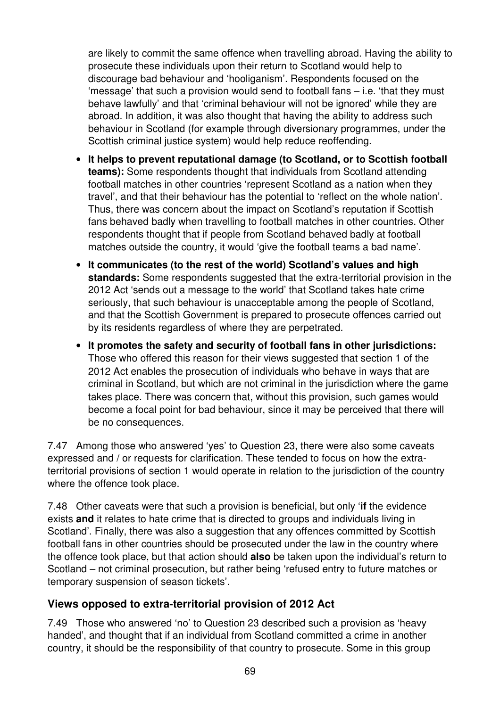are likely to commit the same offence when travelling abroad. Having the ability to prosecute these individuals upon their return to Scotland would help to discourage bad behaviour and 'hooliganism'. Respondents focused on the 'message' that such a provision would send to football fans – i.e. 'that they must behave lawfully' and that 'criminal behaviour will not be ignored' while they are abroad. In addition, it was also thought that having the ability to address such behaviour in Scotland (for example through diversionary programmes, under the Scottish criminal justice system) would help reduce reoffending.

- **It helps to prevent reputational damage (to Scotland, or to Scottish football teams):** Some respondents thought that individuals from Scotland attending football matches in other countries 'represent Scotland as a nation when they travel', and that their behaviour has the potential to 'reflect on the whole nation'. Thus, there was concern about the impact on Scotland's reputation if Scottish fans behaved badly when travelling to football matches in other countries. Other respondents thought that if people from Scotland behaved badly at football matches outside the country, it would 'give the football teams a bad name'.
- **It communicates (to the rest of the world) Scotland's values and high standards:** Some respondents suggested that the extra-territorial provision in the 2012 Act 'sends out a message to the world' that Scotland takes hate crime seriously, that such behaviour is unacceptable among the people of Scotland, and that the Scottish Government is prepared to prosecute offences carried out by its residents regardless of where they are perpetrated.
- **It promotes the safety and security of football fans in other jurisdictions:** Those who offered this reason for their views suggested that section 1 of the 2012 Act enables the prosecution of individuals who behave in ways that are criminal in Scotland, but which are not criminal in the jurisdiction where the game takes place. There was concern that, without this provision, such games would become a focal point for bad behaviour, since it may be perceived that there will be no consequences.

7.47 Among those who answered 'yes' to Question 23, there were also some caveats expressed and / or requests for clarification. These tended to focus on how the extraterritorial provisions of section 1 would operate in relation to the jurisdiction of the country where the offence took place.

7.48 Other caveats were that such a provision is beneficial, but only '**if** the evidence exists **and** it relates to hate crime that is directed to groups and individuals living in Scotland'. Finally, there was also a suggestion that any offences committed by Scottish football fans in other countries should be prosecuted under the law in the country where the offence took place, but that action should **also** be taken upon the individual's return to Scotland – not criminal prosecution, but rather being 'refused entry to future matches or temporary suspension of season tickets'.

#### **Views opposed to extra-territorial provision of 2012 Act**

7.49 Those who answered 'no' to Question 23 described such a provision as 'heavy handed', and thought that if an individual from Scotland committed a crime in another country, it should be the responsibility of that country to prosecute. Some in this group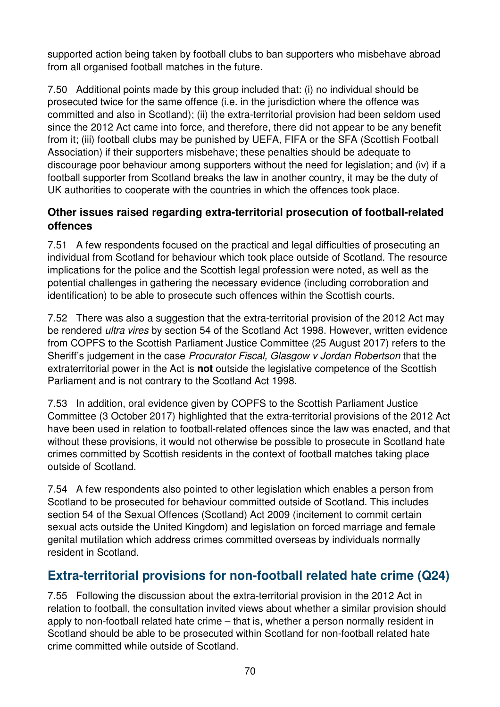supported action being taken by football clubs to ban supporters who misbehave abroad from all organised football matches in the future.

7.50 Additional points made by this group included that: (i) no individual should be prosecuted twice for the same offence (i.e. in the jurisdiction where the offence was committed and also in Scotland); (ii) the extra-territorial provision had been seldom used since the 2012 Act came into force, and therefore, there did not appear to be any benefit from it; (iii) football clubs may be punished by UEFA, FIFA or the SFA (Scottish Football Association) if their supporters misbehave; these penalties should be adequate to discourage poor behaviour among supporters without the need for legislation; and (iv) if a football supporter from Scotland breaks the law in another country, it may be the duty of UK authorities to cooperate with the countries in which the offences took place.

### **Other issues raised regarding extra-territorial prosecution of football-related offences**

7.51 A few respondents focused on the practical and legal difficulties of prosecuting an individual from Scotland for behaviour which took place outside of Scotland. The resource implications for the police and the Scottish legal profession were noted, as well as the potential challenges in gathering the necessary evidence (including corroboration and identification) to be able to prosecute such offences within the Scottish courts.

7.52 There was also a suggestion that the extra-territorial provision of the 2012 Act may be rendered *ultra vires* by section 54 of the Scotland Act 1998. However, written evidence from COPFS to the Scottish Parliament Justice Committee (25 August 2017) refers to the Sheriff's judgement in the case Procurator Fiscal, Glasgow v Jordan Robertson that the extraterritorial power in the Act is **not** outside the legislative competence of the Scottish Parliament and is not contrary to the Scotland Act 1998.

7.53 In addition, oral evidence given by COPFS to the Scottish Parliament Justice Committee (3 October 2017) highlighted that the extra-territorial provisions of the 2012 Act have been used in relation to football-related offences since the law was enacted, and that without these provisions, it would not otherwise be possible to prosecute in Scotland hate crimes committed by Scottish residents in the context of football matches taking place outside of Scotland.

7.54 A few respondents also pointed to other legislation which enables a person from Scotland to be prosecuted for behaviour committed outside of Scotland. This includes section 54 of the Sexual Offences (Scotland) Act 2009 (incitement to commit certain sexual acts outside the United Kingdom) and legislation on forced marriage and female genital mutilation which address crimes committed overseas by individuals normally resident in Scotland.

## **Extra-territorial provisions for non-football related hate crime (Q24)**

7.55 Following the discussion about the extra-territorial provision in the 2012 Act in relation to football, the consultation invited views about whether a similar provision should apply to non-football related hate crime – that is, whether a person normally resident in Scotland should be able to be prosecuted within Scotland for non-football related hate crime committed while outside of Scotland.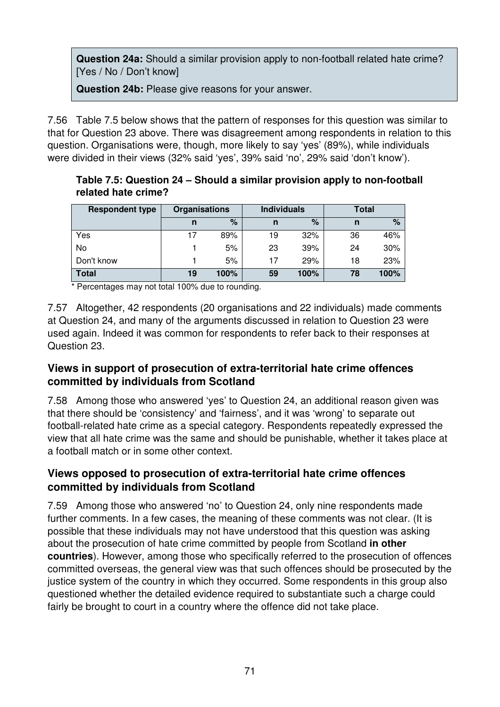**Question 24a:** Should a similar provision apply to non-football related hate crime? [Yes / No / Don't know]

**Question 24b:** Please give reasons for your answer.

7.56 Table 7.5 below shows that the pattern of responses for this question was similar to that for Question 23 above. There was disagreement among respondents in relation to this question. Organisations were, though, more likely to say 'yes' (89%), while individuals were divided in their views (32% said 'yes', 39% said 'no', 29% said 'don't know').

| <b>Respondent type</b> | <b>Organisations</b> |      | <b>Individuals</b> |      | Total |      |
|------------------------|----------------------|------|--------------------|------|-------|------|
|                        | n                    | %    | n                  | %    | n     | %    |
| Yes                    | 17                   | 89%  | 19                 | 32%  | 36    | 46%  |
| No                     |                      | 5%   | 23                 | 39%  | 24    | 30%  |
| Don't know             |                      | 5%   | 17                 | 29%  | 18    | 23%  |
| <b>Total</b>           | 19                   | 100% | 59                 | 100% | 78    | 100% |

**Table 7.5: Question 24 – Should a similar provision apply to non-football related hate crime?** 

\* Percentages may not total 100% due to rounding.

7.57 Altogether, 42 respondents (20 organisations and 22 individuals) made comments at Question 24, and many of the arguments discussed in relation to Question 23 were used again. Indeed it was common for respondents to refer back to their responses at Question 23.

#### **Views in support of prosecution of extra-territorial hate crime offences committed by individuals from Scotland**

7.58 Among those who answered 'yes' to Question 24, an additional reason given was that there should be 'consistency' and 'fairness', and it was 'wrong' to separate out football-related hate crime as a special category. Respondents repeatedly expressed the view that all hate crime was the same and should be punishable, whether it takes place at a football match or in some other context.

#### **Views opposed to prosecution of extra-territorial hate crime offences committed by individuals from Scotland**

7.59 Among those who answered 'no' to Question 24, only nine respondents made further comments. In a few cases, the meaning of these comments was not clear. (It is possible that these individuals may not have understood that this question was asking about the prosecution of hate crime committed by people from Scotland **in other countries**). However, among those who specifically referred to the prosecution of offences committed overseas, the general view was that such offences should be prosecuted by the justice system of the country in which they occurred. Some respondents in this group also questioned whether the detailed evidence required to substantiate such a charge could fairly be brought to court in a country where the offence did not take place.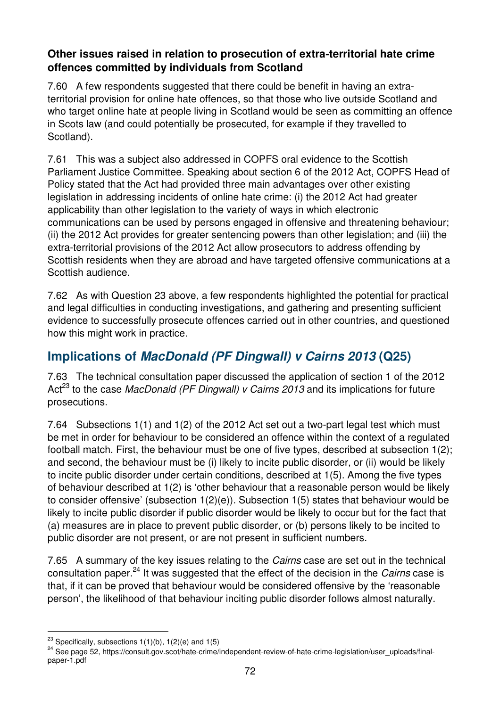#### **Other issues raised in relation to prosecution of extra-territorial hate crime offences committed by individuals from Scotland**

7.60 A few respondents suggested that there could be benefit in having an extraterritorial provision for online hate offences, so that those who live outside Scotland and who target online hate at people living in Scotland would be seen as committing an offence in Scots law (and could potentially be prosecuted, for example if they travelled to Scotland).

7.61 This was a subject also addressed in COPFS oral evidence to the Scottish Parliament Justice Committee. Speaking about section 6 of the 2012 Act, COPFS Head of Policy stated that the Act had provided three main advantages over other existing legislation in addressing incidents of online hate crime: (i) the 2012 Act had greater applicability than other legislation to the variety of ways in which electronic communications can be used by persons engaged in offensive and threatening behaviour; (ii) the 2012 Act provides for greater sentencing powers than other legislation; and (iii) the extra-territorial provisions of the 2012 Act allow prosecutors to address offending by Scottish residents when they are abroad and have targeted offensive communications at a Scottish audience.

7.62 As with Question 23 above, a few respondents highlighted the potential for practical and legal difficulties in conducting investigations, and gathering and presenting sufficient evidence to successfully prosecute offences carried out in other countries, and questioned how this might work in practice.

# **Implications of MacDonald (PF Dingwall) v Cairns 2013 (Q25)**

7.63 The technical consultation paper discussed the application of section 1 of the 2012 Act<sup>23</sup> to the case *MacDonald (PF Dingwall) v Cairns 2013* and its implications for future prosecutions.

7.64 Subsections 1(1) and 1(2) of the 2012 Act set out a two-part legal test which must be met in order for behaviour to be considered an offence within the context of a regulated football match. First, the behaviour must be one of five types, described at subsection 1(2); and second, the behaviour must be (i) likely to incite public disorder, or (ii) would be likely to incite public disorder under certain conditions, described at 1(5). Among the five types of behaviour described at 1(2) is 'other behaviour that a reasonable person would be likely to consider offensive' (subsection 1(2)(e)). Subsection 1(5) states that behaviour would be likely to incite public disorder if public disorder would be likely to occur but for the fact that (a) measures are in place to prevent public disorder, or (b) persons likely to be incited to public disorder are not present, or are not present in sufficient numbers.

7.65 A summary of the key issues relating to the *Cairns* case are set out in the technical consultation paper.<sup>24</sup> It was suggested that the effect of the decision in the *Cairns* case is that, if it can be proved that behaviour would be considered offensive by the 'reasonable person', the likelihood of that behaviour inciting public disorder follows almost naturally.

 $\overline{a}$ 

<sup>&</sup>lt;sup>23</sup> Specifically, subsections  $1(1)(b)$ ,  $1(2)(e)$  and  $1(5)$ 

<sup>&</sup>lt;sup>24</sup> See page 52, https://consult.gov.scot/hate-crime/independent-review-of-hate-crime-legislation/user\_uploads/finalpaper-1.pdf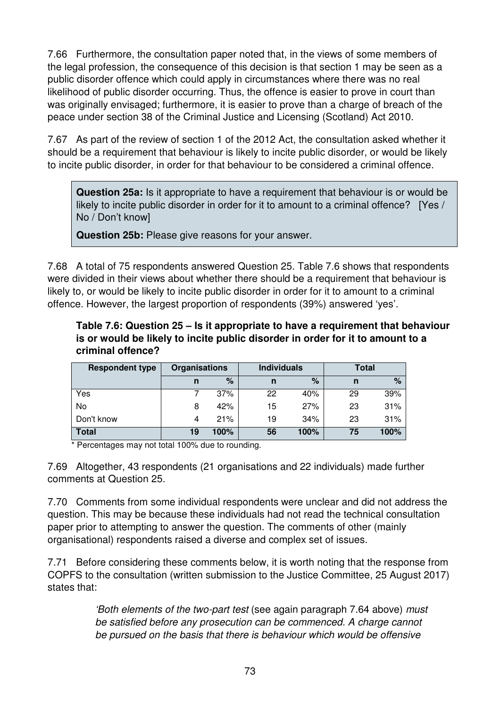7.66 Furthermore, the consultation paper noted that, in the views of some members of the legal profession, the consequence of this decision is that section 1 may be seen as a public disorder offence which could apply in circumstances where there was no real likelihood of public disorder occurring. Thus, the offence is easier to prove in court than was originally envisaged; furthermore, it is easier to prove than a charge of breach of the peace under section 38 of the Criminal Justice and Licensing (Scotland) Act 2010.

7.67 As part of the review of section 1 of the 2012 Act, the consultation asked whether it should be a requirement that behaviour is likely to incite public disorder, or would be likely to incite public disorder, in order for that behaviour to be considered a criminal offence.

**Question 25a:** Is it appropriate to have a requirement that behaviour is or would be likely to incite public disorder in order for it to amount to a criminal offence? [Yes / No / Don't know]

**Question 25b:** Please give reasons for your answer.

7.68 A total of 75 respondents answered Question 25. Table 7.6 shows that respondents were divided in their views about whether there should be a requirement that behaviour is likely to, or would be likely to incite public disorder in order for it to amount to a criminal offence. However, the largest proportion of respondents (39%) answered 'yes'.

#### **Table 7.6: Question 25 – Is it appropriate to have a requirement that behaviour is or would be likely to incite public disorder in order for it to amount to a criminal offence?**

| <b>Respondent type</b> | <b>Organisations</b> |      | <b>Individuals</b> |      | Total |      |
|------------------------|----------------------|------|--------------------|------|-------|------|
|                        | n                    | $\%$ | n                  | %    | n     | %    |
| Yes                    |                      | 37%  | 22                 | 40%  | 29    | 39%  |
| No                     | 8                    | 42%  | 15                 | 27%  | 23    | 31%  |
| Don't know             | 4                    | 21%  | 19                 | 34%  | 23    | 31%  |
| <b>Total</b>           | 19                   | 100% | 56                 | 100% | 75    | 100% |

\* Percentages may not total 100% due to rounding.

7.69 Altogether, 43 respondents (21 organisations and 22 individuals) made further comments at Question 25.

7.70 Comments from some individual respondents were unclear and did not address the question. This may be because these individuals had not read the technical consultation paper prior to attempting to answer the question. The comments of other (mainly organisational) respondents raised a diverse and complex set of issues.

7.71 Before considering these comments below, it is worth noting that the response from COPFS to the consultation (written submission to the Justice Committee, 25 August 2017) states that:

> 'Both elements of the two-part test (see again paragraph 7.64 above) must be satisfied before any prosecution can be commenced. A charge cannot be pursued on the basis that there is behaviour which would be offensive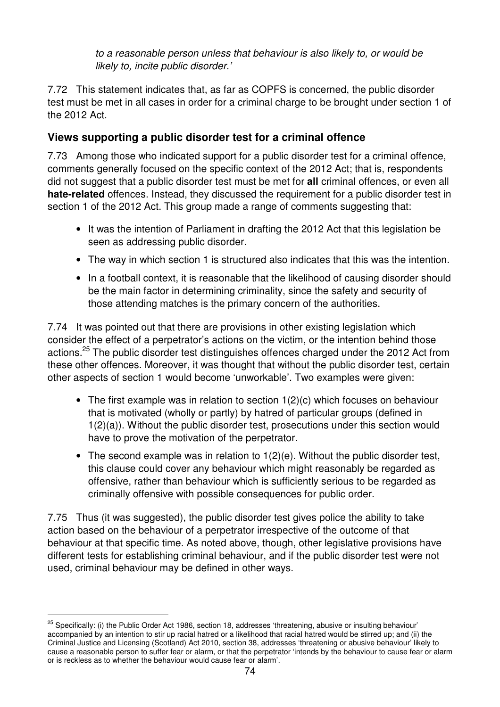to a reasonable person unless that behaviour is also likely to, or would be likely to, incite public disorder.'

7.72 This statement indicates that, as far as COPFS is concerned, the public disorder test must be met in all cases in order for a criminal charge to be brought under section 1 of the 2012 Act.

## **Views supporting a public disorder test for a criminal offence**

7.73 Among those who indicated support for a public disorder test for a criminal offence, comments generally focused on the specific context of the 2012 Act; that is, respondents did not suggest that a public disorder test must be met for **all** criminal offences, or even all **hate-related** offences. Instead, they discussed the requirement for a public disorder test in section 1 of the 2012 Act. This group made a range of comments suggesting that:

- It was the intention of Parliament in drafting the 2012 Act that this legislation be seen as addressing public disorder.
- The way in which section 1 is structured also indicates that this was the intention.
- In a football context, it is reasonable that the likelihood of causing disorder should be the main factor in determining criminality, since the safety and security of those attending matches is the primary concern of the authorities.

7.74 It was pointed out that there are provisions in other existing legislation which consider the effect of a perpetrator's actions on the victim, or the intention behind those actions.<sup>25</sup> The public disorder test distinguishes offences charged under the 2012 Act from these other offences. Moreover, it was thought that without the public disorder test, certain other aspects of section 1 would become 'unworkable'. Two examples were given:

- The first example was in relation to section 1(2)(c) which focuses on behaviour that is motivated (wholly or partly) by hatred of particular groups (defined in 1(2)(a)). Without the public disorder test, prosecutions under this section would have to prove the motivation of the perpetrator.
- The second example was in relation to 1(2)(e). Without the public disorder test, this clause could cover any behaviour which might reasonably be regarded as offensive, rather than behaviour which is sufficiently serious to be regarded as criminally offensive with possible consequences for public order.

7.75 Thus (it was suggested), the public disorder test gives police the ability to take action based on the behaviour of a perpetrator irrespective of the outcome of that behaviour at that specific time. As noted above, though, other legislative provisions have different tests for establishing criminal behaviour, and if the public disorder test were not used, criminal behaviour may be defined in other ways.

 $\overline{a}$ 

 $25$  Specifically: (i) the Public Order Act 1986, section 18, addresses 'threatening, abusive or insulting behaviour' accompanied by an intention to stir up racial hatred or a likelihood that racial hatred would be stirred up; and (ii) the Criminal Justice and Licensing (Scotland) Act 2010, section 38, addresses 'threatening or abusive behaviour' likely to cause a reasonable person to suffer fear or alarm, or that the perpetrator 'intends by the behaviour to cause fear or alarm or is reckless as to whether the behaviour would cause fear or alarm'.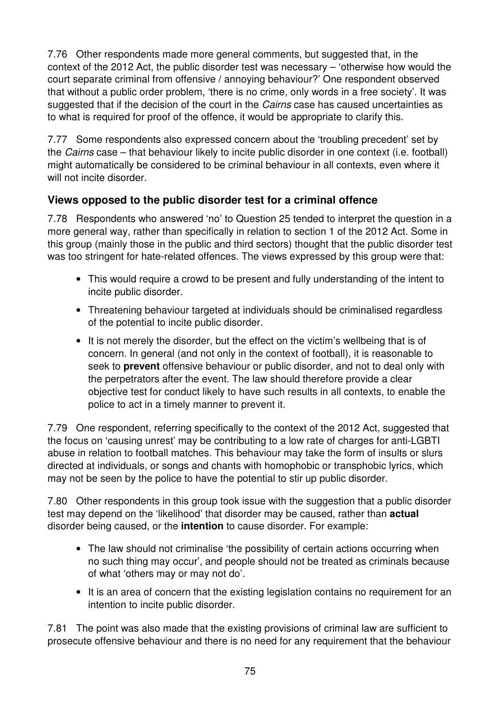7.76 Other respondents made more general comments, but suggested that, in the context of the 2012 Act, the public disorder test was necessary – 'otherwise how would the court separate criminal from offensive / annoying behaviour?' One respondent observed that without a public order problem, 'there is no crime, only words in a free society'. It was suggested that if the decision of the court in the *Cairns* case has caused uncertainties as to what is required for proof of the offence, it would be appropriate to clarify this.

7.77 Some respondents also expressed concern about the 'troubling precedent' set by the Cairns case – that behaviour likely to incite public disorder in one context (i.e. football) might automatically be considered to be criminal behaviour in all contexts, even where it will not incite disorder.

## **Views opposed to the public disorder test for a criminal offence**

7.78 Respondents who answered 'no' to Question 25 tended to interpret the question in a more general way, rather than specifically in relation to section 1 of the 2012 Act. Some in this group (mainly those in the public and third sectors) thought that the public disorder test was too stringent for hate-related offences. The views expressed by this group were that:

- This would require a crowd to be present and fully understanding of the intent to incite public disorder.
- Threatening behaviour targeted at individuals should be criminalised regardless of the potential to incite public disorder.
- It is not merely the disorder, but the effect on the victim's wellbeing that is of concern. In general (and not only in the context of football), it is reasonable to seek to **prevent** offensive behaviour or public disorder, and not to deal only with the perpetrators after the event. The law should therefore provide a clear objective test for conduct likely to have such results in all contexts, to enable the police to act in a timely manner to prevent it.

7.79 One respondent, referring specifically to the context of the 2012 Act, suggested that the focus on 'causing unrest' may be contributing to a low rate of charges for anti-LGBTI abuse in relation to football matches. This behaviour may take the form of insults or slurs directed at individuals, or songs and chants with homophobic or transphobic lyrics, which may not be seen by the police to have the potential to stir up public disorder.

7.80 Other respondents in this group took issue with the suggestion that a public disorder test may depend on the 'likelihood' that disorder may be caused, rather than **actual** disorder being caused, or the **intention** to cause disorder. For example:

- The law should not criminalise 'the possibility of certain actions occurring when no such thing may occur', and people should not be treated as criminals because of what 'others may or may not do'.
- It is an area of concern that the existing legislation contains no requirement for an intention to incite public disorder.

7.81 The point was also made that the existing provisions of criminal law are sufficient to prosecute offensive behaviour and there is no need for any requirement that the behaviour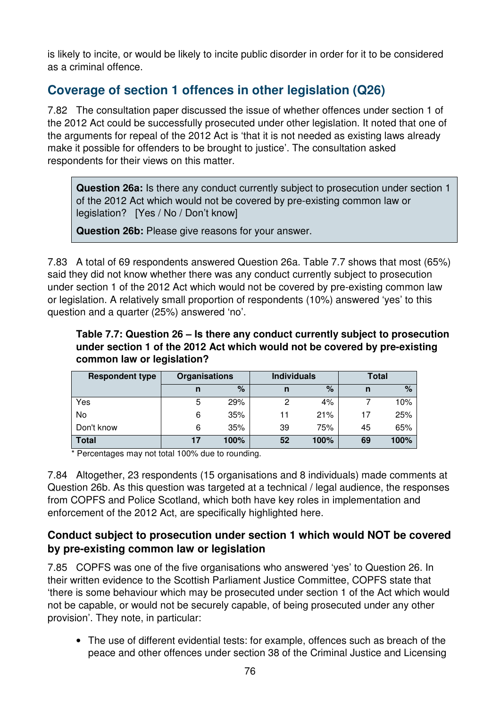is likely to incite, or would be likely to incite public disorder in order for it to be considered as a criminal offence.

## **Coverage of section 1 offences in other legislation (Q26)**

7.82 The consultation paper discussed the issue of whether offences under section 1 of the 2012 Act could be successfully prosecuted under other legislation. It noted that one of the arguments for repeal of the 2012 Act is 'that it is not needed as existing laws already make it possible for offenders to be brought to justice'. The consultation asked respondents for their views on this matter.

**Question 26a:** Is there any conduct currently subject to prosecution under section 1 of the 2012 Act which would not be covered by pre-existing common law or legislation? [Yes / No / Don't know]

**Question 26b:** Please give reasons for your answer.

7.83 A total of 69 respondents answered Question 26a. Table 7.7 shows that most (65%) said they did not know whether there was any conduct currently subject to prosecution under section 1 of the 2012 Act which would not be covered by pre-existing common law or legislation. A relatively small proportion of respondents (10%) answered 'yes' to this question and a quarter (25%) answered 'no'.

**Table 7.7: Question 26 – Is there any conduct currently subject to prosecution under section 1 of the 2012 Act which would not be covered by pre-existing common law or legislation?** 

| <b>Respondent type</b> | <b>Organisations</b> |      | <b>Individuals</b> |      | Total |      |
|------------------------|----------------------|------|--------------------|------|-------|------|
|                        | n                    | %    | n                  | $\%$ | n     | $\%$ |
| Yes                    | 5                    | 29%  | 2                  | 4%   |       | 10%  |
| No                     | 6                    | 35%  | 11                 | 21%  | 17    | 25%  |
| Don't know             | 6                    | 35%  | 39                 | 75%  | 45    | 65%  |
| <b>Total</b>           | 17                   | 100% | 52                 | 100% | 69    | 100% |

\* Percentages may not total 100% due to rounding.

7.84 Altogether, 23 respondents (15 organisations and 8 individuals) made comments at Question 26b. As this question was targeted at a technical / legal audience, the responses from COPFS and Police Scotland, which both have key roles in implementation and enforcement of the 2012 Act, are specifically highlighted here.

#### **Conduct subject to prosecution under section 1 which would NOT be covered by pre-existing common law or legislation**

7.85 COPFS was one of the five organisations who answered 'yes' to Question 26. In their written evidence to the Scottish Parliament Justice Committee, COPFS state that 'there is some behaviour which may be prosecuted under section 1 of the Act which would not be capable, or would not be securely capable, of being prosecuted under any other provision'. They note, in particular:

• The use of different evidential tests: for example, offences such as breach of the peace and other offences under section 38 of the Criminal Justice and Licensing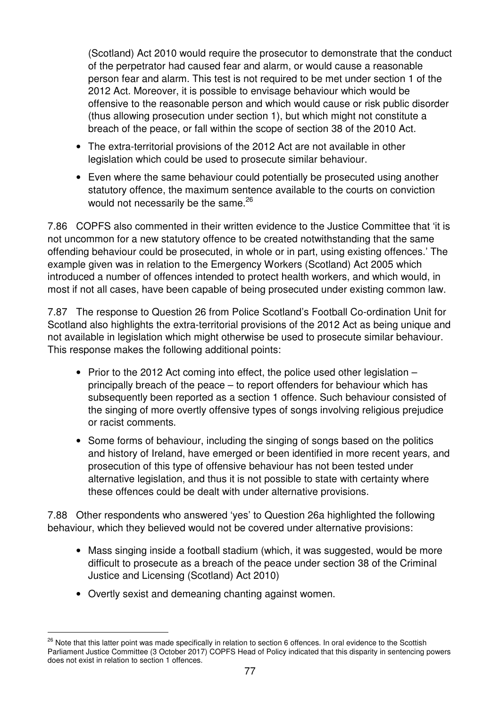(Scotland) Act 2010 would require the prosecutor to demonstrate that the conduct of the perpetrator had caused fear and alarm, or would cause a reasonable person fear and alarm. This test is not required to be met under section 1 of the 2012 Act. Moreover, it is possible to envisage behaviour which would be offensive to the reasonable person and which would cause or risk public disorder (thus allowing prosecution under section 1), but which might not constitute a breach of the peace, or fall within the scope of section 38 of the 2010 Act.

- The extra-territorial provisions of the 2012 Act are not available in other legislation which could be used to prosecute similar behaviour.
- Even where the same behaviour could potentially be prosecuted using another statutory offence, the maximum sentence available to the courts on conviction would not necessarily be the same.<sup>26</sup>

7.86 COPFS also commented in their written evidence to the Justice Committee that 'it is not uncommon for a new statutory offence to be created notwithstanding that the same offending behaviour could be prosecuted, in whole or in part, using existing offences.' The example given was in relation to the Emergency Workers (Scotland) Act 2005 which introduced a number of offences intended to protect health workers, and which would, in most if not all cases, have been capable of being prosecuted under existing common law.

7.87 The response to Question 26 from Police Scotland's Football Co-ordination Unit for Scotland also highlights the extra-territorial provisions of the 2012 Act as being unique and not available in legislation which might otherwise be used to prosecute similar behaviour. This response makes the following additional points:

- Prior to the 2012 Act coming into effect, the police used other legislation principally breach of the peace – to report offenders for behaviour which has subsequently been reported as a section 1 offence. Such behaviour consisted of the singing of more overtly offensive types of songs involving religious prejudice or racist comments.
- Some forms of behaviour, including the singing of songs based on the politics and history of Ireland, have emerged or been identified in more recent years, and prosecution of this type of offensive behaviour has not been tested under alternative legislation, and thus it is not possible to state with certainty where these offences could be dealt with under alternative provisions.

7.88 Other respondents who answered 'yes' to Question 26a highlighted the following behaviour, which they believed would not be covered under alternative provisions:

- Mass singing inside a football stadium (which, it was suggested, would be more difficult to prosecute as a breach of the peace under section 38 of the Criminal Justice and Licensing (Scotland) Act 2010)
- Overtly sexist and demeaning chanting against women.

 $\overline{a}$ 

<sup>&</sup>lt;sup>26</sup> Note that this latter point was made specifically in relation to section 6 offences. In oral evidence to the Scottish Parliament Justice Committee (3 October 2017) COPFS Head of Policy indicated that this disparity in sentencing powers does not exist in relation to section 1 offences.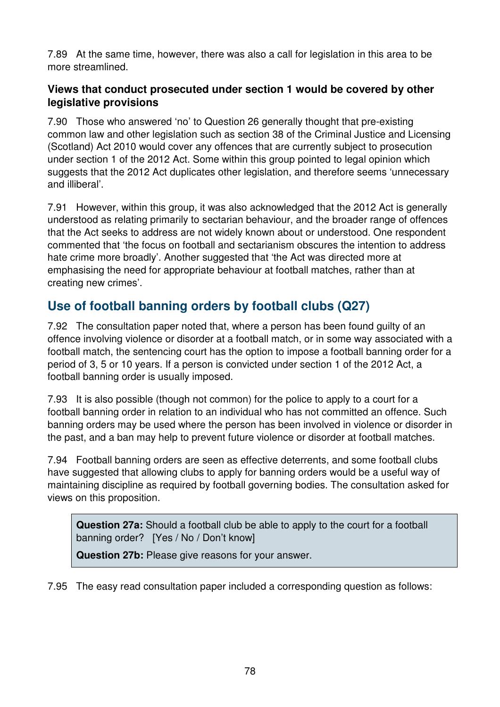7.89 At the same time, however, there was also a call for legislation in this area to be more streamlined.

#### **Views that conduct prosecuted under section 1 would be covered by other legislative provisions**

7.90 Those who answered 'no' to Question 26 generally thought that pre-existing common law and other legislation such as section 38 of the Criminal Justice and Licensing (Scotland) Act 2010 would cover any offences that are currently subject to prosecution under section 1 of the 2012 Act. Some within this group pointed to legal opinion which suggests that the 2012 Act duplicates other legislation, and therefore seems 'unnecessary and illiberal'.

7.91 However, within this group, it was also acknowledged that the 2012 Act is generally understood as relating primarily to sectarian behaviour, and the broader range of offences that the Act seeks to address are not widely known about or understood. One respondent commented that 'the focus on football and sectarianism obscures the intention to address hate crime more broadly'. Another suggested that 'the Act was directed more at emphasising the need for appropriate behaviour at football matches, rather than at creating new crimes'.

# **Use of football banning orders by football clubs (Q27)**

7.92 The consultation paper noted that, where a person has been found guilty of an offence involving violence or disorder at a football match, or in some way associated with a football match, the sentencing court has the option to impose a football banning order for a period of 3, 5 or 10 years. If a person is convicted under section 1 of the 2012 Act, a football banning order is usually imposed.

7.93 It is also possible (though not common) for the police to apply to a court for a football banning order in relation to an individual who has not committed an offence. Such banning orders may be used where the person has been involved in violence or disorder in the past, and a ban may help to prevent future violence or disorder at football matches.

7.94 Football banning orders are seen as effective deterrents, and some football clubs have suggested that allowing clubs to apply for banning orders would be a useful way of maintaining discipline as required by football governing bodies. The consultation asked for views on this proposition.

**Question 27a:** Should a football club be able to apply to the court for a football banning order? [Yes / No / Don't know]

**Question 27b:** Please give reasons for your answer.

7.95 The easy read consultation paper included a corresponding question as follows: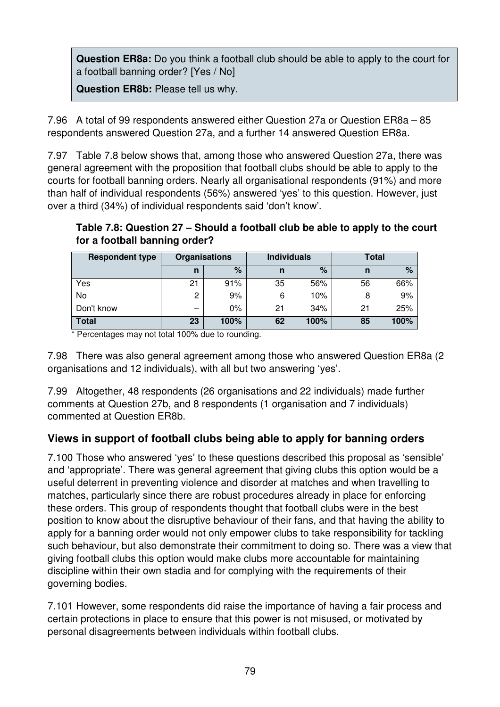**Question ER8a:** Do you think a football club should be able to apply to the court for a football banning order? [Yes / No]

**Question ER8b:** Please tell us why.

7.96 A total of 99 respondents answered either Question 27a or Question ER8a – 85 respondents answered Question 27a, and a further 14 answered Question ER8a.

7.97 Table 7.8 below shows that, among those who answered Question 27a, there was general agreement with the proposition that football clubs should be able to apply to the courts for football banning orders. Nearly all organisational respondents (91%) and more than half of individual respondents (56%) answered 'yes' to this question. However, just over a third (34%) of individual respondents said 'don't know'.

**Table 7.8: Question 27 – Should a football club be able to apply to the court for a football banning order?** 

| <b>Respondent type</b> | <b>Organisations</b> |       | <b>Individuals</b> |      | Total |      |
|------------------------|----------------------|-------|--------------------|------|-------|------|
|                        | $\mathsf{n}$         | %     | n                  | %    | n     | $\%$ |
| Yes                    | 21                   | 91%   | 35                 | 56%  | 56    | 66%  |
| No                     | 2                    | 9%    | 6                  | 10%  | 8     | 9%   |
| Don't know             |                      | $0\%$ | 21                 | 34%  | 21    | 25%  |
| <b>Total</b>           | 23                   | 100%  | 62                 | 100% | 85    | 100% |

\* Percentages may not total 100% due to rounding.

7.98 There was also general agreement among those who answered Question ER8a (2 organisations and 12 individuals), with all but two answering 'yes'.

7.99 Altogether, 48 respondents (26 organisations and 22 individuals) made further comments at Question 27b, and 8 respondents (1 organisation and 7 individuals) commented at Question ER8b.

## **Views in support of football clubs being able to apply for banning orders**

7.100 Those who answered 'yes' to these questions described this proposal as 'sensible' and 'appropriate'. There was general agreement that giving clubs this option would be a useful deterrent in preventing violence and disorder at matches and when travelling to matches, particularly since there are robust procedures already in place for enforcing these orders. This group of respondents thought that football clubs were in the best position to know about the disruptive behaviour of their fans, and that having the ability to apply for a banning order would not only empower clubs to take responsibility for tackling such behaviour, but also demonstrate their commitment to doing so. There was a view that giving football clubs this option would make clubs more accountable for maintaining discipline within their own stadia and for complying with the requirements of their governing bodies.

7.101 However, some respondents did raise the importance of having a fair process and certain protections in place to ensure that this power is not misused, or motivated by personal disagreements between individuals within football clubs.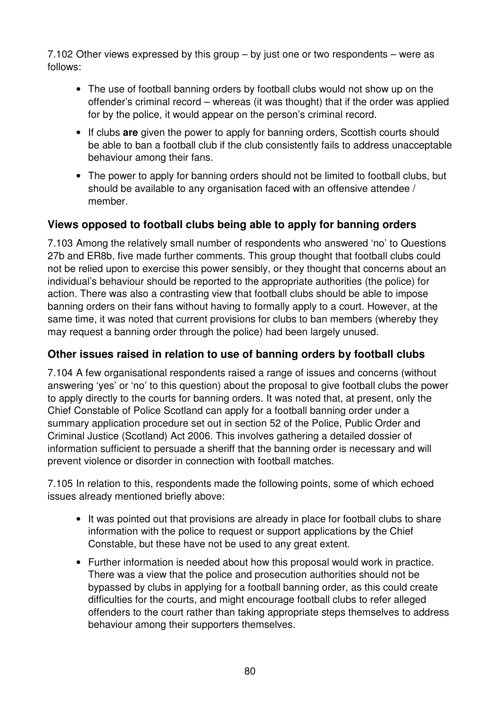7.102 Other views expressed by this group – by just one or two respondents – were as follows:

- The use of football banning orders by football clubs would not show up on the offender's criminal record – whereas (it was thought) that if the order was applied for by the police, it would appear on the person's criminal record.
- If clubs **are** given the power to apply for banning orders, Scottish courts should be able to ban a football club if the club consistently fails to address unacceptable behaviour among their fans.
- The power to apply for banning orders should not be limited to football clubs, but should be available to any organisation faced with an offensive attendee / member.

## **Views opposed to football clubs being able to apply for banning orders**

7.103 Among the relatively small number of respondents who answered 'no' to Questions 27b and ER8b, five made further comments. This group thought that football clubs could not be relied upon to exercise this power sensibly, or they thought that concerns about an individual's behaviour should be reported to the appropriate authorities (the police) for action. There was also a contrasting view that football clubs should be able to impose banning orders on their fans without having to formally apply to a court. However, at the same time, it was noted that current provisions for clubs to ban members (whereby they may request a banning order through the police) had been largely unused.

#### **Other issues raised in relation to use of banning orders by football clubs**

7.104 A few organisational respondents raised a range of issues and concerns (without answering 'yes' or 'no' to this question) about the proposal to give football clubs the power to apply directly to the courts for banning orders. It was noted that, at present, only the Chief Constable of Police Scotland can apply for a football banning order under a summary application procedure set out in section 52 of the Police, Public Order and Criminal Justice (Scotland) Act 2006. This involves gathering a detailed dossier of information sufficient to persuade a sheriff that the banning order is necessary and will prevent violence or disorder in connection with football matches.

7.105 In relation to this, respondents made the following points, some of which echoed issues already mentioned briefly above:

- It was pointed out that provisions are already in place for football clubs to share information with the police to request or support applications by the Chief Constable, but these have not be used to any great extent.
- Further information is needed about how this proposal would work in practice. There was a view that the police and prosecution authorities should not be bypassed by clubs in applying for a football banning order, as this could create difficulties for the courts, and might encourage football clubs to refer alleged offenders to the court rather than taking appropriate steps themselves to address behaviour among their supporters themselves.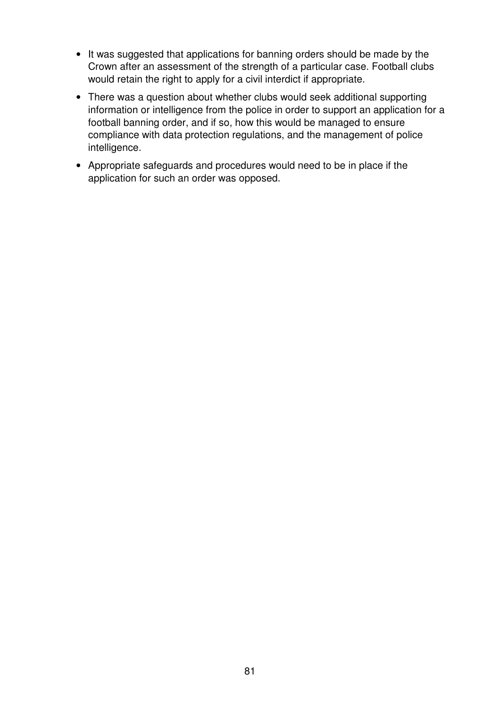- It was suggested that applications for banning orders should be made by the Crown after an assessment of the strength of a particular case. Football clubs would retain the right to apply for a civil interdict if appropriate.
- There was a question about whether clubs would seek additional supporting information or intelligence from the police in order to support an application for a football banning order, and if so, how this would be managed to ensure compliance with data protection regulations, and the management of police intelligence.
- Appropriate safeguards and procedures would need to be in place if the application for such an order was opposed.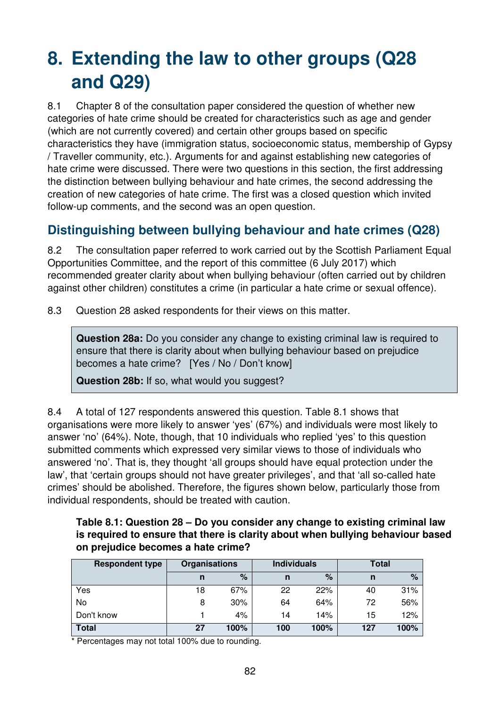# **8. Extending the law to other groups (Q28 and Q29)**

8.1 Chapter 8 of the consultation paper considered the question of whether new categories of hate crime should be created for characteristics such as age and gender (which are not currently covered) and certain other groups based on specific characteristics they have (immigration status, socioeconomic status, membership of Gypsy / Traveller community, etc.). Arguments for and against establishing new categories of hate crime were discussed. There were two questions in this section, the first addressing the distinction between bullying behaviour and hate crimes, the second addressing the creation of new categories of hate crime. The first was a closed question which invited follow-up comments, and the second was an open question.

## **Distinguishing between bullying behaviour and hate crimes (Q28)**

8.2 The consultation paper referred to work carried out by the Scottish Parliament Equal Opportunities Committee, and the report of this committee (6 July 2017) which recommended greater clarity about when bullying behaviour (often carried out by children against other children) constitutes a crime (in particular a hate crime or sexual offence).

8.3 Question 28 asked respondents for their views on this matter.

**Question 28a:** Do you consider any change to existing criminal law is required to ensure that there is clarity about when bullying behaviour based on prejudice becomes a hate crime? [Yes / No / Don't know]

**Question 28b:** If so, what would you suggest?

8.4 A total of 127 respondents answered this question. Table 8.1 shows that organisations were more likely to answer 'yes' (67%) and individuals were most likely to answer 'no' (64%). Note, though, that 10 individuals who replied 'yes' to this question submitted comments which expressed very similar views to those of individuals who answered 'no'. That is, they thought 'all groups should have equal protection under the law', that 'certain groups should not have greater privileges', and that 'all so-called hate crimes' should be abolished. Therefore, the figures shown below, particularly those from individual respondents, should be treated with caution.

**Table 8.1: Question 28 – Do you consider any change to existing criminal law is required to ensure that there is clarity about when bullying behaviour based on prejudice becomes a hate crime?** 

| <b>Respondent type</b> | <b>Organisations</b> |      | <b>Individuals</b> |      | Total |      |
|------------------------|----------------------|------|--------------------|------|-------|------|
|                        | n                    | %    | n                  | $\%$ | n     | $\%$ |
| Yes                    | 18                   | 67%  | 22                 | 22%  | 40    | 31%  |
| No                     | 8                    | 30%  | 64                 | 64%  | 72    | 56%  |
| Don't know             |                      | 4%   | 14                 | 14%  | 15    | 12%  |
| <b>Total</b>           | 27                   | 100% | 100                | 100% | 127   | 100% |

\* Percentages may not total 100% due to rounding.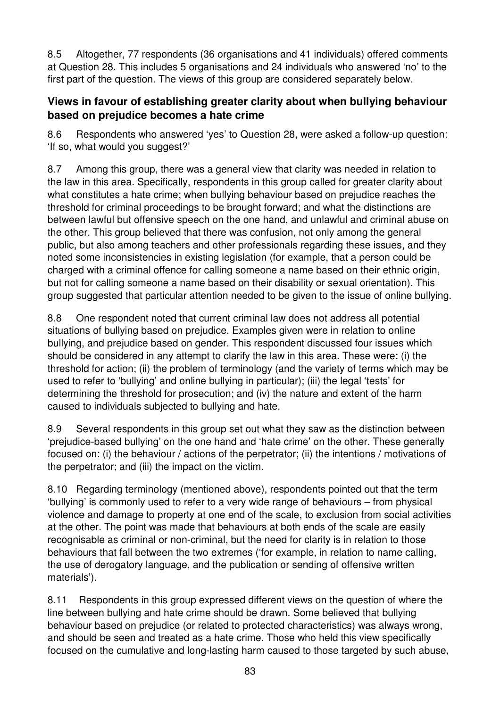8.5 Altogether, 77 respondents (36 organisations and 41 individuals) offered comments at Question 28. This includes 5 organisations and 24 individuals who answered 'no' to the first part of the question. The views of this group are considered separately below.

#### **Views in favour of establishing greater clarity about when bullying behaviour based on prejudice becomes a hate crime**

8.6 Respondents who answered 'yes' to Question 28, were asked a follow-up question: 'If so, what would you suggest?'

8.7 Among this group, there was a general view that clarity was needed in relation to the law in this area. Specifically, respondents in this group called for greater clarity about what constitutes a hate crime; when bullying behaviour based on prejudice reaches the threshold for criminal proceedings to be brought forward; and what the distinctions are between lawful but offensive speech on the one hand, and unlawful and criminal abuse on the other. This group believed that there was confusion, not only among the general public, but also among teachers and other professionals regarding these issues, and they noted some inconsistencies in existing legislation (for example, that a person could be charged with a criminal offence for calling someone a name based on their ethnic origin, but not for calling someone a name based on their disability or sexual orientation). This group suggested that particular attention needed to be given to the issue of online bullying.

8.8 One respondent noted that current criminal law does not address all potential situations of bullying based on prejudice. Examples given were in relation to online bullying, and prejudice based on gender. This respondent discussed four issues which should be considered in any attempt to clarify the law in this area. These were: (i) the threshold for action; (ii) the problem of terminology (and the variety of terms which may be used to refer to 'bullying' and online bullying in particular); (iii) the legal 'tests' for determining the threshold for prosecution; and (iv) the nature and extent of the harm caused to individuals subjected to bullying and hate.

8.9 Several respondents in this group set out what they saw as the distinction between 'prejudice-based bullying' on the one hand and 'hate crime' on the other. These generally focused on: (i) the behaviour / actions of the perpetrator; (ii) the intentions / motivations of the perpetrator; and (iii) the impact on the victim.

8.10 Regarding terminology (mentioned above), respondents pointed out that the term 'bullying' is commonly used to refer to a very wide range of behaviours – from physical violence and damage to property at one end of the scale, to exclusion from social activities at the other. The point was made that behaviours at both ends of the scale are easily recognisable as criminal or non-criminal, but the need for clarity is in relation to those behaviours that fall between the two extremes ('for example, in relation to name calling, the use of derogatory language, and the publication or sending of offensive written materials').

8.11 Respondents in this group expressed different views on the question of where the line between bullying and hate crime should be drawn. Some believed that bullying behaviour based on prejudice (or related to protected characteristics) was always wrong, and should be seen and treated as a hate crime. Those who held this view specifically focused on the cumulative and long-lasting harm caused to those targeted by such abuse,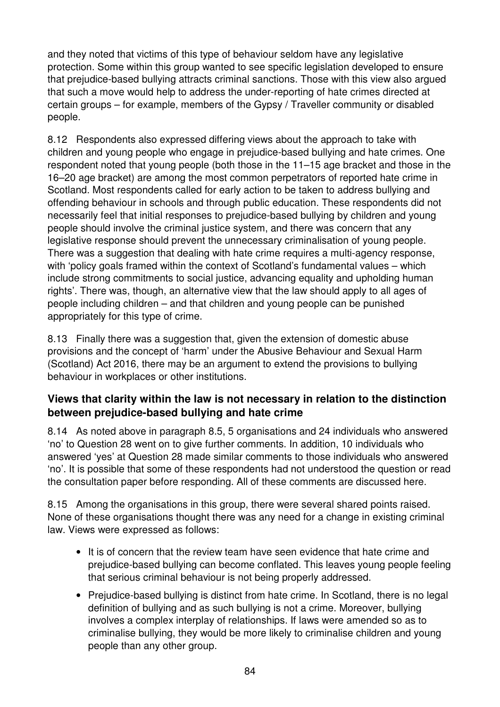and they noted that victims of this type of behaviour seldom have any legislative protection. Some within this group wanted to see specific legislation developed to ensure that prejudice-based bullying attracts criminal sanctions. Those with this view also argued that such a move would help to address the under-reporting of hate crimes directed at certain groups – for example, members of the Gypsy / Traveller community or disabled people.

8.12 Respondents also expressed differing views about the approach to take with children and young people who engage in prejudice-based bullying and hate crimes. One respondent noted that young people (both those in the 11–15 age bracket and those in the 16–20 age bracket) are among the most common perpetrators of reported hate crime in Scotland. Most respondents called for early action to be taken to address bullying and offending behaviour in schools and through public education. These respondents did not necessarily feel that initial responses to prejudice-based bullying by children and young people should involve the criminal justice system, and there was concern that any legislative response should prevent the unnecessary criminalisation of young people. There was a suggestion that dealing with hate crime requires a multi-agency response, with 'policy goals framed within the context of Scotland's fundamental values – which include strong commitments to social justice, advancing equality and upholding human rights'. There was, though, an alternative view that the law should apply to all ages of people including children – and that children and young people can be punished appropriately for this type of crime.

8.13 Finally there was a suggestion that, given the extension of domestic abuse provisions and the concept of 'harm' under the Abusive Behaviour and Sexual Harm (Scotland) Act 2016, there may be an argument to extend the provisions to bullying behaviour in workplaces or other institutions.

#### **Views that clarity within the law is not necessary in relation to the distinction between prejudice-based bullying and hate crime**

8.14 As noted above in paragraph 8.5, 5 organisations and 24 individuals who answered 'no' to Question 28 went on to give further comments. In addition, 10 individuals who answered 'yes' at Question 28 made similar comments to those individuals who answered 'no'. It is possible that some of these respondents had not understood the question or read the consultation paper before responding. All of these comments are discussed here.

8.15 Among the organisations in this group, there were several shared points raised. None of these organisations thought there was any need for a change in existing criminal law. Views were expressed as follows:

- It is of concern that the review team have seen evidence that hate crime and prejudice-based bullying can become conflated. This leaves young people feeling that serious criminal behaviour is not being properly addressed.
- Prejudice-based bullying is distinct from hate crime. In Scotland, there is no legal definition of bullying and as such bullying is not a crime. Moreover, bullying involves a complex interplay of relationships. If laws were amended so as to criminalise bullying, they would be more likely to criminalise children and young people than any other group.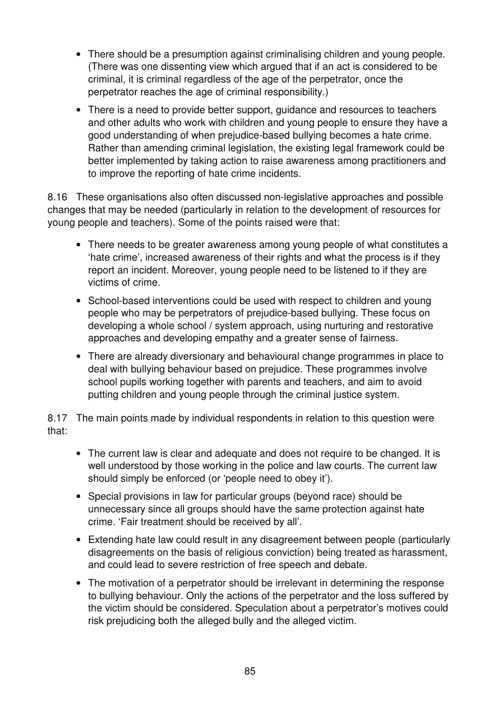- There should be a presumption against criminalising children and young people. (There was one dissenting view which argued that if an act is considered to be criminal, it is criminal regardless of the age of the perpetrator, once the perpetrator reaches the age of criminal responsibility.)
- There is a need to provide better support, quidance and resources to teachers and other adults who work with children and young people to ensure they have a good understanding of when prejudice-based bullying becomes a hate crime. Rather than amending criminal legislation, the existing legal framework could be better implemented by taking action to raise awareness among practitioners and to improve the reporting of hate crime incidents.

8.16 These organisations also often discussed non-legislative approaches and possible changes that may be needed (particularly in relation to the development of resources for young people and teachers). Some of the points raised were that:

- There needs to be greater awareness among young people of what constitutes a 'hate crime', increased awareness of their rights and what the process is if they report an incident. Moreover, young people need to be listened to if they are victims of crime.
- School-based interventions could be used with respect to children and young people who may be perpetrators of prejudice-based bullying. These focus on developing a whole school / system approach, using nurturing and restorative approaches and developing empathy and a greater sense of fairness.
- There are already diversionary and behavioural change programmes in place to deal with bullying behaviour based on prejudice. These programmes involve school pupils working together with parents and teachers, and aim to avoid putting children and young people through the criminal justice system.

8.17 The main points made by individual respondents in relation to this question were that:

- The current law is clear and adequate and does not require to be changed. It is well understood by those working in the police and law courts. The current law should simply be enforced (or 'people need to obey it').
- Special provisions in law for particular groups (beyond race) should be unnecessary since all groups should have the same protection against hate crime. 'Fair treatment should be received by all'.
- Extending hate law could result in any disagreement between people (particularly disagreements on the basis of religious conviction) being treated as harassment, and could lead to severe restriction of free speech and debate.
- The motivation of a perpetrator should be irrelevant in determining the response to bullying behaviour. Only the actions of the perpetrator and the loss suffered by the victim should be considered. Speculation about a perpetrator's motives could risk prejudicing both the alleged bully and the alleged victim.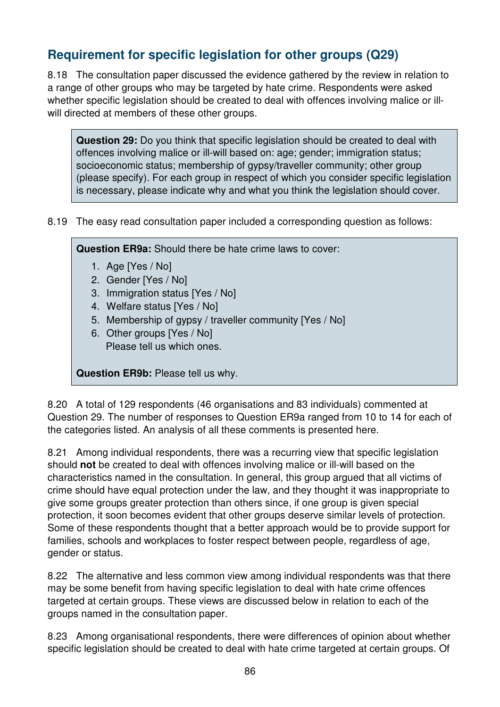# **Requirement for specific legislation for other groups (Q29)**

8.18 The consultation paper discussed the evidence gathered by the review in relation to a range of other groups who may be targeted by hate crime. Respondents were asked whether specific legislation should be created to deal with offences involving malice or illwill directed at members of these other groups.

**Question 29:** Do you think that specific legislation should be created to deal with offences involving malice or ill-will based on: age; gender; immigration status; socioeconomic status; membership of gypsy/traveller community; other group (please specify). For each group in respect of which you consider specific legislation is necessary, please indicate why and what you think the legislation should cover.

8.19 The easy read consultation paper included a corresponding question as follows:

**Question ER9a:** Should there be hate crime laws to cover:

- 1. Age [Yes / No]
- 2. Gender [Yes / No]
- 3. Immigration status [Yes / No]
- 4. Welfare status [Yes / No]
- 5. Membership of gypsy / traveller community [Yes / No]
- 6. Other groups [Yes / No] Please tell us which ones.

**Question ER9b:** Please tell us why.

8.20 A total of 129 respondents (46 organisations and 83 individuals) commented at Question 29. The number of responses to Question ER9a ranged from 10 to 14 for each of the categories listed. An analysis of all these comments is presented here.

8.21 Among individual respondents, there was a recurring view that specific legislation should **not** be created to deal with offences involving malice or ill-will based on the characteristics named in the consultation. In general, this group argued that all victims of crime should have equal protection under the law, and they thought it was inappropriate to give some groups greater protection than others since, if one group is given special protection, it soon becomes evident that other groups deserve similar levels of protection. Some of these respondents thought that a better approach would be to provide support for families, schools and workplaces to foster respect between people, regardless of age, gender or status.

8.22 The alternative and less common view among individual respondents was that there may be some benefit from having specific legislation to deal with hate crime offences targeted at certain groups. These views are discussed below in relation to each of the groups named in the consultation paper.

8.23 Among organisational respondents, there were differences of opinion about whether specific legislation should be created to deal with hate crime targeted at certain groups. Of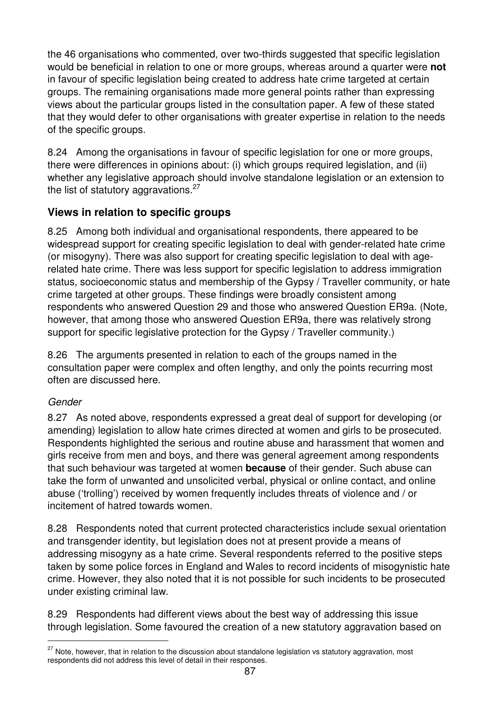the 46 organisations who commented, over two-thirds suggested that specific legislation would be beneficial in relation to one or more groups, whereas around a quarter were **not** in favour of specific legislation being created to address hate crime targeted at certain groups. The remaining organisations made more general points rather than expressing views about the particular groups listed in the consultation paper. A few of these stated that they would defer to other organisations with greater expertise in relation to the needs of the specific groups.

8.24 Among the organisations in favour of specific legislation for one or more groups, there were differences in opinions about: (i) which groups required legislation, and (ii) whether any legislative approach should involve standalone legislation or an extension to the list of statutory aggravations. $27$ 

## **Views in relation to specific groups**

8.25 Among both individual and organisational respondents, there appeared to be widespread support for creating specific legislation to deal with gender-related hate crime (or misogyny). There was also support for creating specific legislation to deal with agerelated hate crime. There was less support for specific legislation to address immigration status, socioeconomic status and membership of the Gypsy / Traveller community, or hate crime targeted at other groups. These findings were broadly consistent among respondents who answered Question 29 and those who answered Question ER9a. (Note, however, that among those who answered Question ER9a, there was relatively strong support for specific legislative protection for the Gypsy / Traveller community.)

8.26 The arguments presented in relation to each of the groups named in the consultation paper were complex and often lengthy, and only the points recurring most often are discussed here.

#### Gender

 $\overline{a}$ 

8.27 As noted above, respondents expressed a great deal of support for developing (or amending) legislation to allow hate crimes directed at women and girls to be prosecuted. Respondents highlighted the serious and routine abuse and harassment that women and girls receive from men and boys, and there was general agreement among respondents that such behaviour was targeted at women **because** of their gender. Such abuse can take the form of unwanted and unsolicited verbal, physical or online contact, and online abuse ('trolling') received by women frequently includes threats of violence and / or incitement of hatred towards women.

8.28 Respondents noted that current protected characteristics include sexual orientation and transgender identity, but legislation does not at present provide a means of addressing misogyny as a hate crime. Several respondents referred to the positive steps taken by some police forces in England and Wales to record incidents of misogynistic hate crime. However, they also noted that it is not possible for such incidents to be prosecuted under existing criminal law.

8.29 Respondents had different views about the best way of addressing this issue through legislation. Some favoured the creation of a new statutory aggravation based on

 $27$  Note, however, that in relation to the discussion about standalone legislation vs statutory aggravation, most respondents did not address this level of detail in their responses.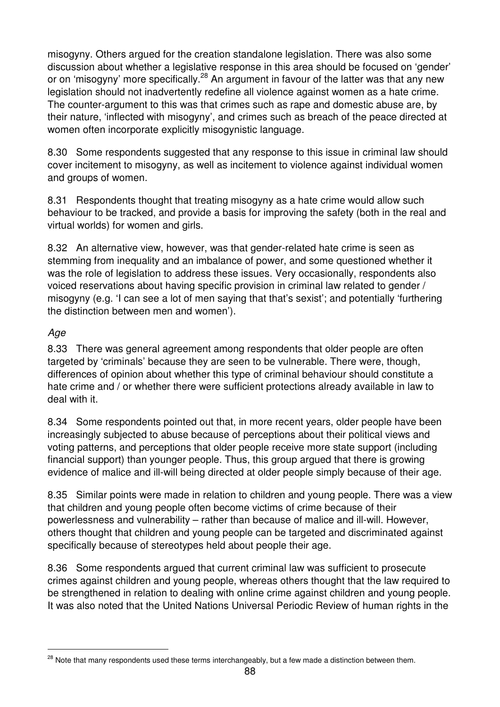misogyny. Others argued for the creation standalone legislation. There was also some discussion about whether a legislative response in this area should be focused on 'gender' or on 'misogyny' more specifically.<sup>28</sup> An argument in favour of the latter was that any new legislation should not inadvertently redefine all violence against women as a hate crime. The counter-argument to this was that crimes such as rape and domestic abuse are, by their nature, 'inflected with misogyny', and crimes such as breach of the peace directed at women often incorporate explicitly misogynistic language.

8.30 Some respondents suggested that any response to this issue in criminal law should cover incitement to misogyny, as well as incitement to violence against individual women and groups of women.

8.31 Respondents thought that treating misogyny as a hate crime would allow such behaviour to be tracked, and provide a basis for improving the safety (both in the real and virtual worlds) for women and girls.

8.32 An alternative view, however, was that gender-related hate crime is seen as stemming from inequality and an imbalance of power, and some questioned whether it was the role of legislation to address these issues. Very occasionally, respondents also voiced reservations about having specific provision in criminal law related to gender / misogyny (e.g. 'I can see a lot of men saying that that's sexist'; and potentially 'furthering the distinction between men and women').

#### Age

 $\overline{a}$ 

8.33 There was general agreement among respondents that older people are often targeted by 'criminals' because they are seen to be vulnerable. There were, though, differences of opinion about whether this type of criminal behaviour should constitute a hate crime and / or whether there were sufficient protections already available in law to deal with it.

8.34 Some respondents pointed out that, in more recent years, older people have been increasingly subjected to abuse because of perceptions about their political views and voting patterns, and perceptions that older people receive more state support (including financial support) than younger people. Thus, this group argued that there is growing evidence of malice and ill-will being directed at older people simply because of their age.

8.35 Similar points were made in relation to children and young people. There was a view that children and young people often become victims of crime because of their powerlessness and vulnerability – rather than because of malice and ill-will. However, others thought that children and young people can be targeted and discriminated against specifically because of stereotypes held about people their age.

8.36 Some respondents argued that current criminal law was sufficient to prosecute crimes against children and young people, whereas others thought that the law required to be strengthened in relation to dealing with online crime against children and young people. It was also noted that the United Nations Universal Periodic Review of human rights in the

<sup>&</sup>lt;sup>28</sup> Note that many respondents used these terms interchangeably, but a few made a distinction between them.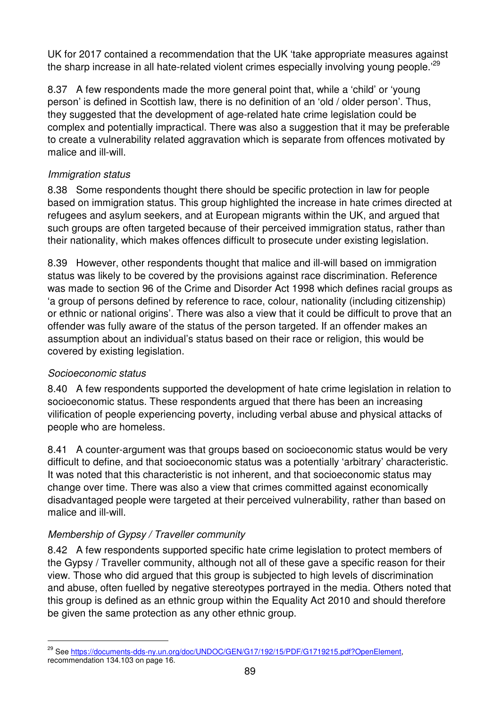UK for 2017 contained a recommendation that the UK 'take appropriate measures against the sharp increase in all hate-related violent crimes especially involving young people.<sup>29</sup>

8.37 A few respondents made the more general point that, while a 'child' or 'young person' is defined in Scottish law, there is no definition of an 'old / older person'. Thus, they suggested that the development of age-related hate crime legislation could be complex and potentially impractical. There was also a suggestion that it may be preferable to create a vulnerability related aggravation which is separate from offences motivated by malice and ill-will.

#### Immigration status

8.38 Some respondents thought there should be specific protection in law for people based on immigration status. This group highlighted the increase in hate crimes directed at refugees and asylum seekers, and at European migrants within the UK, and argued that such groups are often targeted because of their perceived immigration status, rather than their nationality, which makes offences difficult to prosecute under existing legislation.

8.39 However, other respondents thought that malice and ill-will based on immigration status was likely to be covered by the provisions against race discrimination. Reference was made to section 96 of the Crime and Disorder Act 1998 which defines racial groups as 'a group of persons defined by reference to race, colour, nationality (including citizenship) or ethnic or national origins'. There was also a view that it could be difficult to prove that an offender was fully aware of the status of the person targeted. If an offender makes an assumption about an individual's status based on their race or religion, this would be covered by existing legislation.

## Socioeconomic status

 $\overline{a}$ 

8.40 A few respondents supported the development of hate crime legislation in relation to socioeconomic status. These respondents argued that there has been an increasing vilification of people experiencing poverty, including verbal abuse and physical attacks of people who are homeless.

8.41 A counter-argument was that groups based on socioeconomic status would be very difficult to define, and that socioeconomic status was a potentially 'arbitrary' characteristic. It was noted that this characteristic is not inherent, and that socioeconomic status may change over time. There was also a view that crimes committed against economically disadvantaged people were targeted at their perceived vulnerability, rather than based on malice and ill-will.

## Membership of Gypsy / Traveller community

8.42 A few respondents supported specific hate crime legislation to protect members of the Gypsy / Traveller community, although not all of these gave a specific reason for their view. Those who did argued that this group is subjected to high levels of discrimination and abuse, often fuelled by negative stereotypes portrayed in the media. Others noted that this group is defined as an ethnic group within the Equality Act 2010 and should therefore be given the same protection as any other ethnic group.

<sup>&</sup>lt;sup>29</sup> See https://documents-dds-ny.un.org/doc/UNDOC/GEN/G17/192/15/PDF/G1719215.pdf?OpenElement, recommendation 134.103 on page 16.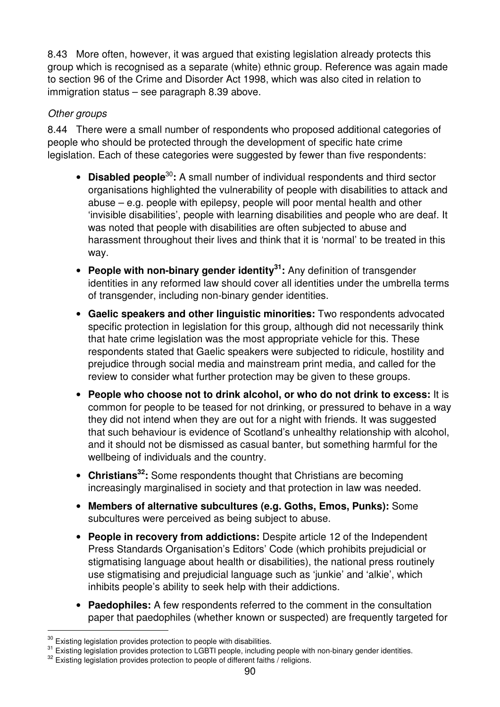8.43 More often, however, it was argued that existing legislation already protects this group which is recognised as a separate (white) ethnic group. Reference was again made to section 96 of the Crime and Disorder Act 1998, which was also cited in relation to immigration status – see paragraph 8.39 above.

#### Other groups

8.44 There were a small number of respondents who proposed additional categories of people who should be protected through the development of specific hate crime legislation. Each of these categories were suggested by fewer than five respondents:

- **Disabled people**<sup>30</sup>**:** A small number of individual respondents and third sector organisations highlighted the vulnerability of people with disabilities to attack and abuse – e.g. people with epilepsy, people will poor mental health and other 'invisible disabilities', people with learning disabilities and people who are deaf. It was noted that people with disabilities are often subjected to abuse and harassment throughout their lives and think that it is 'normal' to be treated in this way.
- **People with non-binary gender identity<sup>31</sup>:** Any definition of transgender identities in any reformed law should cover all identities under the umbrella terms of transgender, including non-binary gender identities.
- **Gaelic speakers and other linguistic minorities:** Two respondents advocated specific protection in legislation for this group, although did not necessarily think that hate crime legislation was the most appropriate vehicle for this. These respondents stated that Gaelic speakers were subjected to ridicule, hostility and prejudice through social media and mainstream print media, and called for the review to consider what further protection may be given to these groups.
- **People who choose not to drink alcohol, or who do not drink to excess:** It is common for people to be teased for not drinking, or pressured to behave in a way they did not intend when they are out for a night with friends. It was suggested that such behaviour is evidence of Scotland's unhealthy relationship with alcohol, and it should not be dismissed as casual banter, but something harmful for the wellbeing of individuals and the country.
- **Christians<sup>32</sup>:** Some respondents thought that Christians are becoming increasingly marginalised in society and that protection in law was needed.
- **Members of alternative subcultures (e.g. Goths, Emos, Punks):** Some subcultures were perceived as being subject to abuse.
- **People in recovery from addictions:** Despite article 12 of the Independent Press Standards Organisation's Editors' Code (which prohibits prejudicial or stigmatising language about health or disabilities), the national press routinely use stigmatising and prejudicial language such as 'junkie' and 'alkie', which inhibits people's ability to seek help with their addictions.
- **Paedophiles:** A few respondents referred to the comment in the consultation paper that paedophiles (whether known or suspected) are frequently targeted for

 $\overline{a}$ 

 $30$  Existing legislation provides protection to people with disabilities.

<sup>&</sup>lt;sup>31</sup> Existing legislation provides protection to LGBTI people, including people with non-binary gender identities.

 $32$  Existing legislation provides protection to people of different faiths / religions.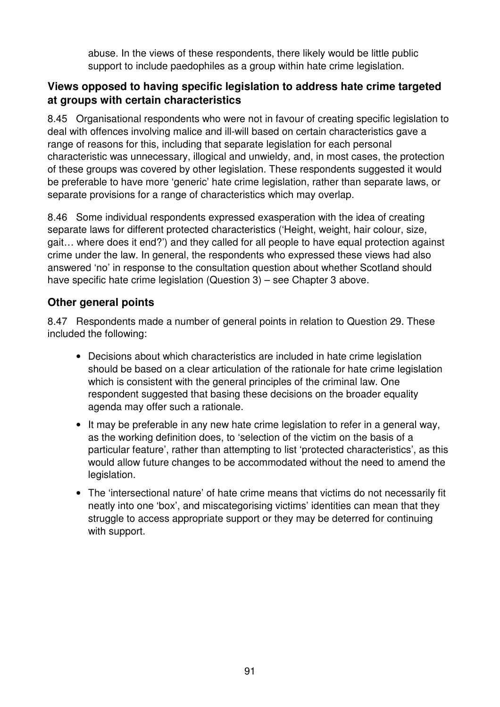abuse. In the views of these respondents, there likely would be little public support to include paedophiles as a group within hate crime legislation.

### **Views opposed to having specific legislation to address hate crime targeted at groups with certain characteristics**

8.45 Organisational respondents who were not in favour of creating specific legislation to deal with offences involving malice and ill-will based on certain characteristics gave a range of reasons for this, including that separate legislation for each personal characteristic was unnecessary, illogical and unwieldy, and, in most cases, the protection of these groups was covered by other legislation. These respondents suggested it would be preferable to have more 'generic' hate crime legislation, rather than separate laws, or separate provisions for a range of characteristics which may overlap.

8.46 Some individual respondents expressed exasperation with the idea of creating separate laws for different protected characteristics ('Height, weight, hair colour, size, gait… where does it end?') and they called for all people to have equal protection against crime under the law. In general, the respondents who expressed these views had also answered 'no' in response to the consultation question about whether Scotland should have specific hate crime legislation (Question 3) – see Chapter 3 above.

#### **Other general points**

8.47 Respondents made a number of general points in relation to Question 29. These included the following:

- Decisions about which characteristics are included in hate crime legislation should be based on a clear articulation of the rationale for hate crime legislation which is consistent with the general principles of the criminal law. One respondent suggested that basing these decisions on the broader equality agenda may offer such a rationale.
- It may be preferable in any new hate crime legislation to refer in a general way, as the working definition does, to 'selection of the victim on the basis of a particular feature', rather than attempting to list 'protected characteristics', as this would allow future changes to be accommodated without the need to amend the legislation.
- The 'intersectional nature' of hate crime means that victims do not necessarily fit neatly into one 'box', and miscategorising victims' identities can mean that they struggle to access appropriate support or they may be deterred for continuing with support.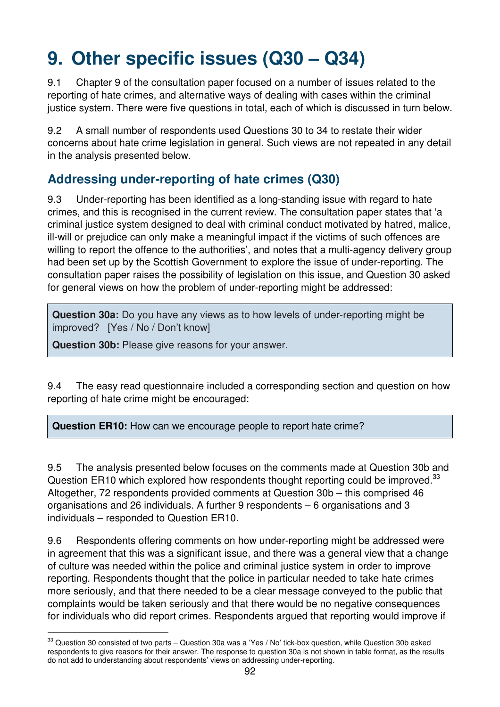# **9. Other specific issues (Q30 – Q34)**

9.1 Chapter 9 of the consultation paper focused on a number of issues related to the reporting of hate crimes, and alternative ways of dealing with cases within the criminal justice system. There were five questions in total, each of which is discussed in turn below.

9.2 A small number of respondents used Questions 30 to 34 to restate their wider concerns about hate crime legislation in general. Such views are not repeated in any detail in the analysis presented below.

## **Addressing under-reporting of hate crimes (Q30)**

9.3 Under-reporting has been identified as a long-standing issue with regard to hate crimes, and this is recognised in the current review. The consultation paper states that 'a criminal justice system designed to deal with criminal conduct motivated by hatred, malice, ill-will or prejudice can only make a meaningful impact if the victims of such offences are willing to report the offence to the authorities', and notes that a multi-agency delivery group had been set up by the Scottish Government to explore the issue of under-reporting. The consultation paper raises the possibility of legislation on this issue, and Question 30 asked for general views on how the problem of under-reporting might be addressed:

**Question 30a:** Do you have any views as to how levels of under-reporting might be improved? [Yes / No / Don't know]

**Question 30b:** Please give reasons for your answer.

 $\overline{a}$ 

9.4 The easy read questionnaire included a corresponding section and question on how reporting of hate crime might be encouraged:

**Question ER10:** How can we encourage people to report hate crime?

9.5 The analysis presented below focuses on the comments made at Question 30b and Question ER10 which explored how respondents thought reporting could be improved.<sup>33</sup> Altogether, 72 respondents provided comments at Question 30b – this comprised 46 organisations and 26 individuals. A further 9 respondents – 6 organisations and 3 individuals – responded to Question ER10.

9.6 Respondents offering comments on how under-reporting might be addressed were in agreement that this was a significant issue, and there was a general view that a change of culture was needed within the police and criminal justice system in order to improve reporting. Respondents thought that the police in particular needed to take hate crimes more seriously, and that there needed to be a clear message conveyed to the public that complaints would be taken seriously and that there would be no negative consequences for individuals who did report crimes. Respondents argued that reporting would improve if

<sup>&</sup>lt;sup>33</sup> Question 30 consisted of two parts – Question 30a was a 'Yes / No' tick-box question, while Question 30b asked respondents to give reasons for their answer. The response to question 30a is not shown in table format, as the results do not add to understanding about respondents' views on addressing under-reporting.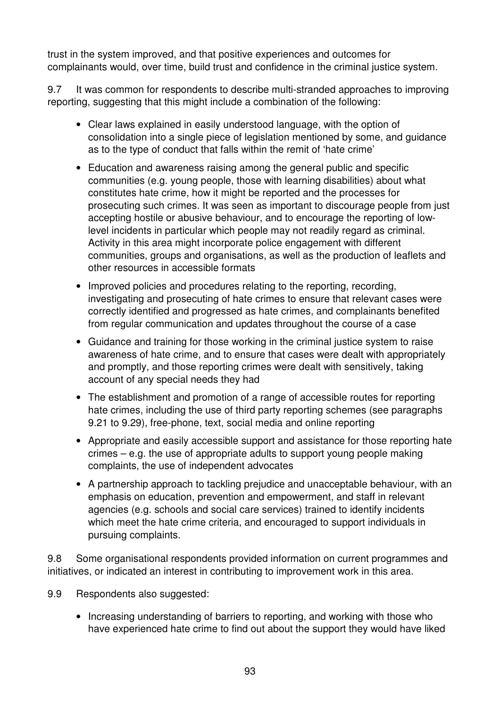trust in the system improved, and that positive experiences and outcomes for complainants would, over time, build trust and confidence in the criminal justice system.

9.7 It was common for respondents to describe multi-stranded approaches to improving reporting, suggesting that this might include a combination of the following:

- Clear laws explained in easily understood language, with the option of consolidation into a single piece of legislation mentioned by some, and guidance as to the type of conduct that falls within the remit of 'hate crime'
- Education and awareness raising among the general public and specific communities (e.g. young people, those with learning disabilities) about what constitutes hate crime, how it might be reported and the processes for prosecuting such crimes. It was seen as important to discourage people from just accepting hostile or abusive behaviour, and to encourage the reporting of lowlevel incidents in particular which people may not readily regard as criminal. Activity in this area might incorporate police engagement with different communities, groups and organisations, as well as the production of leaflets and other resources in accessible formats
- Improved policies and procedures relating to the reporting, recording, investigating and prosecuting of hate crimes to ensure that relevant cases were correctly identified and progressed as hate crimes, and complainants benefited from regular communication and updates throughout the course of a case
- Guidance and training for those working in the criminal justice system to raise awareness of hate crime, and to ensure that cases were dealt with appropriately and promptly, and those reporting crimes were dealt with sensitively, taking account of any special needs they had
- The establishment and promotion of a range of accessible routes for reporting hate crimes, including the use of third party reporting schemes (see paragraphs 9.21 to 9.29), free-phone, text, social media and online reporting
- Appropriate and easily accessible support and assistance for those reporting hate crimes – e.g. the use of appropriate adults to support young people making complaints, the use of independent advocates
- A partnership approach to tackling prejudice and unacceptable behaviour, with an emphasis on education, prevention and empowerment, and staff in relevant agencies (e.g. schools and social care services) trained to identify incidents which meet the hate crime criteria, and encouraged to support individuals in pursuing complaints.

9.8 Some organisational respondents provided information on current programmes and initiatives, or indicated an interest in contributing to improvement work in this area.

9.9 Respondents also suggested:

• Increasing understanding of barriers to reporting, and working with those who have experienced hate crime to find out about the support they would have liked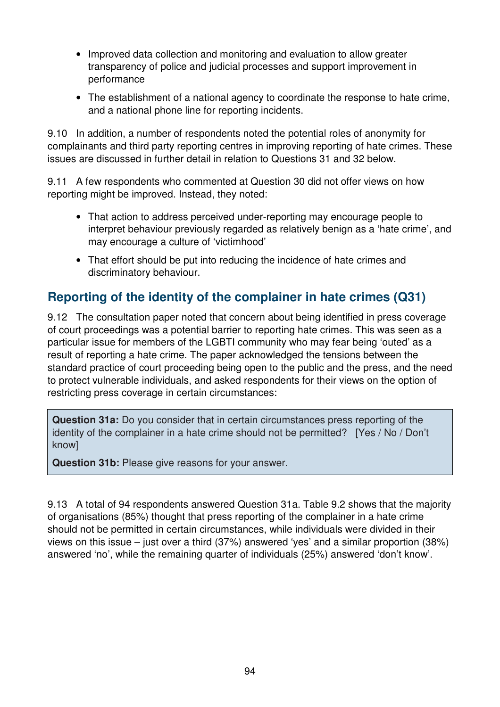- Improved data collection and monitoring and evaluation to allow greater transparency of police and judicial processes and support improvement in performance
- The establishment of a national agency to coordinate the response to hate crime, and a national phone line for reporting incidents.

9.10 In addition, a number of respondents noted the potential roles of anonymity for complainants and third party reporting centres in improving reporting of hate crimes. These issues are discussed in further detail in relation to Questions 31 and 32 below.

9.11 A few respondents who commented at Question 30 did not offer views on how reporting might be improved. Instead, they noted:

- That action to address perceived under-reporting may encourage people to interpret behaviour previously regarded as relatively benign as a 'hate crime', and may encourage a culture of 'victimhood'
- That effort should be put into reducing the incidence of hate crimes and discriminatory behaviour.

# **Reporting of the identity of the complainer in hate crimes (Q31)**

9.12 The consultation paper noted that concern about being identified in press coverage of court proceedings was a potential barrier to reporting hate crimes. This was seen as a particular issue for members of the LGBTI community who may fear being 'outed' as a result of reporting a hate crime. The paper acknowledged the tensions between the standard practice of court proceeding being open to the public and the press, and the need to protect vulnerable individuals, and asked respondents for their views on the option of restricting press coverage in certain circumstances:

**Question 31a:** Do you consider that in certain circumstances press reporting of the identity of the complainer in a hate crime should not be permitted? [Yes / No / Don't know]

**Question 31b:** Please give reasons for your answer.

9.13 A total of 94 respondents answered Question 31a. Table 9.2 shows that the majority of organisations (85%) thought that press reporting of the complainer in a hate crime should not be permitted in certain circumstances, while individuals were divided in their views on this issue – just over a third (37%) answered 'yes' and a similar proportion (38%) answered 'no', while the remaining quarter of individuals (25%) answered 'don't know'.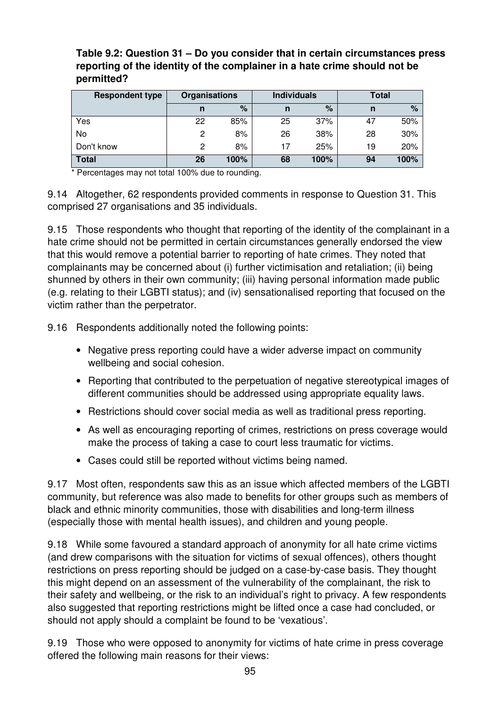| <b>Respondent type</b> | Organisations |      | <b>Individuals</b> |      | Total |      |
|------------------------|---------------|------|--------------------|------|-------|------|
|                        | n             | %    | n                  | %    | n     | $\%$ |
| Yes                    | 22            | 85%  | 25                 | 37%  | 47    | 50%  |
| No                     | 2             | 8%   | 26                 | 38%  | 28    | 30%  |
| Don't know             | 2             | 8%   | 17                 | 25%  | 19    | 20%  |
| <b>Total</b>           | 26            | 100% | 68                 | 100% | 94    | 100% |

**Table 9.2: Question 31 – Do you consider that in certain circumstances press reporting of the identity of the complainer in a hate crime should not be permitted?** 

Percentages may not total 100% due to rounding.

9.14 Altogether, 62 respondents provided comments in response to Question 31. This comprised 27 organisations and 35 individuals.

9.15 Those respondents who thought that reporting of the identity of the complainant in a hate crime should not be permitted in certain circumstances generally endorsed the view that this would remove a potential barrier to reporting of hate crimes. They noted that complainants may be concerned about (i) further victimisation and retaliation; (ii) being shunned by others in their own community; (iii) having personal information made public (e.g. relating to their LGBTI status); and (iv) sensationalised reporting that focused on the victim rather than the perpetrator.

9.16 Respondents additionally noted the following points:

- Negative press reporting could have a wider adverse impact on community wellbeing and social cohesion.
- Reporting that contributed to the perpetuation of negative stereotypical images of different communities should be addressed using appropriate equality laws.
- Restrictions should cover social media as well as traditional press reporting.
- As well as encouraging reporting of crimes, restrictions on press coverage would make the process of taking a case to court less traumatic for victims.
- Cases could still be reported without victims being named.

9.17 Most often, respondents saw this as an issue which affected members of the LGBTI community, but reference was also made to benefits for other groups such as members of black and ethnic minority communities, those with disabilities and long-term illness (especially those with mental health issues), and children and young people.

9.18 While some favoured a standard approach of anonymity for all hate crime victims (and drew comparisons with the situation for victims of sexual offences), others thought restrictions on press reporting should be judged on a case-by-case basis. They thought this might depend on an assessment of the vulnerability of the complainant, the risk to their safety and wellbeing, or the risk to an individual's right to privacy. A few respondents also suggested that reporting restrictions might be lifted once a case had concluded, or should not apply should a complaint be found to be 'vexatious'.

9.19 Those who were opposed to anonymity for victims of hate crime in press coverage offered the following main reasons for their views: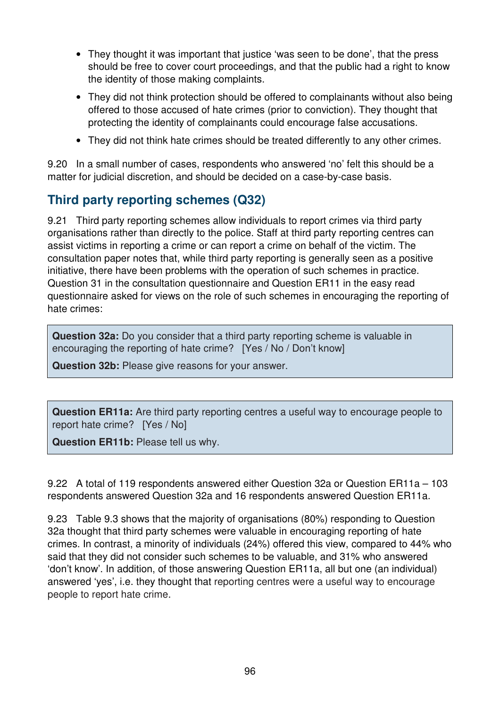- They thought it was important that justice 'was seen to be done', that the press should be free to cover court proceedings, and that the public had a right to know the identity of those making complaints.
- They did not think protection should be offered to complainants without also being offered to those accused of hate crimes (prior to conviction). They thought that protecting the identity of complainants could encourage false accusations.
- They did not think hate crimes should be treated differently to any other crimes.

9.20 In a small number of cases, respondents who answered 'no' felt this should be a matter for judicial discretion, and should be decided on a case-by-case basis.

## **Third party reporting schemes (Q32)**

9.21 Third party reporting schemes allow individuals to report crimes via third party organisations rather than directly to the police. Staff at third party reporting centres can assist victims in reporting a crime or can report a crime on behalf of the victim. The consultation paper notes that, while third party reporting is generally seen as a positive initiative, there have been problems with the operation of such schemes in practice. Question 31 in the consultation questionnaire and Question ER11 in the easy read questionnaire asked for views on the role of such schemes in encouraging the reporting of hate crimes:

**Question 32a:** Do you consider that a third party reporting scheme is valuable in encouraging the reporting of hate crime? [Yes / No / Don't know]

**Question 32b:** Please give reasons for your answer.

**Question ER11a:** Are third party reporting centres a useful way to encourage people to report hate crime? [Yes / No]

**Question ER11b:** Please tell us why.

9.22 A total of 119 respondents answered either Question 32a or Question ER11a – 103 respondents answered Question 32a and 16 respondents answered Question ER11a.

9.23 Table 9.3 shows that the majority of organisations (80%) responding to Question 32a thought that third party schemes were valuable in encouraging reporting of hate crimes. In contrast, a minority of individuals (24%) offered this view, compared to 44% who said that they did not consider such schemes to be valuable, and 31% who answered 'don't know'. In addition, of those answering Question ER11a, all but one (an individual) answered 'yes', i.e. they thought that reporting centres were a useful way to encourage people to report hate crime.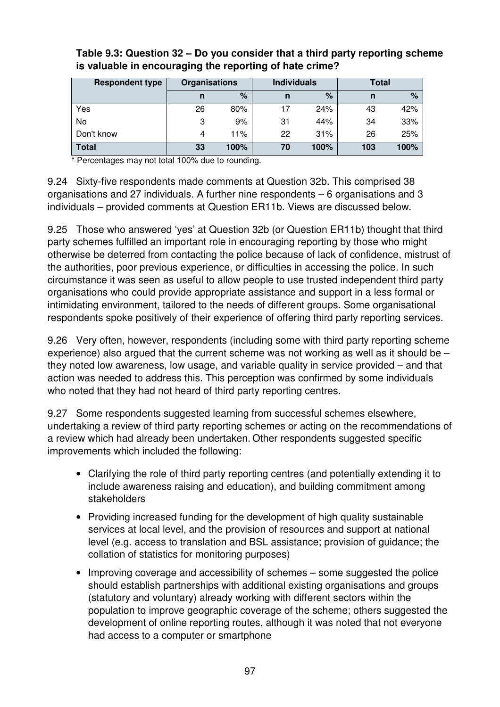| <b>Respondent type</b> | Organisations |      | <b>Individuals</b> |      | <b>Total</b> |      |
|------------------------|---------------|------|--------------------|------|--------------|------|
|                        | n             | $\%$ | n                  | %    | n            | %    |
| Yes                    | 26            | 80%  | 17                 | 24%  | 43           | 42%  |
| No                     | 3             | 9%   | 31                 | 44%  | 34           | 33%  |
| Don't know             | 4             | 11%  | 22                 | 31%  | 26           | 25%  |
| <b>Total</b>           | 33            | 100% | 70                 | 100% | 103          | 100% |

#### **Table 9.3: Question 32 – Do you consider that a third party reporting scheme is valuable in encouraging the reporting of hate crime?**

\* Percentages may not total 100% due to rounding.

9.24 Sixty-five respondents made comments at Question 32b. This comprised 38 organisations and 27 individuals. A further nine respondents – 6 organisations and 3 individuals – provided comments at Question ER11b. Views are discussed below.

9.25 Those who answered 'yes' at Question 32b (or Question ER11b) thought that third party schemes fulfilled an important role in encouraging reporting by those who might otherwise be deterred from contacting the police because of lack of confidence, mistrust of the authorities, poor previous experience, or difficulties in accessing the police. In such circumstance it was seen as useful to allow people to use trusted independent third party organisations who could provide appropriate assistance and support in a less formal or intimidating environment, tailored to the needs of different groups. Some organisational respondents spoke positively of their experience of offering third party reporting services.

9.26 Very often, however, respondents (including some with third party reporting scheme experience) also argued that the current scheme was not working as well as it should be – they noted low awareness, low usage, and variable quality in service provided – and that action was needed to address this. This perception was confirmed by some individuals who noted that they had not heard of third party reporting centres.

9.27 Some respondents suggested learning from successful schemes elsewhere, undertaking a review of third party reporting schemes or acting on the recommendations of a review which had already been undertaken. Other respondents suggested specific improvements which included the following:

- Clarifying the role of third party reporting centres (and potentially extending it to include awareness raising and education), and building commitment among stakeholders
- Providing increased funding for the development of high quality sustainable services at local level, and the provision of resources and support at national level (e.g. access to translation and BSL assistance; provision of guidance; the collation of statistics for monitoring purposes)
- Improving coverage and accessibility of schemes some suggested the police should establish partnerships with additional existing organisations and groups (statutory and voluntary) already working with different sectors within the population to improve geographic coverage of the scheme; others suggested the development of online reporting routes, although it was noted that not everyone had access to a computer or smartphone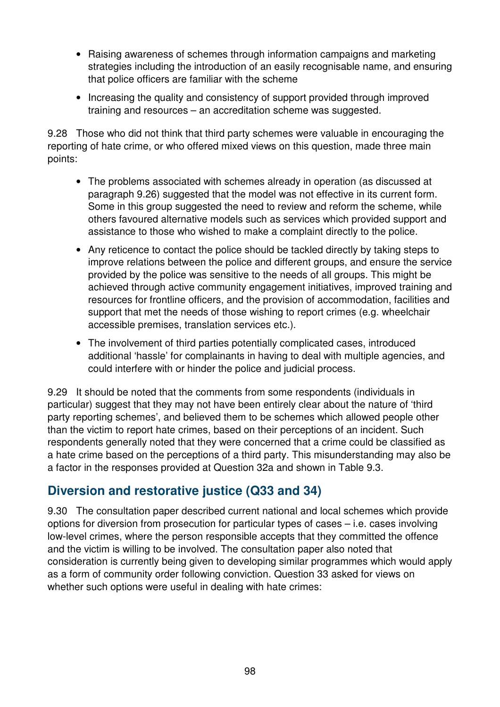- Raising awareness of schemes through information campaigns and marketing strategies including the introduction of an easily recognisable name, and ensuring that police officers are familiar with the scheme
- Increasing the quality and consistency of support provided through improved training and resources – an accreditation scheme was suggested.

9.28 Those who did not think that third party schemes were valuable in encouraging the reporting of hate crime, or who offered mixed views on this question, made three main points:

- The problems associated with schemes already in operation (as discussed at paragraph 9.26) suggested that the model was not effective in its current form. Some in this group suggested the need to review and reform the scheme, while others favoured alternative models such as services which provided support and assistance to those who wished to make a complaint directly to the police.
- Any reticence to contact the police should be tackled directly by taking steps to improve relations between the police and different groups, and ensure the service provided by the police was sensitive to the needs of all groups. This might be achieved through active community engagement initiatives, improved training and resources for frontline officers, and the provision of accommodation, facilities and support that met the needs of those wishing to report crimes (e.g. wheelchair accessible premises, translation services etc.).
- The involvement of third parties potentially complicated cases, introduced additional 'hassle' for complainants in having to deal with multiple agencies, and could interfere with or hinder the police and judicial process.

9.29 It should be noted that the comments from some respondents (individuals in particular) suggest that they may not have been entirely clear about the nature of 'third party reporting schemes', and believed them to be schemes which allowed people other than the victim to report hate crimes, based on their perceptions of an incident. Such respondents generally noted that they were concerned that a crime could be classified as a hate crime based on the perceptions of a third party. This misunderstanding may also be a factor in the responses provided at Question 32a and shown in Table 9.3.

## **Diversion and restorative justice (Q33 and 34)**

9.30 The consultation paper described current national and local schemes which provide options for diversion from prosecution for particular types of cases – i.e. cases involving low-level crimes, where the person responsible accepts that they committed the offence and the victim is willing to be involved. The consultation paper also noted that consideration is currently being given to developing similar programmes which would apply as a form of community order following conviction. Question 33 asked for views on whether such options were useful in dealing with hate crimes: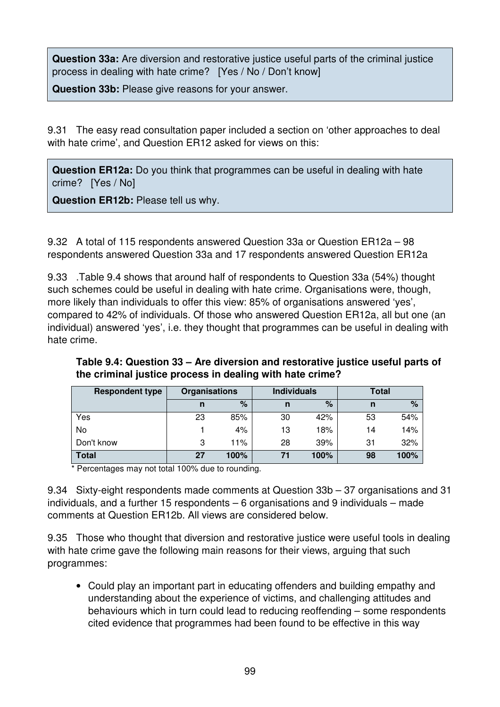**Question 33a:** Are diversion and restorative justice useful parts of the criminal justice process in dealing with hate crime? [Yes / No / Don't know]

**Question 33b:** Please give reasons for your answer.

9.31 The easy read consultation paper included a section on 'other approaches to deal with hate crime', and Question ER12 asked for views on this:

**Question ER12a:** Do you think that programmes can be useful in dealing with hate crime? [Yes / No]

**Question ER12b:** Please tell us why.

9.32 A total of 115 respondents answered Question 33a or Question ER12a – 98 respondents answered Question 33a and 17 respondents answered Question ER12a

9.33 .Table 9.4 shows that around half of respondents to Question 33a (54%) thought such schemes could be useful in dealing with hate crime. Organisations were, though, more likely than individuals to offer this view: 85% of organisations answered 'yes', compared to 42% of individuals. Of those who answered Question ER12a, all but one (an individual) answered 'yes', i.e. they thought that programmes can be useful in dealing with hate crime.

| <b>Respondent type</b> | <b>Organisations</b> |      | <b>Individuals</b> |      | <b>Total</b> |      |
|------------------------|----------------------|------|--------------------|------|--------------|------|
|                        |                      | %    | n                  | %    | n            | %    |
| Yes                    | 23                   | 85%  | 30                 | 42%  | 53           | 54%  |
| No                     |                      | 4%   | 13                 | 18%  | 14           | 14%  |
| Don't know             | 3                    | 11%  | 28                 | 39%  | 31           | 32%  |
| <b>Total</b>           | 27                   | 100% | 71                 | 100% | 98           | 100% |

**Table 9.4: Question 33 – Are diversion and restorative justice useful parts of the criminal justice process in dealing with hate crime?** 

\* Percentages may not total 100% due to rounding.

9.34 Sixty-eight respondents made comments at Question 33b – 37 organisations and 31 individuals, and a further 15 respondents – 6 organisations and 9 individuals – made comments at Question ER12b. All views are considered below.

9.35 Those who thought that diversion and restorative justice were useful tools in dealing with hate crime gave the following main reasons for their views, arguing that such programmes:

• Could play an important part in educating offenders and building empathy and understanding about the experience of victims, and challenging attitudes and behaviours which in turn could lead to reducing reoffending – some respondents cited evidence that programmes had been found to be effective in this way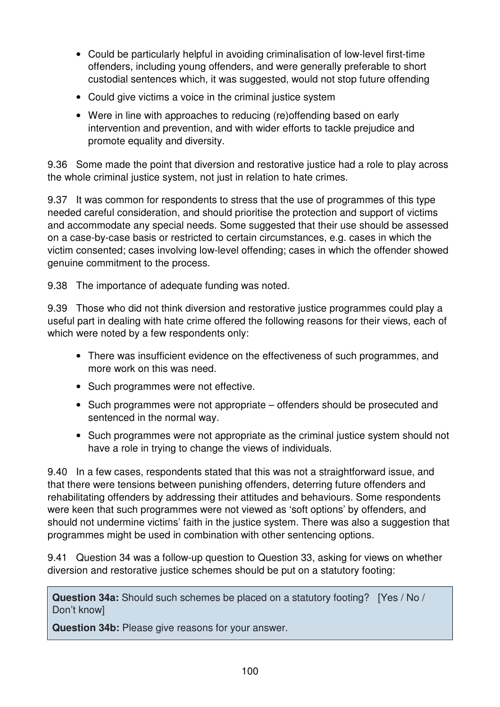- Could be particularly helpful in avoiding criminalisation of low-level first-time offenders, including young offenders, and were generally preferable to short custodial sentences which, it was suggested, would not stop future offending
- Could give victims a voice in the criminal justice system
- Were in line with approaches to reducing (re)offending based on early intervention and prevention, and with wider efforts to tackle prejudice and promote equality and diversity.

9.36 Some made the point that diversion and restorative justice had a role to play across the whole criminal justice system, not just in relation to hate crimes.

9.37 It was common for respondents to stress that the use of programmes of this type needed careful consideration, and should prioritise the protection and support of victims and accommodate any special needs. Some suggested that their use should be assessed on a case-by-case basis or restricted to certain circumstances, e.g. cases in which the victim consented; cases involving low-level offending; cases in which the offender showed genuine commitment to the process.

9.38 The importance of adequate funding was noted.

9.39 Those who did not think diversion and restorative justice programmes could play a useful part in dealing with hate crime offered the following reasons for their views, each of which were noted by a few respondents only:

- There was insufficient evidence on the effectiveness of such programmes, and more work on this was need.
- Such programmes were not effective.
- Such programmes were not appropriate offenders should be prosecuted and sentenced in the normal way.
- Such programmes were not appropriate as the criminal justice system should not have a role in trying to change the views of individuals.

9.40 In a few cases, respondents stated that this was not a straightforward issue, and that there were tensions between punishing offenders, deterring future offenders and rehabilitating offenders by addressing their attitudes and behaviours. Some respondents were keen that such programmes were not viewed as 'soft options' by offenders, and should not undermine victims' faith in the justice system. There was also a suggestion that programmes might be used in combination with other sentencing options.

9.41 Question 34 was a follow-up question to Question 33, asking for views on whether diversion and restorative justice schemes should be put on a statutory footing:

**Question 34a:** Should such schemes be placed on a statutory footing? [Yes / No / Don't know]

**Question 34b:** Please give reasons for your answer.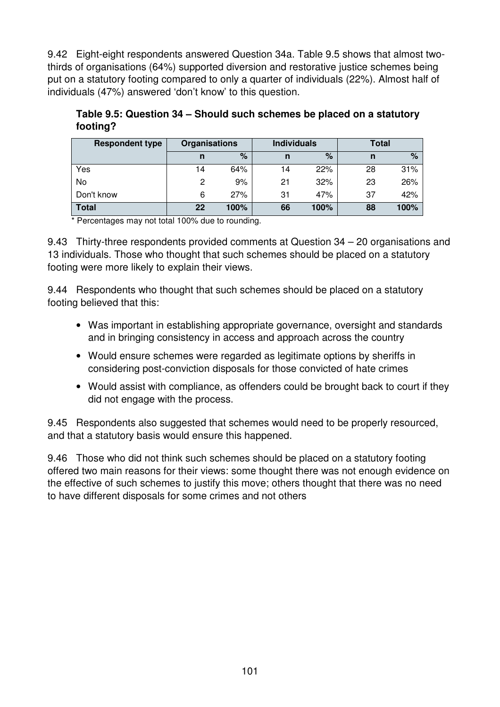9.42 Eight-eight respondents answered Question 34a. Table 9.5 shows that almost twothirds of organisations (64%) supported diversion and restorative justice schemes being put on a statutory footing compared to only a quarter of individuals (22%). Almost half of individuals (47%) answered 'don't know' to this question.

**Table 9.5: Question 34 – Should such schemes be placed on a statutory footing?** 

| <b>Respondent type</b> | <b>Organisations</b> |      | <b>Individuals</b> |      | Total |      |
|------------------------|----------------------|------|--------------------|------|-------|------|
|                        | n                    | %    | n                  | %    | n     | $\%$ |
| Yes                    | 14                   | 64%  | 14                 | 22%  | 28    | 31%  |
| No                     | 2                    | 9%   | 21                 | 32%  | 23    | 26%  |
| Don't know             | 6                    | 27%  | 31                 | 47%  | 37    | 42%  |
| <b>Total</b>           | 22                   | 100% | 66                 | 100% | 88    | 100% |

\* Percentages may not total 100% due to rounding.

9.43 Thirty-three respondents provided comments at Question 34 – 20 organisations and 13 individuals. Those who thought that such schemes should be placed on a statutory footing were more likely to explain their views.

9.44 Respondents who thought that such schemes should be placed on a statutory footing believed that this:

- Was important in establishing appropriate governance, oversight and standards and in bringing consistency in access and approach across the country
- Would ensure schemes were regarded as legitimate options by sheriffs in considering post-conviction disposals for those convicted of hate crimes
- Would assist with compliance, as offenders could be brought back to court if they did not engage with the process.

9.45 Respondents also suggested that schemes would need to be properly resourced, and that a statutory basis would ensure this happened.

9.46 Those who did not think such schemes should be placed on a statutory footing offered two main reasons for their views: some thought there was not enough evidence on the effective of such schemes to justify this move; others thought that there was no need to have different disposals for some crimes and not others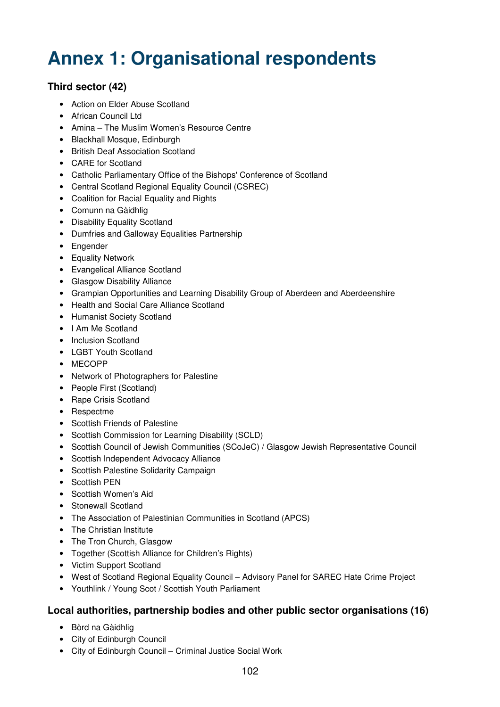# **Annex 1: Organisational respondents**

#### **Third sector (42)**

- Action on Elder Abuse Scotland
- African Council Ltd
- Amina The Muslim Women's Resource Centre
- Blackhall Mosque, Edinburgh
- British Deaf Association Scotland
- CARE for Scotland
- Catholic Parliamentary Office of the Bishops' Conference of Scotland
- Central Scotland Regional Equality Council (CSREC)
- Coalition for Racial Equality and Rights
- Comunn na Gàidhlig
- Disability Equality Scotland
- Dumfries and Galloway Equalities Partnership
- Engender
- Equality Network
- Evangelical Alliance Scotland
- Glasgow Disability Alliance
- Grampian Opportunities and Learning Disability Group of Aberdeen and Aberdeenshire
- Health and Social Care Alliance Scotland
- Humanist Society Scotland
- I Am Me Scotland
- Inclusion Scotland
- LGBT Youth Scotland
- MECOPP
- Network of Photographers for Palestine
- People First (Scotland)
- Rape Crisis Scotland
- Respectme
- Scottish Friends of Palestine
- Scottish Commission for Learning Disability (SCLD)
- Scottish Council of Jewish Communities (SCoJeC) / Glasgow Jewish Representative Council
- Scottish Independent Advocacy Alliance
- Scottish Palestine Solidarity Campaign
- Scottish PEN
- Scottish Women's Aid
- Stonewall Scotland
- The Association of Palestinian Communities in Scotland (APCS)
- The Christian Institute
- The Tron Church, Glasgow
- Together (Scottish Alliance for Children's Rights)
- Victim Support Scotland
- West of Scotland Regional Equality Council Advisory Panel for SAREC Hate Crime Project
- Youthlink / Young Scot / Scottish Youth Parliament

#### **Local authorities, partnership bodies and other public sector organisations (16)**

- Bòrd na Gàidhlig
- City of Edinburgh Council
- City of Edinburgh Council Criminal Justice Social Work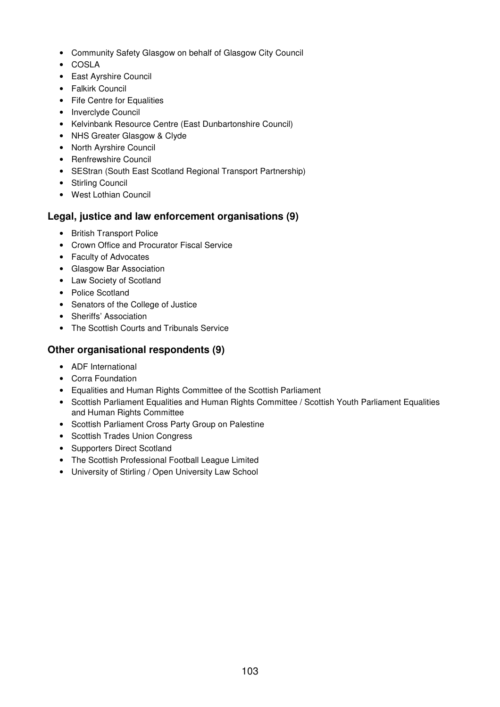- Community Safety Glasgow on behalf of Glasgow City Council
- COSLA
- East Ayrshire Council
- Falkirk Council
- Fife Centre for Equalities
- Inverclyde Council
- Kelvinbank Resource Centre (East Dunbartonshire Council)
- NHS Greater Glasgow & Clyde
- North Ayrshire Council
- Renfrewshire Council
- SEStran (South East Scotland Regional Transport Partnership)
- Stirling Council
- West Lothian Council

#### **Legal, justice and law enforcement organisations (9)**

- British Transport Police
- Crown Office and Procurator Fiscal Service
- Faculty of Advocates
- Glasgow Bar Association
- Law Society of Scotland
- Police Scotland
- Senators of the College of Justice
- Sheriffs' Association
- The Scottish Courts and Tribunals Service

#### **Other organisational respondents (9)**

- ADF International
- Corra Foundation
- Equalities and Human Rights Committee of the Scottish Parliament
- Scottish Parliament Equalities and Human Rights Committee / Scottish Youth Parliament Equalities and Human Rights Committee
- Scottish Parliament Cross Party Group on Palestine
- Scottish Trades Union Congress
- Supporters Direct Scotland
- The Scottish Professional Football League Limited
- University of Stirling / Open University Law School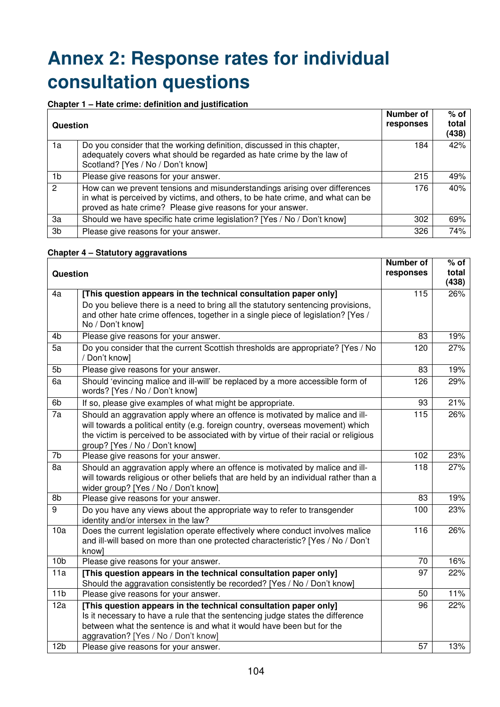# **Annex 2: Response rates for individual consultation questions**

#### **Chapter 1 – Hate crime: definition and justification**

| Question |                                                                                                                                                                                                                            | <b>Number of</b><br>responses | $%$ of<br>total<br>(438) |
|----------|----------------------------------------------------------------------------------------------------------------------------------------------------------------------------------------------------------------------------|-------------------------------|--------------------------|
| 1a       | Do you consider that the working definition, discussed in this chapter,<br>adequately covers what should be regarded as hate crime by the law of<br>Scotland? [Yes / No / Don't know]                                      | 184                           | 42%                      |
| 1b       | Please give reasons for your answer.                                                                                                                                                                                       | 215                           | 49%                      |
| 2        | How can we prevent tensions and misunderstandings arising over differences<br>in what is perceived by victims, and others, to be hate crime, and what can be<br>proved as hate crime? Please give reasons for your answer. | 176                           | 40%                      |
| 3a       | Should we have specific hate crime legislation? [Yes / No / Don't know]                                                                                                                                                    | 302                           | 69%                      |
| 3b       | Please give reasons for your answer.                                                                                                                                                                                       | 326                           | 74%                      |

#### **Chapter 4 – Statutory aggravations**

| <b>Question</b> |                                                                                                                                                                                                                                                                                           | Number of<br>responses | % of<br>total<br>(438) |
|-----------------|-------------------------------------------------------------------------------------------------------------------------------------------------------------------------------------------------------------------------------------------------------------------------------------------|------------------------|------------------------|
| 4a              | [This question appears in the technical consultation paper only]<br>Do you believe there is a need to bring all the statutory sentencing provisions,<br>and other hate crime offences, together in a single piece of legislation? [Yes /<br>No / Don't know]                              | 115                    | 26%                    |
| 4b              | Please give reasons for your answer.                                                                                                                                                                                                                                                      | 83                     | 19%                    |
| 5a              | Do you consider that the current Scottish thresholds are appropriate? [Yes / No<br>/ Don't know]                                                                                                                                                                                          | 120                    | 27%                    |
| $\overline{5b}$ | Please give reasons for your answer.                                                                                                                                                                                                                                                      | 83                     | 19%                    |
| 6a              | Should 'evincing malice and ill-will' be replaced by a more accessible form of<br>words? [Yes / No / Don't know]                                                                                                                                                                          | 126                    | 29%                    |
| 6b              | If so, please give examples of what might be appropriate.                                                                                                                                                                                                                                 | 93                     | 21%                    |
| $\overline{7a}$ | Should an aggravation apply where an offence is motivated by malice and ill-<br>will towards a political entity (e.g. foreign country, overseas movement) which<br>the victim is perceived to be associated with by virtue of their racial or religious<br>group? [Yes / No / Don't know] | 115                    | 26%                    |
| 7b              | Please give reasons for your answer.                                                                                                                                                                                                                                                      | 102                    | 23%                    |
| 8a              | Should an aggravation apply where an offence is motivated by malice and ill-<br>will towards religious or other beliefs that are held by an individual rather than a<br>wider group? [Yes / No / Don't know]                                                                              | 118                    | 27%                    |
| 8b              | Please give reasons for your answer.                                                                                                                                                                                                                                                      | 83                     | 19%                    |
| $\overline{9}$  | Do you have any views about the appropriate way to refer to transgender<br>identity and/or intersex in the law?                                                                                                                                                                           | 100                    | 23%                    |
| 10a             | Does the current legislation operate effectively where conduct involves malice<br>and ill-will based on more than one protected characteristic? [Yes / No / Don't<br>know]                                                                                                                | 116                    | 26%                    |
| 10 <sub>b</sub> | Please give reasons for your answer.                                                                                                                                                                                                                                                      | 70                     | 16%                    |
| 11a             | [This question appears in the technical consultation paper only]<br>Should the aggravation consistently be recorded? [Yes / No / Don't know]                                                                                                                                              | 97                     | 22%                    |
| 11 <sub>b</sub> | Please give reasons for your answer.                                                                                                                                                                                                                                                      | 50                     | 11%                    |
| 12a             | [This question appears in the technical consultation paper only]<br>Is it necessary to have a rule that the sentencing judge states the difference<br>between what the sentence is and what it would have been but for the<br>aggravation? [Yes / No / Don't know]                        | 96                     | 22%                    |
| 12 <sub>b</sub> | Please give reasons for your answer.                                                                                                                                                                                                                                                      | $\overline{57}$        | 13%                    |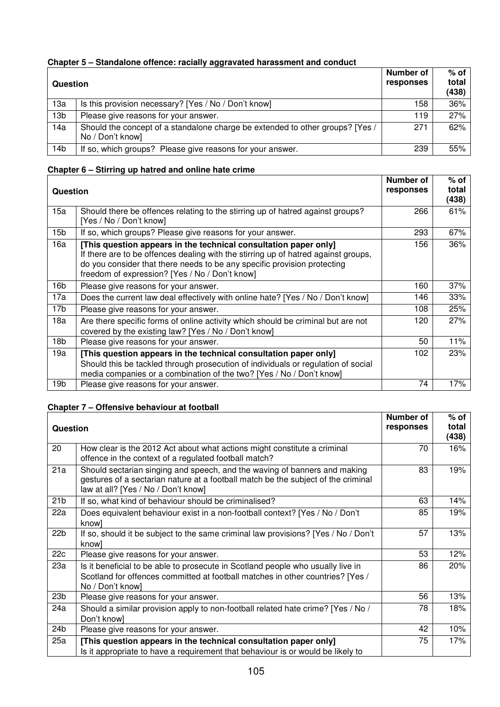# **Chapter 5 – Standalone offence: racially aggravated harassment and conduct**

| Question        |                                                                                                   | Number of<br>responses | $%$ of<br>total<br>(438) |
|-----------------|---------------------------------------------------------------------------------------------------|------------------------|--------------------------|
| 13a             | Is this provision necessary? [Yes / No / Don't know]                                              | 158                    | 36%                      |
| 13 <sub>b</sub> | Please give reasons for your answer.                                                              | 119                    | 27%                      |
| 14a             | Should the concept of a standalone charge be extended to other groups? [Yes /<br>No / Don't know] | 271                    | 62%                      |
| 14 <sub>b</sub> | If so, which groups? Please give reasons for your answer.                                         | 239                    | 55%                      |

## **Chapter 6 – Stirring up hatred and online hate crime**

| <b>Question</b> |                                                                                                                                                                                                                                                                                      | Number of<br>responses | $%$ of<br>total<br>(438) |
|-----------------|--------------------------------------------------------------------------------------------------------------------------------------------------------------------------------------------------------------------------------------------------------------------------------------|------------------------|--------------------------|
| 15a             | Should there be offences relating to the stirring up of hatred against groups?<br>[Yes / No / Don't know]                                                                                                                                                                            | 266                    | 61%                      |
| 15b             | If so, which groups? Please give reasons for your answer.                                                                                                                                                                                                                            | 293                    | 67%                      |
| 16a             | [This question appears in the technical consultation paper only]<br>If there are to be offences dealing with the stirring up of hatred against groups,<br>do you consider that there needs to be any specific provision protecting<br>freedom of expression? [Yes / No / Don't know] | 156                    | 36%                      |
| 16b             | Please give reasons for your answer.                                                                                                                                                                                                                                                 | 160                    | 37%                      |
| 17a             | Does the current law deal effectively with online hate? [Yes / No / Don't know]                                                                                                                                                                                                      | 146                    | 33%                      |
| 17b             | Please give reasons for your answer.                                                                                                                                                                                                                                                 | 108                    | 25%                      |
| 18a             | Are there specific forms of online activity which should be criminal but are not<br>covered by the existing law? [Yes / No / Don't know]                                                                                                                                             | 120                    | 27%                      |
| 18b             | Please give reasons for your answer.                                                                                                                                                                                                                                                 | 50                     | 11%                      |
| 19a             | [This question appears in the technical consultation paper only]<br>Should this be tackled through prosecution of individuals or regulation of social<br>media companies or a combination of the two? [Yes / No / Don't know]                                                        | 102                    | 23%                      |
| 19b             | Please give reasons for your answer.                                                                                                                                                                                                                                                 | 74                     | 17%                      |

### **Chapter 7 – Offensive behaviour at football**

|                 |                                                                                                                                                                                                       | Number of | $%$ of         |
|-----------------|-------------------------------------------------------------------------------------------------------------------------------------------------------------------------------------------------------|-----------|----------------|
| <b>Question</b> |                                                                                                                                                                                                       | responses | total<br>(438) |
| 20              | How clear is the 2012 Act about what actions might constitute a criminal<br>offence in the context of a regulated football match?                                                                     | 70        | 16%            |
| 21a             | Should sectarian singing and speech, and the waving of banners and making<br>gestures of a sectarian nature at a football match be the subject of the criminal<br>law at all? [Yes / No / Don't know] | 83        | 19%            |
| 21 <sub>b</sub> | If so, what kind of behaviour should be criminalised?                                                                                                                                                 | 63        | 14%            |
| 22a             | Does equivalent behaviour exist in a non-football context? [Yes / No / Don't<br>know]                                                                                                                 | 85        | 19%            |
| 22 <sub>b</sub> | If so, should it be subject to the same criminal law provisions? [Yes / No / Don't<br>know]                                                                                                           | 57        | 13%            |
| 22c             | Please give reasons for your answer.                                                                                                                                                                  | 53        | 12%            |
| 23a             | Is it beneficial to be able to prosecute in Scotland people who usually live in<br>Scotland for offences committed at football matches in other countries? [Yes /<br>No / Don't know]                 | 86        | 20%            |
| 23 <sub>b</sub> | Please give reasons for your answer.                                                                                                                                                                  | 56        | 13%            |
| 24a             | Should a similar provision apply to non-football related hate crime? [Yes / No /<br>Don't know]                                                                                                       | 78        | 18%            |
| 24 <sub>b</sub> | Please give reasons for your answer.                                                                                                                                                                  | 42        | 10%            |
| 25a             | [This question appears in the technical consultation paper only]<br>Is it appropriate to have a requirement that behaviour is or would be likely to                                                   | 75        | 17%            |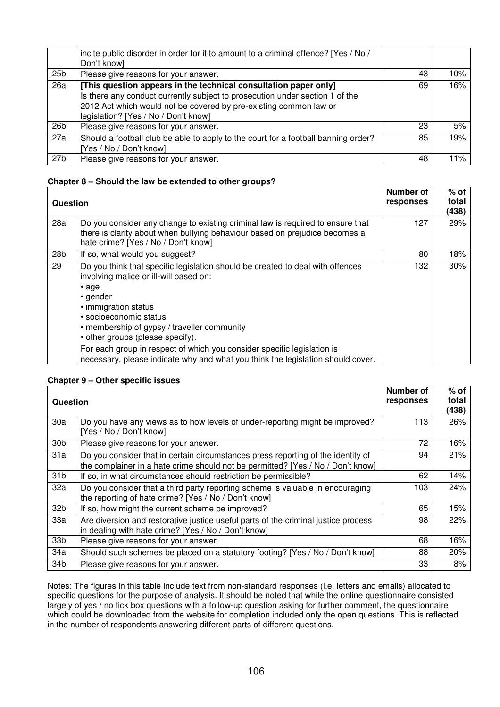|                 | incite public disorder in order for it to amount to a criminal offence? [Yes / No /<br>Don't know]                                                                                                                                                            |    |     |
|-----------------|---------------------------------------------------------------------------------------------------------------------------------------------------------------------------------------------------------------------------------------------------------------|----|-----|
| 25 <sub>b</sub> | Please give reasons for your answer.                                                                                                                                                                                                                          | 43 | 10% |
| 26a             | [This question appears in the technical consultation paper only]<br>Is there any conduct currently subject to prosecution under section 1 of the<br>2012 Act which would not be covered by pre-existing common law or<br>legislation? [Yes / No / Don't know] | 69 | 16% |
| 26 <sub>b</sub> | Please give reasons for your answer.                                                                                                                                                                                                                          | 23 | 5%  |
| 27a             | Should a football club be able to apply to the court for a football banning order?<br>[Yes / No / Don't know]                                                                                                                                                 | 85 | 19% |
| 27 <sub>b</sub> | Please give reasons for your answer.                                                                                                                                                                                                                          | 48 | 11% |

## **Chapter 8 – Should the law be extended to other groups?**

| Question        |                                                                                                                                                                                                                                                                                                                                                                                                                                                        | <b>Number of</b><br>responses | $%$ of<br>total<br>(438) |
|-----------------|--------------------------------------------------------------------------------------------------------------------------------------------------------------------------------------------------------------------------------------------------------------------------------------------------------------------------------------------------------------------------------------------------------------------------------------------------------|-------------------------------|--------------------------|
| 28a             | Do you consider any change to existing criminal law is required to ensure that<br>there is clarity about when bullying behaviour based on prejudice becomes a<br>hate crime? [Yes / No / Don't know]                                                                                                                                                                                                                                                   | 127                           | 29%                      |
| 28 <sub>b</sub> | If so, what would you suggest?                                                                                                                                                                                                                                                                                                                                                                                                                         | 80                            | 18%                      |
| 29              | Do you think that specific legislation should be created to deal with offences<br>involving malice or ill-will based on:<br>$\cdot$ age<br>• gender<br>• immigration status<br>• socioeconomic status<br>• membership of gypsy / traveller community<br>• other groups (please specify).<br>For each group in respect of which you consider specific legislation is<br>necessary, please indicate why and what you think the legislation should cover. | 132                           | 30%                      |

#### **Chapter 9 – Other specific issues**

| Question        |                                                                                                                                                                     | Number of<br>responses | $%$ of<br>total<br>(438) |
|-----------------|---------------------------------------------------------------------------------------------------------------------------------------------------------------------|------------------------|--------------------------|
| 30a             | Do you have any views as to how levels of under-reporting might be improved?<br>[Yes / No / Don't know]                                                             | 113                    | 26%                      |
| 30 <sub>b</sub> | Please give reasons for your answer.                                                                                                                                | 72                     | 16%                      |
| 31a             | Do you consider that in certain circumstances press reporting of the identity of<br>the complainer in a hate crime should not be permitted? [Yes / No / Don't know] | 94                     | 21%                      |
| 31 <sub>b</sub> | If so, in what circumstances should restriction be permissible?                                                                                                     | 62                     | 14%                      |
| 32a             | Do you consider that a third party reporting scheme is valuable in encouraging<br>the reporting of hate crime? [Yes / No / Don't know]                              | 103                    | 24%                      |
| 32b             | If so, how might the current scheme be improved?                                                                                                                    | 65                     | 15%                      |
| 33a             | Are diversion and restorative justice useful parts of the criminal justice process<br>in dealing with hate crime? [Yes / No / Don't know]                           | 98                     | 22%                      |
| 33b             | Please give reasons for your answer.                                                                                                                                | 68                     | 16%                      |
| 34a             | Should such schemes be placed on a statutory footing? [Yes / No / Don't know]                                                                                       | 88                     | 20%                      |
| 34 <sub>b</sub> | Please give reasons for your answer.                                                                                                                                | 33                     | 8%                       |

Notes: The figures in this table include text from non-standard responses (i.e. letters and emails) allocated to specific questions for the purpose of analysis. It should be noted that while the online questionnaire consisted largely of yes / no tick box questions with a follow-up question asking for further comment, the questionnaire which could be downloaded from the website for completion included only the open questions. This is reflected in the number of respondents answering different parts of different questions.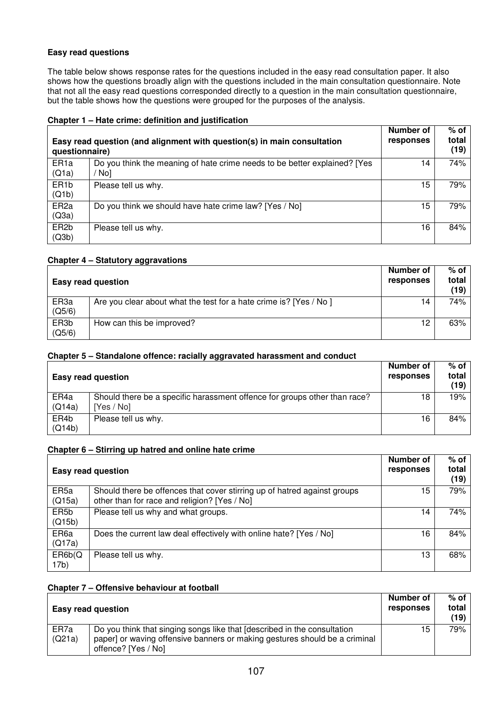### **Easy read questions**

The table below shows response rates for the questions included in the easy read consultation paper. It also shows how the questions broadly align with the questions included in the main consultation questionnaire. Note that not all the easy read questions corresponded directly to a question in the main consultation questionnaire, but the table shows how the questions were grouped for the purposes of the analysis.

| Easy read question (and alignment with question(s) in main consultation<br>questionnaire) |                                                                                    | Number of<br>responses | % of<br>total<br>(19) |
|-------------------------------------------------------------------------------------------|------------------------------------------------------------------------------------|------------------------|-----------------------|
| ER <sub>1a</sub><br>(Q1a)                                                                 | Do you think the meaning of hate crime needs to be better explained? [Yes<br>' No] | 14                     | 74%                   |
| ER <sub>1</sub> b<br>(Q1b)                                                                | Please tell us why.                                                                | 15                     | 79%                   |
| ER <sub>2a</sub><br>(Q3a)                                                                 | Do you think we should have hate crime law? [Yes / No]                             | 15                     | 79%                   |
| ER <sub>2</sub> b<br>(Q3b)                                                                | Please tell us why.                                                                | 16                     | 84%                   |

#### **Chapter 1 – Hate crime: definition and justification**

#### **Chapter 4 – Statutory aggravations**

|                             | <b>Easy read question</b>                                          | Number of<br>responses | $%$ of<br>total<br>(19) |
|-----------------------------|--------------------------------------------------------------------|------------------------|-------------------------|
| ER <sub>3a</sub><br>(Q5/6)  | Are you clear about what the test for a hate crime is? [Yes / No ] | 14                     | 74%                     |
| ER <sub>3</sub> b<br>(Q5/6) | How can this be improved?                                          | 12                     | 63%                     |

#### **Chapter 5 – Standalone offence: racially aggravated harassment and conduct**

|                | <b>Easy read question</b>                                                               | Number of<br>responses | $%$ of<br>total<br>(19) |
|----------------|-----------------------------------------------------------------------------------------|------------------------|-------------------------|
| ER4a<br>(Q14a) | Should there be a specific harassment offence for groups other than race?<br>[Yes / No] | 18                     | 19%                     |
| ER4b<br>(Q14b) | Please tell us why.                                                                     | 16                     | 84%                     |

#### **Chapter 6 – Stirring up hatred and online hate crime**

|                             | <b>Easy read question</b>                                                                                                | Number of<br>responses | $%$ of<br>total<br>(19) |
|-----------------------------|--------------------------------------------------------------------------------------------------------------------------|------------------------|-------------------------|
| ER <sub>5a</sub><br>(Q15a)  | Should there be offences that cover stirring up of hatred against groups<br>other than for race and religion? [Yes / No] | 15                     | 79%                     |
| ER <sub>5</sub> b<br>(Q15b) | Please tell us why and what groups.                                                                                      | 14                     | 74%                     |
| ER <sub>6a</sub><br>(Q17a)  | Does the current law deal effectively with online hate? [Yes / No]                                                       | 16                     | 84%                     |
| ER6b(Q)<br>17 <sub>b</sub>  | Please tell us why.                                                                                                      | 13                     | 68%                     |

#### **Chapter 7 – Offensive behaviour at football**

|                | Easy read question                                                                                                                                                            | Number of<br>responses | $%$ of $ $<br>total<br>(19) |
|----------------|-------------------------------------------------------------------------------------------------------------------------------------------------------------------------------|------------------------|-----------------------------|
| ER7a<br>(Q21a) | Do you think that singing songs like that [described in the consultation<br>paper] or waving offensive banners or making gestures should be a criminal<br>offence? [Yes / No] | 15                     | <b>79%</b>                  |